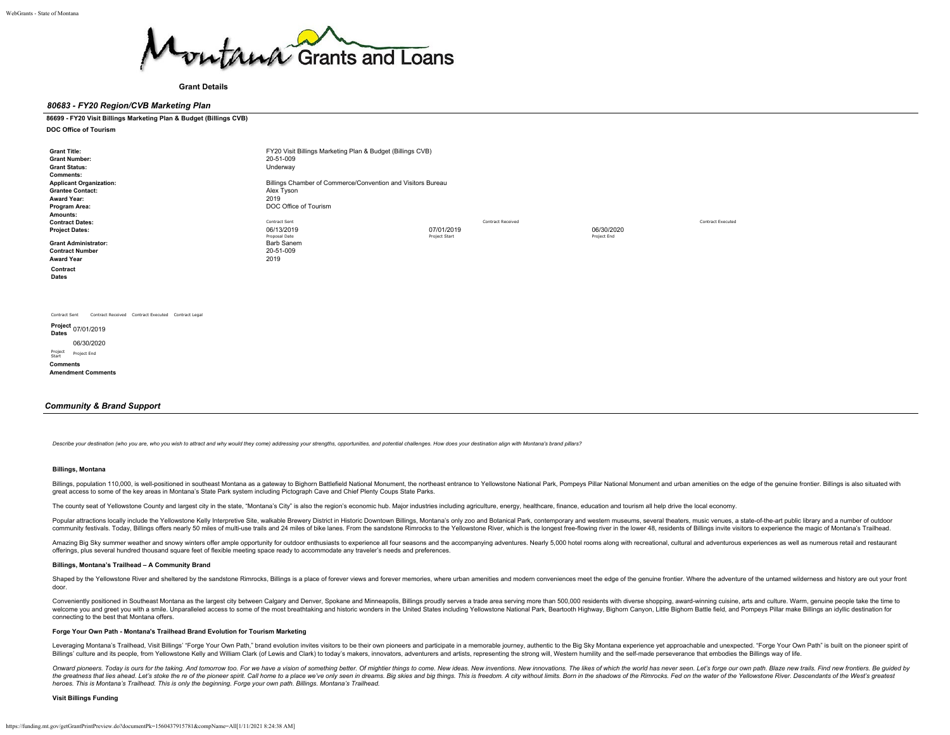

**Grant Details**

# *80683 - FY20 Region/CVB Marketing Plan*

#### **86699 - FY20 Visit Billings Marketing Plan & Budget (Billings CVB)**

**DOC Office of Tourism**

| <b>Grant Title:</b><br><b>Grant Number:</b><br><b>Grant Status:</b><br><b>Comments:</b><br><b>Applicant Organization:</b><br><b>Grantee Contact:</b><br>Award Year:<br>Program Area: | FY20 Visit Billings Marketing Plan & Budget (Billings CVB)<br>20-51-009<br>Underway<br>Billings Chamber of Commerce/Convention and Visitors Bureau<br>Alex Tyson<br>2019<br>DOC Office of Tourism |                                                         |                           |                          |
|--------------------------------------------------------------------------------------------------------------------------------------------------------------------------------------|---------------------------------------------------------------------------------------------------------------------------------------------------------------------------------------------------|---------------------------------------------------------|---------------------------|--------------------------|
| Amounts:<br><b>Contract Dates:</b><br><b>Project Dates:</b><br><b>Grant Administrator:</b><br><b>Contract Number</b><br><b>Award Year</b><br>Contract<br><b>Dates</b>                | Contract Sent<br>06/13/2019<br>Proposal Date<br>Barb Sanem<br>20-51-009<br>2019                                                                                                                   | <b>Contract Received</b><br>07/01/2019<br>Project Start | 06/30/2020<br>Project End | <b>Contract Executed</b> |
| Contract Received Contract Executed Contract Legal<br>Contract Sent<br>Project<br>07/01/2019<br><b>Dates</b><br>06/30/2020<br>Project<br>Project End<br>Start                        |                                                                                                                                                                                                   |                                                         |                           |                          |

### *Community & Brand Support*

Describe your destination (who you are, who you wish to attract and why would they come) addressing your strengths, opportunities, and potential challenges. How does your destination align with Montana's brand pillars?

#### **Billings, Montana**

**Comments Amendment Comments**

Billings, population 110,000, is well-positioned in southeast Montana as a gateway to Bighorn Battlefield National Monument, the northeast entrance to Yellowstone National Park, Pompeys Pillar National Monument and urban a great access to some of the key areas in Montana's State Park system including Pictograph Cave and Chief Plenty Coups State Parks.

The county seat of Yellowstone County and largest city in the state, "Montana's City" is also the region's economic hub. Major industries including agriculture, energy, healthcare, finance, education and tourism all help d

Popular attractions locally include the Yellowstone Kelly Interpretive Site, walkable Brewery District in Historic Downtown Billings, Montana's only zoo and Botanical Park, contemporary and western museums, several theater community festivals. Today, Billings offers nearly 50 miles of multi-use trails and 24 miles of bike lanes. From the sandstone Rimrocks to the Yellowstone River, which is the longest free-flowing river in the lower 48, res

Amazing Big Sky summer weather and snowy winters offer ample opportunity for outdoor enthusiasts to experience all four seasons and the accompanying adventures. Nearly 5,000 hotel rooms along with recreational, cultural an offerings, plus several hundred thousand square feet of flexible meeting space ready to accommodate any traveler's needs and preferences.

#### **Billings, Montana's Trailhead – A Community Brand**

Shaped by the Yellowstone River and sheltered by the sandstone Rimrocks, Billings is a place of forever views and forever memories, where urban amenities and modern conveniences meet the edge of the genuine frontier. Where door.

Conveniently positioned in Southeast Montana as the largest city between Calgary and Denver, Spokane and Minneapolis, Billings proudly serves a trade area serving more than 500,000 residents with diverse shopping, award-wi welcome you and greet you with a smile. Unparalleled access to some of the most breathtaking and historic wonders in the United States including Yellowstone National Park, Beartooth Highway, Bighorn Canyon, Little Bighorn connecting to the best that Montana offers.

### **Forge Your Own Path - Montana's Trailhead Brand Evolution for Tourism Marketing**

Leveraging Montana's Trailhead, Visit Billings' "Forge Your Own Path," brand evolution invites visitors to be their own pioneers and participate in a memorable journey, authentic to the Big Sky Montana experience yet appro Billings' culture and its people, from Yellowstone Kelly and William Clark (of Lewis and Clark) to today's makers, innovators, adventurers and artists, representing the strong will, Western humility and the self-made perse

Onward pioneers. Today is ours for the taking. And tomorrow too. For we have a vision of something better. Of mightier things to come. New ideas. New inventions. New innovations. The likes of which the world has never seen the greatness that lies ahead. Let's stoke the re of the pioneer spirit. Call home to a place we've only seen in dreams. Big skies and big things. This is freedom. A city without limits. Born in the shadows of the Rimrocks *heroes. This is Montana's Trailhead. This is only the beginning. Forge your own path. Billings. Montana's Trailhead.*

# **Visit Billings Funding**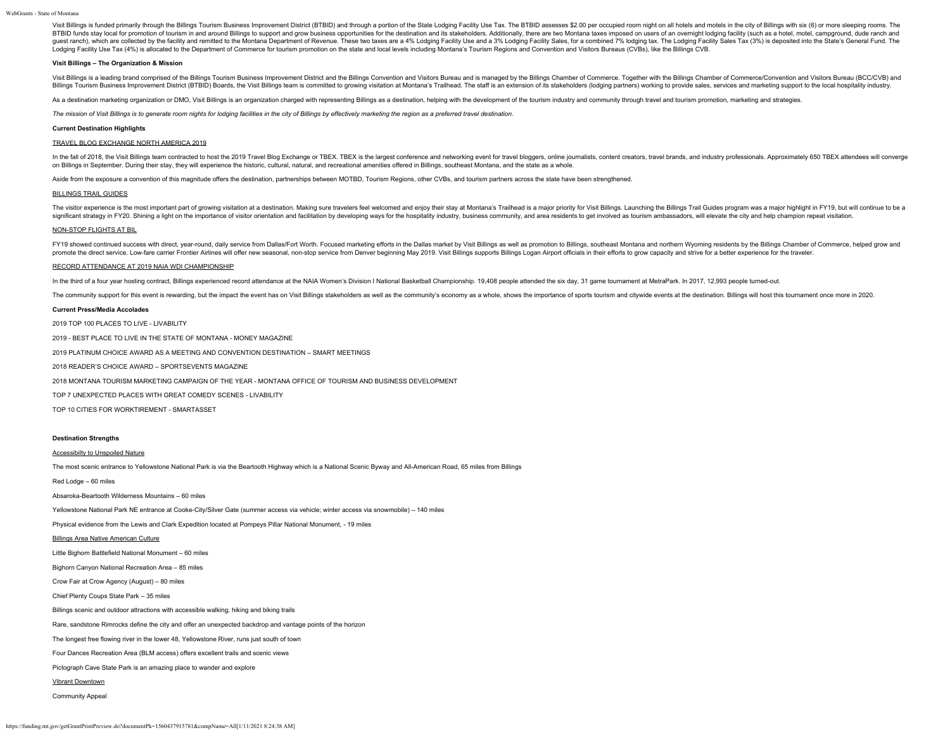Visit Billings is funded primarily through the Billings Tourism Business Improvement District (BTBID) and through a portion of the State Lodging Facility Use Tax. The BTBID assesses \$2.00 per occupied room night on all hot BTBID funds stay local for promotion of tourism in and around Billings to support and grow business opportunities for the destination and its stakeholders. Additionally, there are two Montana taxes imposed on users of an o quest ranch), which are collected by the facility and remitted to the Montana Department of Revenue. These two taxes are a 4% Lodging Facility Use and a 3% Lodging Facility Sales, for a combined 7% lodging tax. The Lodging Lodging Facility Use Tax (4%) is allocated to the Department of Commerce for tourism promotion on the state and local levels including Montana's Tourism Regions and Convention and Visitors Bureaus (CVBs), like the Billings

# **Visit Billings – The Organization & Mission**

Visit Billings is a leading brand comprised of the Billings Tourism Business Improvement District and the Billings Convention and Visitors Bureau and is managed by the Billings Chamber of Commerce. Together with the Billin Billings Tourism Business Improvement District (BTBID) Boards, the Visit Billings team is committed to growing visitation at Montana's Trailhead. The staff is an extension of its stakeholders (lodging partners) working to

As a destination marketing organization or DMO, Visit Billings is an organization charged with representing Billings as a destination, helping with the development of the tourism industry and community through travel and t

*The mission of Visit Billings is to generate room nights for lodging facilities in the city of Billings by effectively marketing the region as a preferred travel destination.*

#### **Current Destination Highlights**

# TRAVEL BLOG EXCHANGE NORTH AMERICA 2019

In the fall of 2018, the Visit Billings team contracted to host the 2019 Travel Blog Exchange or TBEX. TBEX is the largest conference and networking event for travel bloggers, online journalists, content creators, travel b on Billings in September. During their stay, they will experience the historic, cultural, natural, and recreational amenities offered in Billings, southeast Montana, and the state as a whole.

Aside from the exposure a convention of this magnitude offers the destination, partnerships between MOTBD. Tourism Regions, other CVBs, and tourism partners across the state have been strengthened.

#### BILLINGS TRAIL GUIDES

The visitor experience is the most important part of growing visitation at a destination. Making sure travelers feel welcomed and enjoy their stay at Montana's Trailhead is a major priority for Visit Billings. Launching th significant strategy in FY20. Shining a light on the importance of visitor orientation and facilitation by developing ways for the hospitality industry, business community, and area residents to get involved as tourism amb

# NON-STOP FLIGHTS AT BIL

FY19 showed continued success with direct, year-round, daily service from Dallas/Fort Worth. Focused marketing efforts in the Dallas market by Visit Billings as well as promotion to Billings, southeast Montana and northern promote the direct service. Low-fare carrier Frontier Airlines will offer new seasonal, non-stop service from Denver beginning May 2019. Visit Billings supports Billings Logan Airport officials in their efforts to grow cap

### RECORD ATTENDANCE AT 2019 NAIA WDI CHAMPIONSHIP

In the third of a four year hosting contract, Billings experienced record attendance at the NAIA Women's Division I National Basketball Championship. 19,408 people attended the six day, 31 game tournament at MetraPark. In

The community support for this event is rewarding, but the impact the event has on Visit Billings stakeholders as well as the community's economy as a whole, shows the importance of sports tourism and citywide events at th

#### **Current Press/Media Accolades**

2019 TOP 100 PLACES TO LIVE - LIVABILITY

2019 - BEST PLACE TO LIVE IN THE STATE OF MONTANA - MONEY MAGAZINE

2019 PLATINUM CHOICE AWARD AS A MEETING AND CONVENTION DESTINATION – SMART MEETINGS

2018 READER'S CHOICE AWARD – SPORTSEVENTS MAGAZINE

2018 MONTANA TOURISM MARKETING CAMPAIGN OF THE YEAR - MONTANA OFFICE OF TOURISM AND BUSINESS DEVELOPMENT

TOP 7 UNEXPECTED PLACES WITH GREAT COMEDY SCENES - LIVABILITY

TOP 10 CITIES FOR WORKTIREMENT - SMARTASSET

# **Destination Strengths**

# Accessibilty to Unspoiled Nature

The most scenic entrance to Yellowstone National Park is via the Beartooth Highway which is a National Scenic Byway and All-American Road, 65 miles from Billings

Red Lodge – 60 miles

Absaroka-Beartooth Wilderness Mountains – 60 miles

Yellowstone National Park NE entrance at Cooke-City/Silver Gate (summer access via vehicle; winter access via snowmobile) – 140 miles

Physical evidence from the Lewis and Clark Expedition located at Pompeys Pillar National Monument, - 19 miles

#### Billings Area Native American Culture

Little Bighorn Battlefield National Monument – 60 miles

Bighorn Canyon National Recreation Area – 85 miles

Crow Fair at Crow Agency (August) – 80 miles

Chief Plenty Coups State Park – 35 miles

Billings scenic and outdoor attractions with accessible walking, hiking and biking trails

Rare, sandstone Rimrocks define the city and offer an unexpected backdrop and vantage points of the horizon

The longest free flowing river in the lower 48, Yellowstone River, runs just south of town

Four Dances Recreation Area (BLM access) offers excellent trails and scenic views

Pictograph Cave State Park is an amazing place to wander and explore

#### Vibrant Downtown

Community Appeal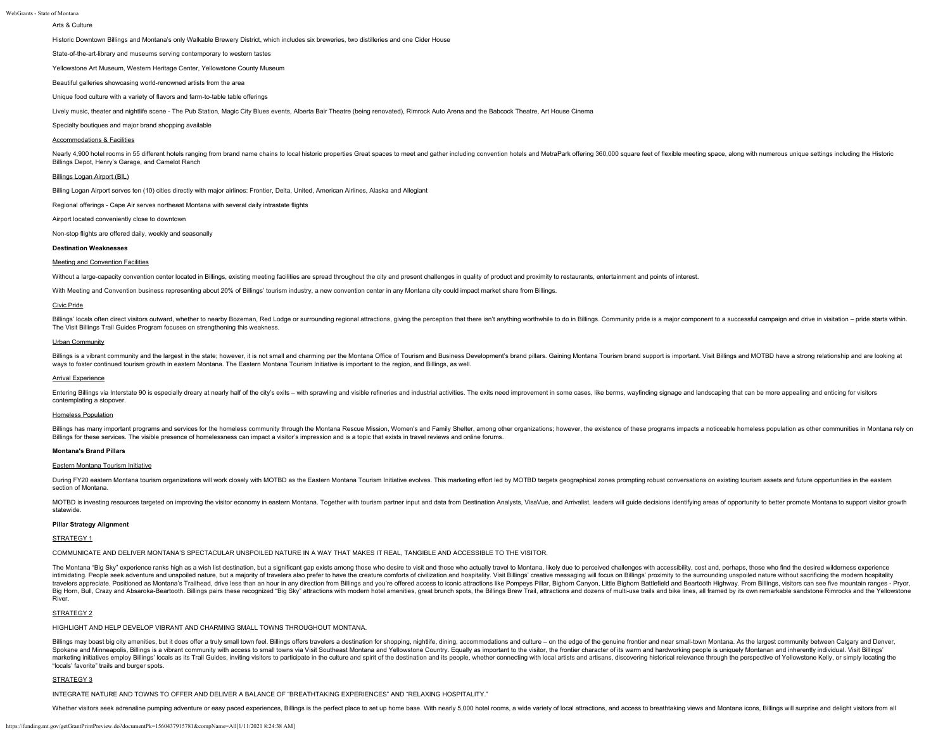# Arts & Culture

Historic Downtown Billings and Montana's only Walkable Brewery District, which includes six breweries, two distilleries and one Cider House

State-of-the-art-library and museums serving contemporary to western tastes

Yellowstone Art Museum, Western Heritage Center, Yellowstone County Museum

Beautiful galleries showcasing world-renowned artists from the area

Unique food culture with a variety of flavors and farm-to-table table offerings

Lively music, theater and nightlife scene - The Pub Station, Magic City Blues events, Alberta Bair Theatre (being renovated), Rimrock Auto Arena and the Babcock Theatre, Art House Cinema

Specialty boutiques and major brand shopping available

# Accommodations & Facilities

Nearly 4,900 hotel rooms in 55 different hotels ranging from brand name chains to local historic properties Great spaces to meet and gather including convention hotels and MetraPark offering 360,000 square feet of flexible Billings Depot, Henry's Garage, and Camelot Ranch

# Billings Logan Airport (BIL)

Billing Logan Airport serves ten (10) cities directly with major airlines: Frontier, Delta, United, American Airlines, Alaska and Allegiant

Regional offerings - Cape Air serves northeast Montana with several daily intrastate flights

Airport located conveniently close to downtown

Non-stop flights are offered daily, weekly and seasonally

#### **Destination Weaknesses**

#### Meeting and Convention Facilities

Without a large-capacity convention center located in Billings, existing meeting facilities are spread throughout the city and present challenges in quality of product and proximity to restaurants, entertainment and points

With Meeting and Convention business representing about 20% of Billings' tourism industry, a new convention center in any Montana city could impact market share from Billings.

#### Civic Pride

Billings' locals often direct visitors outward, whether to nearby Bozeman, Red Lodge or surrounding regional attractions, giving the perception that there isn't anything worthwhile to do in Billings. Community pride is a m The Visit Billings Trail Guides Program focuses on strengthening this weakness.

#### Urban Community

Billings is a vibrant community and the largest in the state; however, it is not small and charming per the Montana Office of Tourism and Business Development's brand pillars. Gaining Montana Tourism brand support is impor ways to foster continued tourism growth in eastern Montana. The Eastern Montana Tourism Initiative is important to the region, and Billings, as well.

# Arrival Experience

Entering Billings via Interstate 90 is especially dreary at nearly half of the city's exits - with sprayling and visible refineries and industrial activities. The exits need improvement in some cases, like berms, wayfindin contemplating a stopover.

# Homeless Population

Billings has many important programs and services for the homeless community through the Montana Rescue Mission, Women's and Family Shelter, among other organizations; however, the existence of these programs impacts a not Billings for these services. The visible presence of homelessness can impact a visitor's impression and is a topic that exists in travel reviews and online forums.

# **Montana's Brand Pillars**

# Eastern Montana Tourism Initiative

During FY20 eastern Montana tourism organizations will work closely with MOTBD as the Eastern Montana Tourism Initiative evolves. This marketing effort led by MOTBD targets geographical zones prompting robust conversations section of Montana.

MOTBD is investing resources targeted on improving the visitor economy in eastern Montana. Together with tourism partner input and data from Destination Analysts, VisaVue, and Arrivalist, leaders will quide decisions ident statewide.

#### **Pillar Strategy Alignment**

# STRATEGY 1

COMMUNICATE AND DELIVER MONTANA'S SPECTACULAR UNSPOILED NATURE IN A WAY THAT MAKES IT REAL, TANGIBLE AND ACCESSIBLE TO THE VISITOR.

The Montana "Big Sky" experience ranks high as a wish list destination, but a significant gap exists among those who desire to visit and those who actually travel to Montana, likely due to perceived challenges with accessi intimidating. People seek adventure and unspoiled nature, but a majority of travelers also prefer to have the creature comforts of civilization and hospitality. Visit Billings' creative messaging will focus on Billings' pr travelers appreciate. Positioned as Montana's Trailhead, drive less than an hour in any direction from Billings and you're offered access to iconic attractions like Pompeys Pillar, Bighorn Canyon, Little Bighorn Battlefiel Big Horn, Bull, Crazy and Absaroka-Beartooth. Billings pairs these recognized "Big Sky" attractions with modern hotel amenities, great brunch spots, the Billings Brew Trail, attractions and dozens of multi-use trails and b River.

# STRATEGY<sub>2</sub>

HIGHLIGHT AND HELP DEVELOP VIBRANT AND CHARMING SMALL TOWNS THROUGHOUT MONTANA.

Billings may boast big city amenities, but it does offer a truly small town feel. Billings offers travelers a destination for shopping, nightlife, dining, accommodations and culture - on the edge of the genuine frontier an Spokane and Minneapolis, Billings is a vibrant community with access to small towns via Visit Southeast Montana and Yellowstone Country. Equally as important to the visitor, the frontier character of its warm and hardworki marketing initiatives employ Billings' locals as its Trail Guides, inviting visitors to participate in the culture and spirit of the destination and its people, whether connecting with local artists and artistans, discover "locals' favorite" trails and burger spots.

#### STRATEGY 3

INTEGRATE NATURE AND TOWNS TO OFFER AND DELIVER A BALANCE OF "BREATHTAKING EXPERIENCES" AND "RELAXING HOSPITALITY."

Whether visitors seek adrenaline pumping adventure or easy paced experiences, Billings is the perfect place to set up home base. With nearly 5,000 hotel rooms, a wide variety of local attractions, and access to breathtakin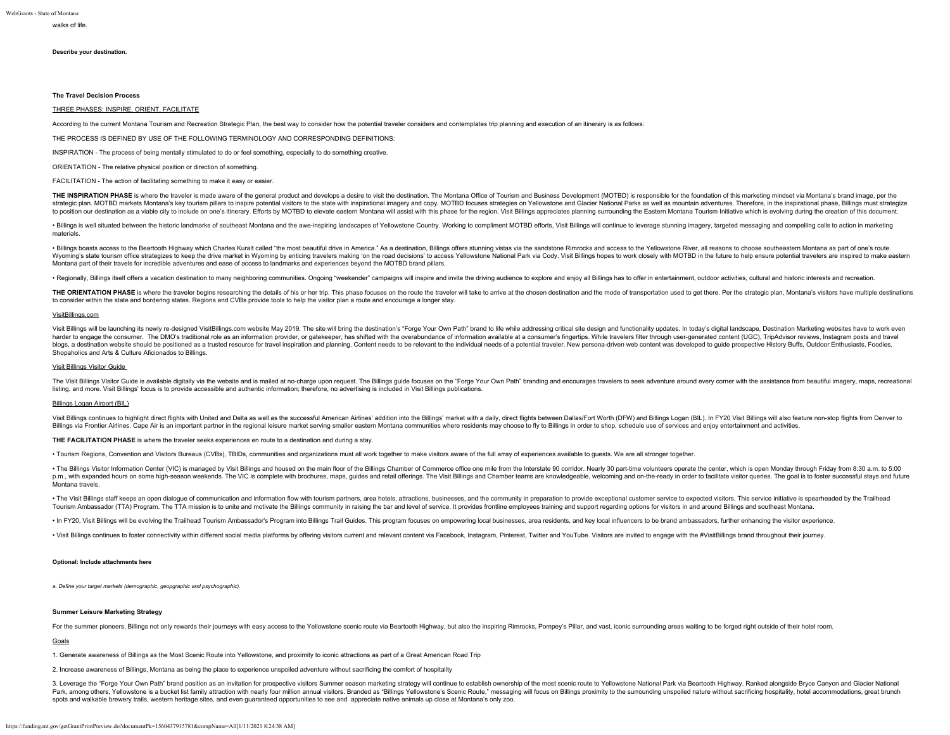# walks of life.

# **Describe your destination.**

# **The Travel Decision Process**

# THREE PHASES: INSPIRE, ORIENT, FACILITATE

According to the current Montana Tourism and Recreation Strategic Plan, the best way to consider how the potential traveler considers and contemplates trip planning and execution of an itinerary is as follows:

THE PROCESS IS DEFINED BY USE OF THE FOLLOWING TERMINOLOGY AND CORRESPONDING DEFINITIONS:

INSPIRATION - The process of being mentally stimulated to do or feel something, especially to do something creative.

ORIENTATION - The relative physical position or direction of something.

FACILITATION - The action of facilitating something to make it easy or easier.

THE INSPIRATION PHASE is where the traveler is made aware of the general product and develops a desire to visit the destination. The Montana Office of Tourism and Business Development (MOTBD) is responsible for the foundat strategic plan. MOTBD markets Montana's key tourism pillars to inspire potential visitors to the state with inspirational imagery and copy. MOTBD focuses strategies on Yellowstone and Glacier National Parks as well as moun to position our destination as a viable city to include on one's itinerary. Efforts by MOTBD to elevate eastern Montana will assist with this phase for the region. Visit Billings appreciates planning surrounding the Easter

. Billings is well situated between the historic landmarks of southeast Montana and the awe-inspiring landscapes of Yellowstone Country. Working to compliment MOTBD efforts, Visit Billings will continue to leverage stunnin materials.

. Billings boasts access to the Beartooth Highway which Charles Kuralt called "the most beautiful drive in America." As a destination. Billings offers stunning vistas via the sandstone Rimrocks and access to the Yellowston Wyoming's state tourism office strategizes to keep the drive market in Wyoming by enticing travelers making 'on the road decisions' to access Yellowstone National Park via Cody. Visit Billings hopes to work closely with MO Montana part of their travels for incredible adventures and ease of access to landmarks and experiences beyond the MOTBD brand pillars.

· Regionally, Billings itself offers a vacation destination to many neighboring communities. Ongoing "weekender" campaigns will inspire and invite the driving audience to explore and enjoy all Billings has to offer in ente

THE ORIENTATION PHASE is where the traveler begins researching the details of his or her trip. This phase focuses on the route the traveler will take to arrive at the chosen destination and the mode of transportation used to consider within the state and bordering states. Regions and CVBs provide tools to help the visitor plan a route and encourage a longer stay.

#### VisitBillings.com

Visit Billings will be launching its newly re-designed VisitBillings.com website May 2019. The site will bring the destination's "Forge Your Own Path" brand to life while addressing critical site design and functionality u harder to engage the consumer. The DMO's traditional role as an information provider, or gatekeeper, has shifted with the overabundance of information available at a consumer's fingertips. While travelers filter through us blogs, a destination website should be positioned as a trusted resource for travel inspiration and planning. Content needs to be relevant to the individual needs of a potential traveler. New persona-driven web content was Shopaholics and Arts & Culture Aficionados to Billings.

# Visit Billings Visitor Guide

The Visit Billings Visitor Guide is available digitally via the website and is mailed at no-charge upon request. The Billings guide focuses on the "Forge Your Own Path" branding and encourages travelers to seek adventure a listing, and more. Visit Billings' focus is to provide accessible and authentic information; therefore, no advertising is included in Visit Billings publications.

# Billings Logan Airport (BIL)

Visit Billings continues to highlight direct flights with United and Delta as well as the successful American Airlines' addition into the Billings' market with a daily, direct flights between Dallas/Fort Worth (DFW) and Bi Billings via Frontier Airlines. Cape Air is an important partner in the regional leisure market serving smaller eastern Montana communities where residents may choose to fly to Billings in order to shop, schedule use of se

**THE FACILITATION PHASE** is where the traveler seeks experiences en route to a destination and during a stay.

• Tourism Regions, Convention and Visitors Bureaus (CVBs). TBIDs, communities and organizations must all work together to make visitors aware of the full array of experiences available to quests. We are all stronger togeth

. The Billings Visitor Information Center (VIC) is managed by Visit Billings and housed on the main floor of the Billings Chamber of Commerce office one mile from the Interstate 90 corridor. Nearly 30 part-time volunteers p.m., with expanded hours on some high-season weekends. The VIC is complete with brochures, maps, guides and retail offerings. The Visit Billings and Chamber teams are knowledgeable, welcoming and on-the-ready in order to Montana travels.

· The Visit Billings staff keeps an open dialogue of communication and information flow with tourism partners, area hotels, attractions, businesses, and the community in preparation to provide exceptional customer service Tourism Ambassador (TTA) Program. The TTA mission is to unite and motivate the Billings community in raising the bar and level of service. It provides frontline employees training and support regarding options for visitors

. In FY20, Visit Billings will be evolving the Trailhead Tourism Ambassador's Program into Billings Trail Guides. This program focuses on empowering local businesses, area residents, and key local influencers to be brand a

· Visit Billings continues to foster connectivity within different social media platforms by offering visitors current and relevant content via Facebook, Instagram, Pinterest, Twitter and YouTube. Visitors are invited to e

# **Optional: Include attachments here**

*a. Define your target markets (demographic, geopgraphic and psychographic).*

# **Summer Leisure Marketing Strategy**

For the summer pioneers, Billings not only rewards their journeys with easy access to the Yellowstone scenic route via Beartooth Highway, but also the inspiring Rimrocks, Pompey's Pillar, and vast, iconic surrounding areas

### Goals

1. Generate awareness of Billings as the Most Scenic Route into Yellowstone, and proximity to iconic attractions as part of a Great American Road Trip

2. Increase awareness of Billings, Montana as being the place to experience unspoiled adventure without sacrificing the comfort of hospitality

3. Leverage the "Forge Your Own Path" brand position as an invitation for prospective visitors Summer season marketing strategy will continue to establish ownership of the most scenic route to Yellowstone National Park via Park, among others. Yellowstone is a bucket list family attraction with nearly four million annual visitors. Branded as "Billings Yellowstone's Scenic Route," messaging will focus on Billings proximity to the surrounding u spots and walkable brewery trails, western heritage sites, and even guaranteed opportunities to see and appreciate native animals up close at Montana's only zoo.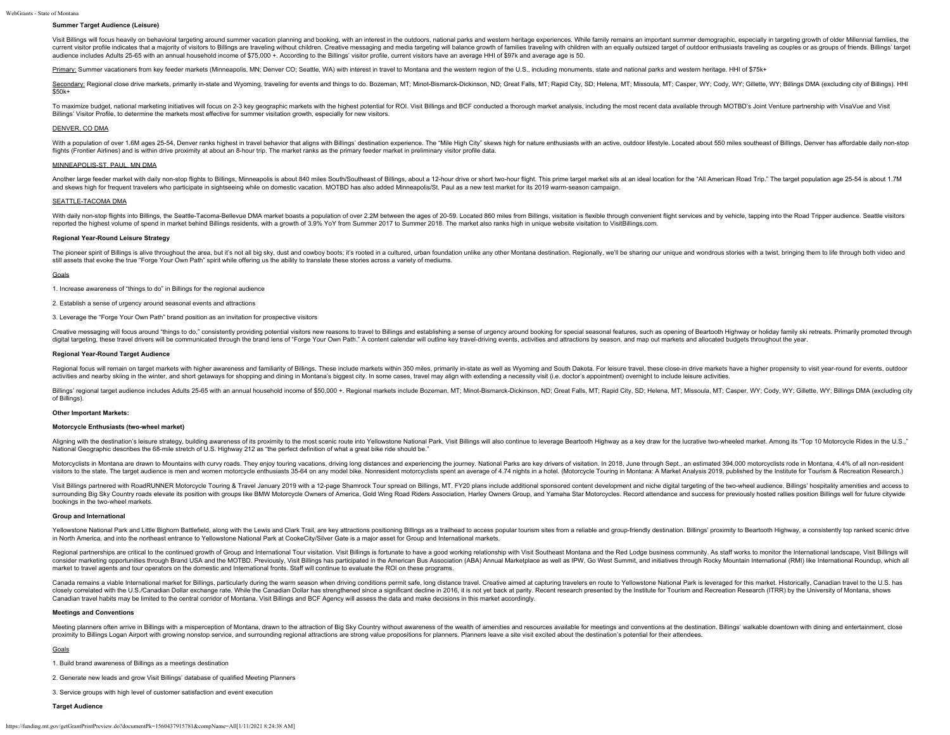# **Summer Target Audience (Leisure)**

Visit Billings will focus heavily on behavioral targeting around summer vacation planning and booking, with an interest in the outdoors, national parks and western heritage experiences. While family remains an important su current visitor profile indicates that a majority of visitors to Billings are traveling without children. Creative messaging and media targeting will balance growth of families traveling with children with an equally outsi audience includes Adults 25-65 with an annual household income of \$75,000 +. According to the Billings' visitor profile, current visitors have an average HHI of \$97k and average age is 50.

Primary: Summer vacationers from key feeder markets (Minneapolis, MN; Denver CO; Seattle, WA) with interest in travel to Montana and the western region of the U.S., including monuments, state and national parks and western

Secondary: Regional close drive markets, primarily in-state and Wyoming, traveling for events and things to do, Bozeman, MT; Minot-Bismarck-Dickinson, ND; Great Falls, MT; Rapid City, SD; Helena, MT; Missoula, MT; Casper, \$50k+

To maximize budget, national marketing initiatives will focus on 2-3 key geographic markets with the highest potential for ROI. Visit Billings and BCF conducted a thorough market analysis, including the most recent data av Billings' Visitor Profile, to determine the markets most effective for summer visitation growth, especially for new visitors.

# DENVER, CO DMA

With a population of over 1.6M ages 25-54. Denver ranks highest in travel behavior that aligns with Billings' destination experience. The "Mile High City" skews high for nature enthusiasts with an active, outdoor lifestyle flights (Frontier Airlines) and is within drive proximity at about an 8-hour trip. The market ranks as the primary feeder market in preliminary visitor profile data.

# MINNEAPOLIS-ST. PAUL, MN DMA

Another large feeder market with daily non-stop flights to Billings. Minneapolis is about 840 miles South/Southeast of Billings, about a 12-hour drive or short two-hour flight. This prime target market sits at an ideal loc and skews high for frequent travelers who participate in sightseeing while on domestic vacation. MOTBD has also added Minneapolis/St. Paul as a new test market for its 2019 warm-season campaign.

#### SEATTLE-TACOMA DMA

With daily non-stop flights into Billings, the Seattle-Tacoma-Bellevue DMA market boasts a population of over 2.2M between the ages of 20-59. Located 860 miles from Billings, visitation is flexible through convenient fligh reported the highest volume of spend in market behind Billings residents, with a growth of 3.9% YoY from Summer 2017 to Summer 2018. The market also ranks high in unique website visitation to VisitBillings.com.

# **Regional Year-Round Leisure Strategy**

The pioneer spirit of Billings is alive throughout the area, but it's not all big sky, dust and cowboy boots; it's rooted in a cultured, urban foundation unlike any other Montana destination. Regionally, we'll be sharing o still assets that evoke the true "Forge Your Own Path" spirit while offering us the ability to translate these stories across a variety of mediums.

#### Goals

1. Increase awareness of "things to do" in Billings for the regional audience

2. Establish a sense of urgency around seasonal events and attractions

3. Leverage the "Forge Your Own Path" brand position as an invitation for prospective visitors

Creative messaging will focus around "things to do," consistently providing potential visitors new reasons to travel to Billings and establishing a sense of urgency around booking for special seasonal features, such as ope digital targeting, these travel drivers will be communicated through the brand lens of "Forge Your Own Path." A content calendar will outline key travel-driving events, activities and attractions by season, and map out mar

#### **Regional Year-Round Target Audience**

Regional focus will remain on target markets with higher awareness and familiarity of Billings. These include markets within 350 miles, primarily in-state as well as Wyoming and South Dakota. For leisure travel, these clos activities and nearby skiing in the winter, and short getaways for shopping and dining in Montana's biggest city. In some cases, travel may align with extending a necessity visit (i.e. doctor's appointment) overnight to in

Billings' regional target audience includes Adults 25-65 with an annual household income of \$50,000 +. Regional markets include Bozeman, MT; Minot-Bismarck-Dickinson, ND; Great Falls, MT; Rapid City, SD; Helena, MT; Missou of Billings).

#### **Other Important Markets:**

#### **Motorcycle Enthusiasts (two-wheel market)**

Aligning with the destination's leisure strategy, building awareness of its proximity to the most scenic route into Yellowstone National Park, Visit Billings will also continue to leverage Beartooth Highway as a key draw f National Geographic describes the 68-mile stretch of U.S. Highway 212 as "the perfect definition of what a great bike ride should be."

Motorcyclists in Montana are drawn to Mountains with curvy roads. They enjoy touring vacations, driving long distances and experiencing the journey. National Parks are key drivers of visitation. In 2018, June through Sept. visitors to the state. The target audience is men and women motorcycle enthusiasts 35-64 on any model bike. Nonresident motorcyclists spent an average of 4.74 nights in a hotel. (Motorcycle Touring in Montana: A Market Ana

Visit Billings partnered with RoadRUNNER Motorcycle Touring & Travel January 2019 with a 12-page Shamrock Tour spread on Billings, MT. FY20 plans include additional sponsored content development and niche digital targeting surrounding Big Sky Country roads elevate its position with groups like BMW Motorcycle Owners of America, Gold Wing Road Riders Association, Harley Owners Group, and Yamaha Star Motorcycles. Record attendance and success f bookings in the two-wheel markets.

#### **Group and International**

Yellowstone National Park and Little Bighorn Battlefield, along with the Lewis and Clark Trail, are key attractions positioning Billings as a trailhead to access popular tourism sites from a reliable and group-friendly des in North America, and into the northeast entrance to Yellowstone National Park at CookeCity/Silver Gate is a major asset for Group and International markets.

Regional partnerships are critical to the continued growth of Group and International Tour visitation. Visit Billings is fortunate to have a good working relationship with Visit Southeast Montana and the Red Lodge business consider marketing opportunities through Brand USA and the MOTBD. Previously, Visit Billings has participated in the American Bus Association (ABA) Annual Marketplace as well as IPW, Go West Summit, and initiatives through market to travel agents and tour operators on the domestic and International fronts. Staff will continue to evaluate the ROI on these programs.

Canada remains a viable International market for Billings, particularly during the warm season when driving conditions permit safe, long distance travel. Creative aimed at capturing travelers en route to Yellowstone Nation closely correlated with the U.S./Canadian Dollar exchange rate. While the Canadian Dollar has strengthened since a significant decline in 2016, it is not yet back at parity. Recent research presented by the Institute for T Canadian travel habits may be limited to the central corridor of Montana. Visit Billings and BCF Agency will assess the data and make decisions in this market accordingly.

# **Meetings and Conventions**

Meeting planners often arrive in Billings with a misperception of Montana, drawn to the attraction of Big Sky Country without awareness of the wealth of amenities and resources available for meetings and conventions at the proximity to Billings Logan Airport with growing nonstop service, and surrounding regional attractions are strong value propositions for planners. Planners leave a site visit excited about the destination's potential for t

#### Goals

1. Build brand awareness of Billings as a meetings destination

2. Generate new leads and grow Visit Billings' database of qualified Meeting Planners

3. Service groups with high level of customer satisfaction and event execution

#### **Target Audience**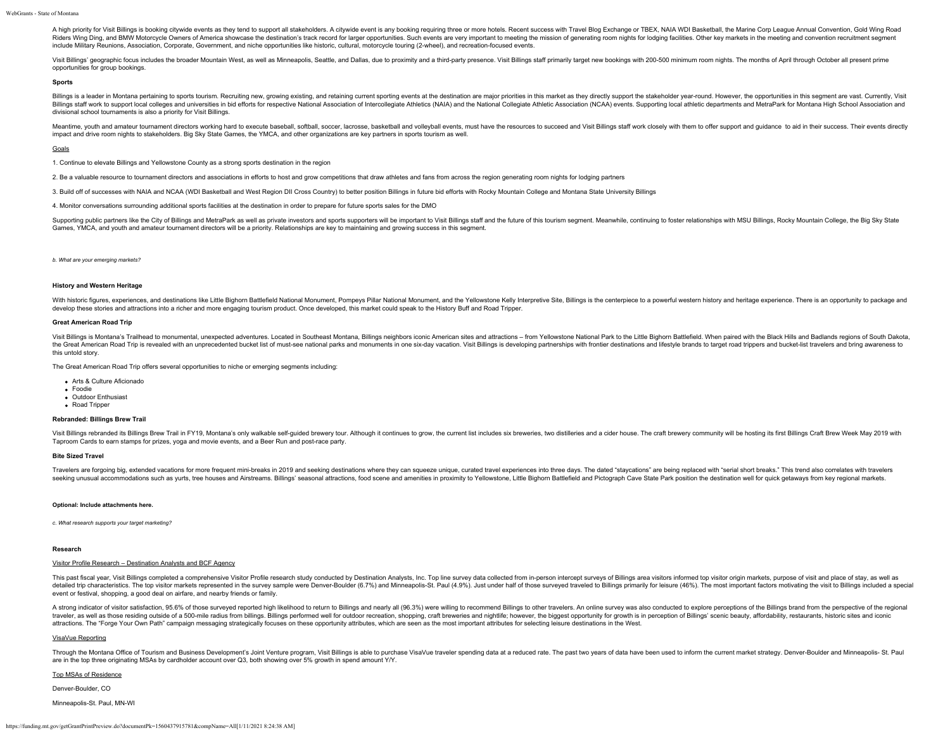A high priority for Visit Billings is booking citywide events as they tend to support all stakeholders. A citywide event is any booking requiring three or more hotels. Recent success with Travel Blog Exchange or TBEX, NAIA Riders Wind Ding. and BMW Motorcycle Owners of America showcase the destination's track record for larger opportunities. Such events are very important to meeting the mission of generating room nights for lodging facilitie include Military Reunions, Association, Corporate, Government, and niche opportunities like historic, cultural, motorcycle touring (2-wheel), and recreation-focused events.

Visit Billings' geographic focus includes the broader Mountain West, as well as Minneapolis, Seattle, and Dallas, due to proximity and a third-party presence. Visit Billings staff primarily target new bookings with 200-500 opportunities for group bookings.

#### **Sports**

Billings is a leader in Montana pertaining to sports tourism. Recruiting new, growing existing, and retaining current sporting events at the destination are major priorities in this market as they directly support the stak Billings staff work to support local colleges and universities in bid efforts for respective National Association of Intercollegiate Athletics (NAIA) and the National Collegiate Athletic Association (NCAA) events. Supporti divisional school tournaments is also a priority for Visit Billings.

Meantime, youth and amateur tournament directors working hard to execute baseball, softball, soccer, lacrosse, basketball and volleyball events, must have the resources to succeed and Visit Billings staff work closely with impact and drive room nights to stakeholders. Big Sky State Games, the YMCA, and other organizations are key partners in sports tourism as well.

#### Goals

1. Continue to elevate Billings and Yellowstone County as a strong sports destination in the region

- 2. Be a valuable resource to tournament directors and associations in efforts to host and grow competitions that draw athletes and fans from across the region generating room nights for lodging partners
- 3. Build off of successes with NAIA and NCAA (WDI Basketball and West Region DII Cross Country) to better position Billings in future bid efforts with Rocky Mountain College and Montana State University Billings

4. Monitor conversations surrounding additional sports facilities at the destination in order to prepare for future sports sales for the DMO

Supporting public partners like the City of Billings and MetraPark as well as private investors and sports supporters will be important to Visit Billings staff and the future of this tourism segment. Meanwhile, continuing Games, YMCA, and youth and amateur tournament directors will be a priority. Relationships are key to maintaining and growing success in this segment.

# *b. What are your emerging markets?*

#### **History and Western Heritage**

With historic figures, experiences, and destinations like Little Bighorn Battlefield National Monument, Pompeys Pillar National Monument, and the Yellowstone Kelly Interpretive Site, Billings is the centerpiece to a powerf develop these stories and attractions into a richer and more engaging tourism product. Once developed, this market could speak to the History Buff and Road Tripper.

### **Great American Road Trip**

Visit Billings is Montana's Trailhead to monumental, unexpected adventures. Located in Southeast Montana, Billings neighbors iconic American sites and attractions - from Yellowstone National Park to the Little Bighorn Batt the Great American Road Trip is revealed with an unprecedented bucket list of must-see national parks and monuments in one six-day vacation. Visit Billings is developing partnerships with frontier destinations and lifestyl this untold story.

The Great American Road Trip offers several opportunities to niche or emerging segments including:

- Arts & Culture Aficionado
- Foodie
- Outdoor Enthusiast
- Road Tripper

# **Rebranded: Billings Brew Trail**

Visit Billings rebranded its Billings Brew Trail in FY19, Montana's only walkable self-quided brewery tour. Although it continues to grow, the current list includes six breweries, two distilleries and a cider house. The cr Taproom Cards to earn stamps for prizes, yoga and movie events, and a Beer Run and post-race party.

# **Bite Sized Travel**

Travelers are forgoing big, extended vacations for more frequent mini-breaks in 2019 and seeking destinations where they can squeeze unique, curated travel experiences into three days. The dated "staycations" are being rep seeking unusual accommodations such as yurts, tree houses and Airstreams. Billings' seasonal attractions, food scene and amenities in proximity to Yellowstone, Little Bighorn Battlefield and Pictograph Cave State Park posi

### **Optional: Include attachments here.**

*c. What research supports your target marketing?*

#### **Research**

# Visitor Profile Research – Destination Analysts and BCF Agency

This past fiscal year, Visit Billings completed a comprehensive Visitor Profile research study conducted by Destination Analysts, Inc. Top line survey data collected from in-person intercept surveys of Billings area visito detailed trip characteristics. The top visitor markets represented in the survey sample were Denver-Boulder (6.7%) and Minneapolis-St. Paul (4.9%). Just under half of those surveyed traveled to Billings primarily for leisu event or festival, shopping, a good deal on airfare, and nearby friends or family.

A strong indicator of visitor satisfaction, 95.6% of those surveyed reported high likelihood to return to Billings and nearly all (96.3%) were willing to recommend Billings to other travelers. An online survey was also con traveler, as well as those residing outside of a 500-mile radius from billings. Billings performed well for outdoor recreation, shopping, craft breweries and nightlife; however, the biggest opportunity for growth is in per attractions. The "Forge Your Own Path" campaign messaging strategically focuses on these opportunity attributes, which are seen as the most important attributes for selecting leisure destinations in the West.

### VisaVue Reporting

Through the Montana Office of Tourism and Business Development's Joint Venture program, Visit Billings is able to purchase VisaVue traveler spending data at a reduced rate. The past two years of data have been used to info are in the top three originating MSAs by cardholder account over Q3, both showing over 5% growth in spend amount Y/Y.

# Top MSAs of Residence

Denver-Boulder, CO

Minneapolis-St. Paul, MN-WI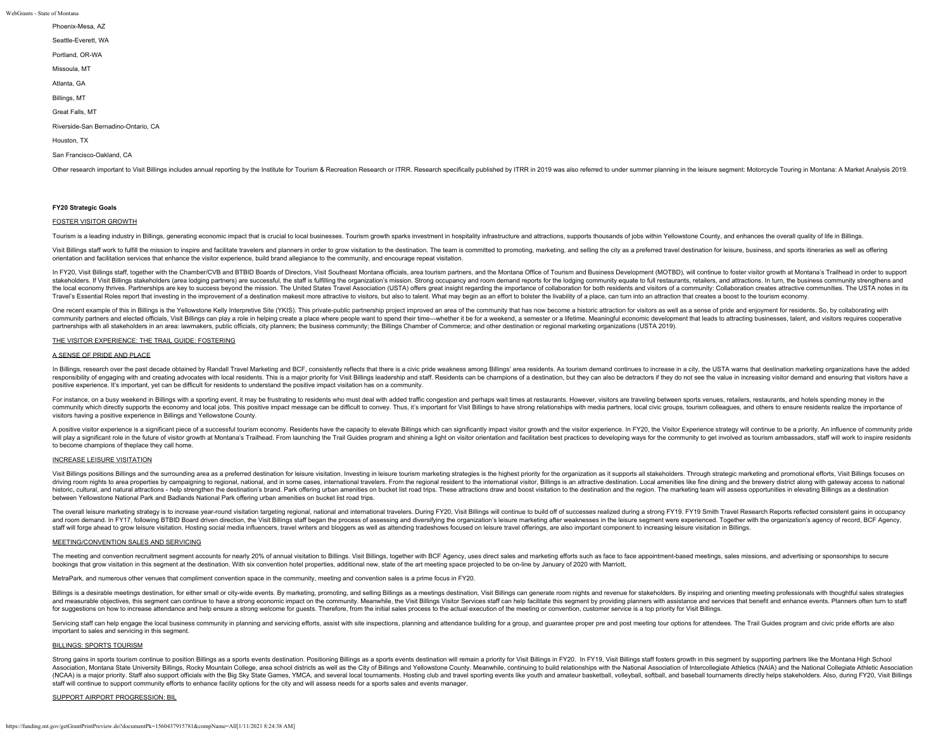- Phoenix-Mesa, AZ
- Seattle-Everett, WA
- Portland, OR-WA
- Missoula, MT
- Atlanta, GA
- Billings, MT
- Great Falls, MT

Riverside-San Bernadino-Ontario, CA

Houston, TX

# San Francisco-Oakland, CA

Other research important to Visit Billings includes annual reporting by the Institute for Tourism & Recreation Research or ITRR. Research subecifically published by ITRR in 2019 was also referred to under summer planning i

#### **FY20 Strategic Goals**

# FOSTER VISITOR GROWTH

Tourism is a leading industry in Billings, generating economic impact that is crucial to local businesses. Tourism growth sparks investment in hospitality infrastructure and attractions, supports thousands of iobs within Y

Visit Billings staff work to fulfill the mission to inspire and facilitate travelers and planners in order to grow visitation to the destination. The team is committed to promoting, marketing, and selling the city as a pre orientation and facilitation services that enhance the visitor experience, build brand allegiance to the community, and encourage repeat visitation.

In FY20, Visit Billings staff, together with the Chamber/CVB and BTBID Boards of Directors, Visit Southeast Montana officials, area tourism partners, and the Montana Office of Tourism and Business Development (MOTBD), will stakeholders. If Visit Billings stakeholders (area lodging partners) are successful, the staff is fulfilling the organization's mission. Strong occupancy and room demand reports for the lodging community equate to full res the local economy thrives. Partnerships are key to success beyond the mission. The United States Travel Association (USTA) offers great insight regarding the importance of collaboration for both residents and visitors of a Travel's Essential Roles report that investing in the improvement of a destination makesit more attractive to visitors, but also to talent. What may begin as an effort to bolster the livability of a place, can turn into an

One recent example of this in Billings is the Yellowstone Kelly Interpretive Site (YKIS). This private-public partnership project improved an area of the community that has now become a historic attraction for visitors as community partners and elected officials, Visit Billings can play a role in helping create a place where people want to spend their time—whether it be for a weekend, a semester or a lifetime. Meaningful economic developmen partnerships with all stakeholders in an area: lawmakers, public officials, city planners; the business community; the Billings Chamber of Commerce; and other destination or regional marketing organizations (USTA 2019).

# THE VISITOR EXPERIENCE: THE TRAIL GUIDE: FOSTERING

# A SENSE OF PRIDE AND PLACE

In Billings, research over the past decade obtained by Randall Travel Marketing and BCF, consistently reflects that there is a civic pride weakness among Billings' area residents. As tourism demand continues to increase in responsibility of engaging with and creating advocates with local residents. This is a maior priority for Visit Billings leadership and staff. Residents can be champions of a destination, but they can also be detractors if positive experience. It's important, yet can be difficult for residents to understand the positive impact visitation has on a community.

For instance, on a busy weekend in Billings with a sporting event, it may be frustrating to residents who must deal with added traffic congestion and perhaps wait times at restaurants. However, visitors are traveling betwe community which directly supports the economy and local iobs. This positive impact message can be difficult to convey. Thus, it's important for Visit Billings to have strong relationships with media partners, local civic g visitors having a positive experience in Billings and Yellowstone County.

A positive visitor experience is a significant piece of a successful tourism economy. Residents have the capacity to elevate Billings which can significantly impact visitor growth and the visitor experience. In FY20, the V will play a significant role in the future of visitor growth at Montana's Trailhead. From launching the Trail Guides program and shining a light on visitor orientation and facilitation best practices to developing ways for to become champions of theplace they call home.

# INCREASE LEISURE VISITATION

Visit Billings positions Billings and the surrounding area as a preferred destination for leisure visitation. Investing in leisure tourism marketing strategies is the highest priority for the organization as it supports al driving room nights to area properties by campaigning to regional, national, and in some cases, international travelers. From the regional resident to the international visitor, Billings is an attractive destination. Local historic, cultural, and natural attractions - help strengthen the destination's brand. Park offering urban amenities on bucket list road trips. These attractions draw and boost visitation to the destination and the region. between Yellowstone National Park and Badlands National Park offering urban amenities on bucket list road trips.

The overall leisure marketing strategy is to increase year-round visitation targeting regional, national and international and international travelers. During FY20, Visit Billings will continue to build off of successes re and room demand. In FY17, following BTBID Board driven direction, the Visit Billings staff began the process of assessing and diversifying the organization's leisure marketing after weaknesses in the leisure segment were e staff will forge ahead to grow leisure visitation. Hosting social media influencers, travel writers and bloggers as well as attending tradeshows focused on leisure travel offerings, are also important component to increasi

# MEETING/CONVENTION SALES AND SERVICING

The meeting and convention recruitment segment accounts for nearly 20% of annual visitation to Billings. Visit Billings, together with BCF Agency, uses direct sales and marketing efforts such as face to face appointment-ba bookings that grow visitation in this segment at the destination. With six convention hotel properties, additional new, state of the art meeting space projected to be on-line by January of 2020 with Marriott,

MetraPark, and numerous other venues that compliment convention space in the community, meeting and convention sales is a prime focus in FY20.

Billings is a desirable meetings destination, for either small or city-wide events. By marketing, promoting, and selling Billings as a meetings destination, Visit Billings can generate room nights and revenue for stakehold and measurable objectives, this segment can continue to have a strong economic impact on the community. Meanwhile, the Visit Billings Visitor Services staff can help facilitate this segment by providing planners with assis for suggestions on how to increase attendance and help ensure a strong welcome for guests. Therefore, from the initial sales process to the actual execution of the meeting or convention, customer service is a top priority

Servicing staff can help engage the local business community in planning and servicing efforts, assist with site inspections, planning and attendance building for a group, and guarantee proper pre and post meeting tour opt important to sales and servicing in this segment.

### BILLINGS: SPORTS TOURISM

Strong gains in sports tourism continue to position Billings as a sports events destination. Positioning Billings as a sports events destination will remain a priority for Visit Billings in FY20. In FY19, Visit Billings st Association, Montana State University Billings, Rocky Mountain College, area school districts as well as the City of Billings and Yellowstone County. Meanwhile, continuing to build relationships with the National Associati (NCAA) is a major priority. Staff also support officials with the Big Sky State Games, YMCA, and several local tournaments. Hosting club and travel sporting events like youth and amateur basketball, volleyball, softball, a staff will continue to support community efforts to enhance facility options for the city and will assess needs for a sports sales and events manager.

# SUPPORT AIRPORT PROGRESSION: BIL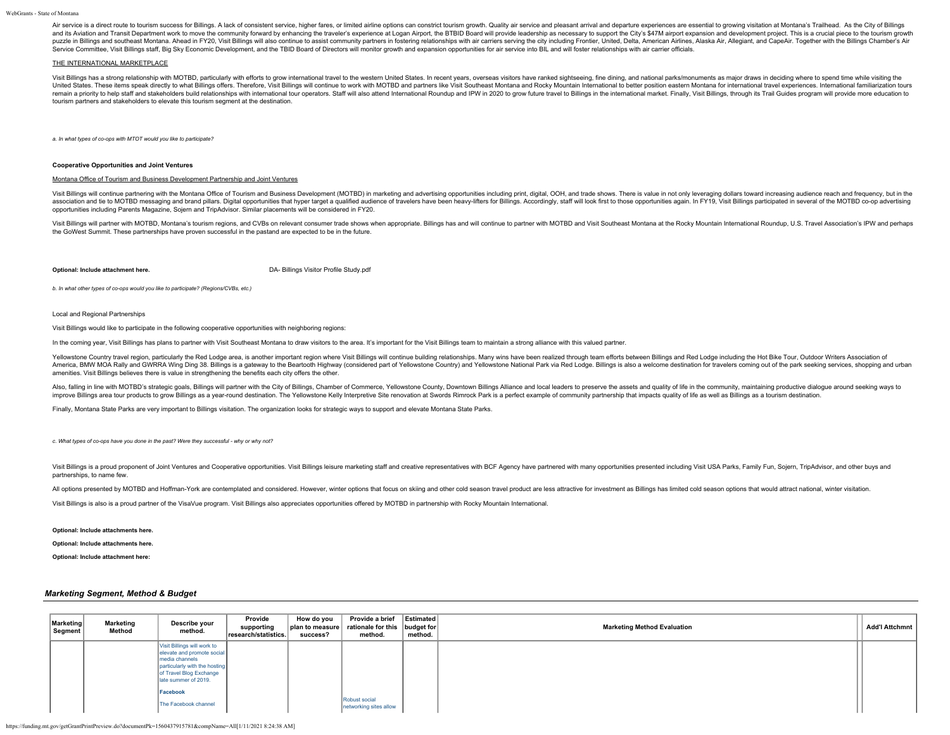Air service is a direct route to tourism success for Billings. A lack of consistent service, higher fares, or limited airline options can constrict tourism growth. Quality air service and pleasant arrival and departure exp and its Aviation and Transit Department work to move the community forward by enhancing the traveler's experience at Logan Airport, the BTBID Board will provide leadership as necessary to support the City's \$47M airport ex puzzle in Billings and southeast Montana. Ahead in FY20, Visit Billings will also continue to assist community partners in fostering relationships with air carriers serving the city including Frontier, United, Delta, Ameri Service Committee, Visit Billings staff, Big Sky Economic Development, and the TBID Board of Directors will monitor growth and expansion opportunities for air service into BIL and will foster relationships with air carrier

# THE INTERNATIONAL MARKETPLACE

Visit Billings has a strong relationship with MOTBD, particularly with efforts to grow international travel to the western United States. In recent years, overseas visitors have ranked sightseeing, fine dining, and nationa United States. These items speak directly to what Billings offers. Therefore, Visit Billings will continue to work with MOTBD and partners like Visit Southeast Montana and Rocky Mountain International to better position ea remain a priority to help staff and stakeholders build relationships with international tour operators. Staff will also attend International Roundup and IPW in 2020 to grow future travel to Billings in the international ma tourism partners and stakeholders to elevate this tourism segment at the destination.

*a. In what types of co-ops with MTOT would you like to participate?*

#### **Cooperative Opportunities and Joint Ventures**

# Montana Office of Tourism and Business Development Partnership and Joint Ventures

Visit Billings will continue partnering with the Montana Office of Tourism and Business Development (MOTBD) in marketing and advertising opportunities including print, digital, OOH, and trade shows. There is value in not o association and tie to MOTBD messaging and brand pillars. Digital opportunities that hyper target a qualified audience of travelers have been heavy-lifters for Billings. Accordingly, staff will look first to those opportun opportunities including Parents Magazine, Sojern and TripAdvisor. Similar placements will be considered in FY20.

Visit Billings will partner with MOTBD, Montana's tourism regions, and CVBs on relevant consumer trade shows when appropriate. Billings has and will continue to partner with MOTBD and Visit Southeast Montana at the Rocky M the GoWest Summit. These partnerships have proven successful in the pastand are expected to be in the future.

**Optional: Include attachment here.** [DA- Billings Visitor Profile Study.pdf](https://funding.mt.gov/fileDownload.jsp?filename=1556900123625_DA-+Billings+Visitor+Profile+Study.pdf)

*b. In what other types of co-ops would you like to participate? (Regions/CVBs, etc.)*

Local and Regional Partnerships

Visit Billings would like to participate in the following cooperative opportunities with neighboring regions:

In the coming year, Visit Billings has plans to partner with Visit Southeast Montana to draw visitors to the area. It's important for the Visit Billings team to maintain a strong alliance with this valued partner.

Yellowstone Country travel region, particularly the Red Lodge area, is another important region where Visit Billings will continue building relationships. Many wins have been realized through team efforts between Billings America, BMW MOA Rally and GWRRA Wing Ding 38. Billings is a gateway to the Beartooth Highway (considered part of Yellowstone Country) and Yellowstone National Park via Red Lodge. Billings is also a welcome destination for amenities. Visit Billings believes there is value in strengthening the benefits each city offers the other.

Also, falling in line with MOTBD's strategic goals. Billings will partner with the City of Billings. Chamber of Commerce, Yellowstone County. Downtown Billings Alliance and local leaders to preserve the assets and quality improve Billings area tour products to grow Billings as a year-round destination. The Yellowstone Kelly Interpretive Site renovation at Swords Rimrock Park is a perfect example of community partnership that impacts quality

Finally, Montana State Parks are very important to Billings visitation. The organization looks for strategic ways to support and elevate Montana State Parks.

*c. What types of co-ops have you done in the past? Were they successful - why or why not?*

Visit Billings is a proud proponent of Joint Ventures and Cooperative opportunities. Visit Billings leisure marketing staff and creative representatives with BCF Agency have partnered with many opportunities presented incl partnerships, to name few.

All options presented by MOTBD and Hoffman-York are contemplated and considered. However, winter options that focus on skiing and other cold season travel product are less attractive for investment as Billings has limited

Visit Billings is also is a proud partner of the VisaVue program. Visit Billings also appreciates opportunities offered by MOTBD in partnership with Rocky Mountain International.

**Optional: Include attachments here.**

# **Optional: Include attachments here.**

**Optional: Include attachment here:**

# *Marketing Segment, Method & Budget*

| <b>Marketing</b><br>Segment | <b>Marketing</b><br>Method | Describe your<br>method.                                                                                                                                                      | Provide<br>supporting<br>research/statistics. | How do you<br>success? | Provide a brief<br>  plan to measure   rationale for this   budget for<br>method. | Estimated<br>method. | <b>Marketing Method Evaluation</b> | <b>Add'l Attchmnt</b> |
|-----------------------------|----------------------------|-------------------------------------------------------------------------------------------------------------------------------------------------------------------------------|-----------------------------------------------|------------------------|-----------------------------------------------------------------------------------|----------------------|------------------------------------|-----------------------|
|                             |                            | Visit Billings will work to<br>elevate and promote social<br>Imedia channels<br>particularly with the hosting<br>of Travel Blog Exchange<br>llate summer of 2019.<br>Facebook |                                               |                        |                                                                                   |                      |                                    |                       |
|                             |                            | The Facebook channel                                                                                                                                                          |                                               |                        | Robust social<br>networking sites allow                                           |                      |                                    |                       |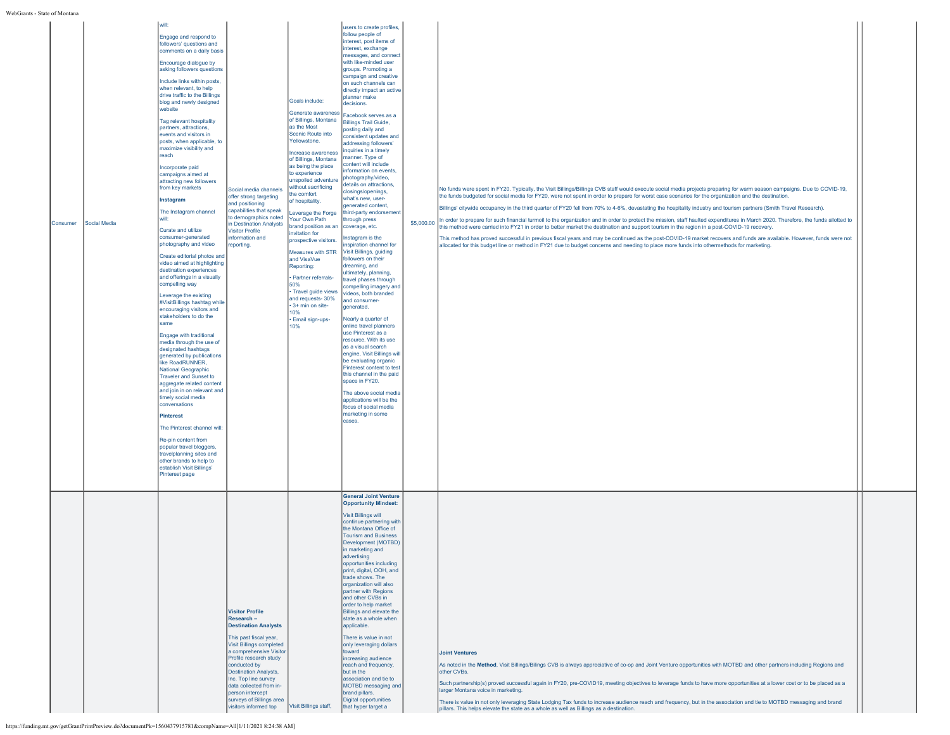| Consumer | Social Media | will:<br>Engage and respond to<br>followers' questions and<br>comments on a daily basis<br>Encourage dialogue by<br>asking followers questions<br>Include links within posts,<br>when relevant, to help<br>drive traffic to the Billings<br>blog and newly designed<br>website<br>Tag relevant hospitality<br>partners, attractions,<br>events and visitors in<br>posts, when applicable, to<br>maximize visibility and<br>reach<br>Incorporate paid<br>campaigns aimed at<br>attracting new followers<br>from key markets<br>Instagram<br>The Instagram channel<br>will:<br>Curate and utilize<br>consumer-generated<br>photography and video<br>Create editorial photos and<br>video aimed at highlighting<br>destination experiences<br>and offerings in a visually<br>compelling way<br>Leverage the existing<br>#VisitBillings hashtag while<br>encouraging visitors and<br>stakeholders to do the<br>same<br>Engage with traditional<br>media through the use of<br>designated hashtags<br>generated by publications<br>like RoadRUNNER,<br><b>National Geographic</b><br><b>Traveler and Sunset to</b><br>aggregate related content<br>and join in on relevant and<br>timely social media<br>conversations<br>Pinterest<br>The Pinterest channel will:<br>Re-pin content from<br>popular travel bloggers,<br>travelplanning sites and<br>other brands to help to<br>establish Visit Billings'<br>Pinterest page | Social media channels<br>offer strong targeting<br>and positioning<br>capabilities that speak<br>to demographics noted<br>n Destination Analysts<br><b>Visitor Profile</b><br>information and<br>reporting.                                                                                                                                                | Goals include:<br>Generate awareness<br>of Billings, Montana<br>as the Most<br>Scenic Route into<br>Yellowstone.<br>Increase awareness<br>of Billings, Montana<br>as being the place<br>to experience<br>unspoiled adventure<br>without sacrificing<br>the comfort<br>of hospitality.<br>Leverage the Forge<br>Your Own Path<br>brand position as an<br>invitation for<br>prospective visitors.<br>Measures with STR<br>and VisaVue<br>Reporting:<br>· Partner referrals-<br>50%<br>· Travel guide views<br>and requests- 30%<br>+3+ min on site-<br>10%<br>· Email sign-ups-<br>10% | users to create profiles,<br>follow people of<br>nterest, post items of<br>nterest, exchange<br>nessages, and connect<br>with like-minded user<br>groups. Promoting a<br>campaign and creative<br>on such channels can<br>directly impact an active<br>planner make<br>decisions.<br>Facebook serves as a<br><b>Billings Trail Guide,</b><br>posting daily and<br>consistent updates and<br>addressing followers'<br>nquiries in a timely<br>manner. Type of<br>content will include<br>nformation on events,<br>photography/video,<br>details on attractions,<br>closings/openings,<br>what's new, user-<br>generated content,<br>third-party endorsement<br>through press<br>coverage, etc.<br>Instagram is the<br>nspiration channel for<br>Visit Billings, guiding<br>followers on their<br>dreaming, and<br>ultimately, planning,<br>travel phases through<br>compelling imagery and<br>videos, both branded<br>and consumer-<br>generated.<br>Nearly a quarter of<br>online travel planners<br>use Pinterest as a<br>resource. With its use<br>as a visual search<br>engine, Visit Billings will<br>be evaluating organic<br>Pinterest content to test<br>this channel in the paid<br>space in FY20.<br>The above social media<br>applications will be the<br>focus of social media<br>marketing in some<br>cases. | \$5,000.00 | No funds were spent in FY20. Typically, the Visit Billings/Billings CVB staff would execute social media projects preparing for warm season campaigns. Due to COVID-19,<br>the funds budgeted for social media for FY20, were not spent in order to prepare for worst case scenarios for the organization and the destination.<br>Billings' citywide occupancy in the third quarter of FY20 fell from 70% to 4-6%, devastating the hospitality industry and tourism partners (Smith Travel Research).<br>In order to prepare for such financial turmoil to the organization and in order to protect the mission, staff haulted expenditures in March 2020. Therefore, the funds allotted to<br>this method were carried into FY21 in order to better market the destination and support tourism in the region in a post-COVID-19 recovery.<br>This method has proved successful in previous fiscal years and may be continued as the post-COVID-19 market recovers and funds are available. However, funds were not<br>allocated for this budget line or method in FY21 due to budget concerns and needing to place more funds into othermethods for marketing. |  |
|----------|--------------|------------------------------------------------------------------------------------------------------------------------------------------------------------------------------------------------------------------------------------------------------------------------------------------------------------------------------------------------------------------------------------------------------------------------------------------------------------------------------------------------------------------------------------------------------------------------------------------------------------------------------------------------------------------------------------------------------------------------------------------------------------------------------------------------------------------------------------------------------------------------------------------------------------------------------------------------------------------------------------------------------------------------------------------------------------------------------------------------------------------------------------------------------------------------------------------------------------------------------------------------------------------------------------------------------------------------------------------------------------------------------------------------------------------------|------------------------------------------------------------------------------------------------------------------------------------------------------------------------------------------------------------------------------------------------------------------------------------------------------------------------------------------------------------|--------------------------------------------------------------------------------------------------------------------------------------------------------------------------------------------------------------------------------------------------------------------------------------------------------------------------------------------------------------------------------------------------------------------------------------------------------------------------------------------------------------------------------------------------------------------------------------|--------------------------------------------------------------------------------------------------------------------------------------------------------------------------------------------------------------------------------------------------------------------------------------------------------------------------------------------------------------------------------------------------------------------------------------------------------------------------------------------------------------------------------------------------------------------------------------------------------------------------------------------------------------------------------------------------------------------------------------------------------------------------------------------------------------------------------------------------------------------------------------------------------------------------------------------------------------------------------------------------------------------------------------------------------------------------------------------------------------------------------------------------------------------------------------------------------------------------------------------------------------------------------------------------------------------------|------------|-----------------------------------------------------------------------------------------------------------------------------------------------------------------------------------------------------------------------------------------------------------------------------------------------------------------------------------------------------------------------------------------------------------------------------------------------------------------------------------------------------------------------------------------------------------------------------------------------------------------------------------------------------------------------------------------------------------------------------------------------------------------------------------------------------------------------------------------------------------------------------------------------------------------------------------------------------------------------------------------------------------------------------------------------------------------------------------------------------------------------------------------------------------------|--|
|          |              |                                                                                                                                                                                                                                                                                                                                                                                                                                                                                                                                                                                                                                                                                                                                                                                                                                                                                                                                                                                                                                                                                                                                                                                                                                                                                                                                                                                                                        | <b>Visitor Profile</b><br>Research -<br><b>Destination Analysts</b><br>This past fiscal year,<br>Visit Billings completed<br>a comprehensive Visitor<br>Profile research study<br>conducted by<br><b>Destination Analysts,</b><br>Inc. Top line survey<br>data collected from in-<br>person intercept<br>surveys of Billings area<br>visitors informed top | Visit Billings staff,                                                                                                                                                                                                                                                                                                                                                                                                                                                                                                                                                                | <b>General Joint Venture</b><br><b>Opportunity Mindset:</b><br><b>Visit Billings will</b><br>continue partnering with<br>the Montana Office of<br><b>Tourism and Business</b><br>Development (MOTBD)<br>in marketing and<br>advertising<br>opportunities including<br>print, digital, OOH, and<br>trade shows. The<br>organization will also<br>partner with Regions<br>and other CVBs in<br>order to help market<br>Billings and elevate the<br>state as a whole when<br>applicable.<br>There is value in not<br>only leveraging dollars<br>toward<br>increasing audience<br>reach and frequency,<br>but in the<br>association and tie to<br>MOTBD messaging and<br>brand pillars.<br><b>Digital opportunities</b><br>that hyper target a                                                                                                                                                                                                                                                                                                                                                                                                                                                                                                                                                                               |            | <b>Joint Ventures</b><br>As noted in the Method, Visit Billings/Bilings CVB is always appreciative of co-op and Joint Venture opportunities with MOTBD and other partners including Regions and<br>other CVBs.<br>Such partnership(s) proved successful again in FY20, pre-COVID19, meeting objectives to leverage funds to have more opportunities at a lower cost or to be placed as a<br>larger Montana voice in marketing.<br>There is value in not only leveraging State Lodging Tax funds to increase audience reach and frequency, but in the association and tie to MOTBD messaging and brand<br>pillars. This helps elevate the state as a whole as well as Billings as a destination.                                                                                                                                                                                                                                                                                                                                                                                                                                                                 |  |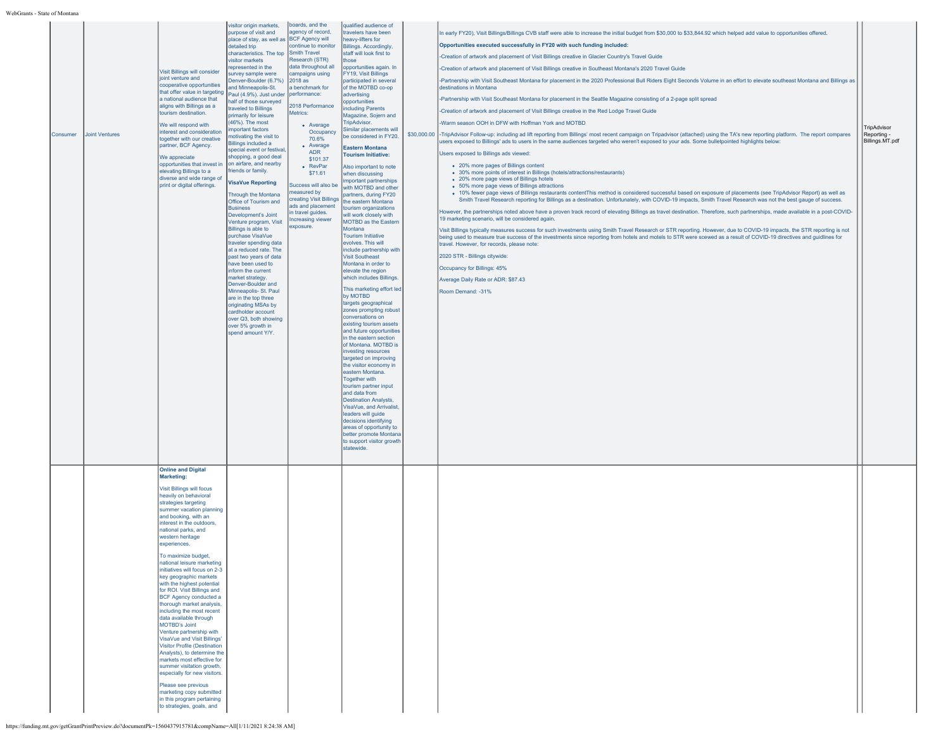| Consumer | Joint Ventures | Visit Billings will consider<br>joint venture and<br>cooperative opportunities<br>that offer value in targeting<br>a national audience that<br>aligns with Billings as a<br>tourism destination.<br>We will respond with<br>interest and consideration<br>together with our creative<br>partner, BCF Agency.<br>We appreciate<br>opportunities that invest in<br>elevating Billings to a<br>diverse and wide range of<br>print or digital offerings.                                                                                                                                                                                                                                                                                                                                                                                                                                                                          | purpose of visit and<br>place of stay, as well as BCF Agency will<br>detailed trip<br>characteristics. The top<br>visitor markets<br>represented in the<br>survey sample were<br>Denver-Boulder (6.7%)<br>and Minneapolis-St.<br>Paul (4.9%). Just under<br>half of those surveyed<br>traveled to Billings<br>primarily for leisure<br>(46%). The most<br>important factors<br>motivating the visit to<br><b>Billings included a</b><br>special event or festival,<br>shopping, a good deal<br>on airfare, and nearby<br>friends or family.<br><b>VisaVue Reporting</b><br>Through the Montana<br>Office of Tourism and<br><b>Business</b><br>Development's Joint<br>Venture program, Visit<br>Billings is able to<br>purchase VisaVue<br>traveler spending data<br>at a reduced rate. The<br>past two years of data<br>have been used to<br>inform the current<br>market strategy.<br>Denver-Boulder and<br>Minneapolis- St. Paul<br>are in the top three<br>originating MSAs by<br>cardholder account<br>over Q3, both showing<br>over 5% growth in<br>spend amount Y/Y. | agency of record,<br>continue to monitor<br>Smith Travel<br>Research (STR)<br>data throughout all<br>campaigns using<br>2018 as<br>a benchmark for<br>performance:<br>2018 Performance<br>Metrics:<br>• Average<br>Occupancy<br>70.6%<br>• Average<br>ADR<br>\$101.37<br>• RevPar<br>\$71.61<br>Success will also be<br>measured by<br>creating Visit Billings<br>ads and placement<br>in travel guides.<br>Increasing viewer<br>exposure. | travelers have been<br>heavy-lifters for<br><b>Billings. Accordingly,</b><br>staff will look first to<br>hose<br>opportunities again. In<br>FY19, Visit Billings<br>participated in several<br>of the MOTBD co-op<br>advertising<br>opportunities<br>ncluding Parents<br>Magazine, Sojern and<br>TripAdvisor.<br>Similar placements will<br>be considered in FY20.<br><b>Eastern Montana</b><br><b>Tourism Initiative:</b><br>Also important to note<br>when discussing<br>important partnerships<br>with MOTBD and other<br>partners, during FY20<br>the eastern Montana<br>tourism organizations<br>will work closely with<br><b>MOTBD</b> as the Eastern<br>Montana<br><b>Tourism Initiative</b><br>evolves. This will<br>include partnership with<br><b>Visit Southeast</b><br>Montana in order to<br>elevate the region<br>which includes Billings.<br>This marketing effort led<br>by MOTBD<br>targets geographical<br>zones prompting robust<br>conversations on<br>existing tourism assets<br>and future opportunities<br>in the eastern section<br>of Montana. MOTBD is<br>investing resources<br>targeted on improving<br>the visitor economy in<br>eastern Montana.<br><b>Together with</b><br>tourism partner input<br>and data from<br><b>Destination Analysts,</b><br>VisaVue, and Arrivalist<br>leaders will guide<br>decisions identifying<br>areas of opportunity to<br>better promote Montana<br>to support visitor growth<br>statewide. | In early FY20), Visit Billings/Billings CVB staff were able to increase the initial budget from \$30,000 to \$33,844.92 which helped add value to opportunities offered<br>Opportunities executed successfully in FY20 with such funding included:<br>-Creation of artwork and placement of Visit Billings creative in Glacier Country's Travel Guide<br>-Creation of artwork and placement of Visit Billings creative in Southeast Montana's 2020 Travel Guide<br>-Partnership with Visit Southeast Montana for placement in the 2020 Professional Bull Riders Eight Seconds Volume in an effort to elevate southeast Montana and Billings as<br>destinations in Montana<br>-Partnership with Visit Southeast Montana for placement in the Seattle Magazine consisting of a 2-page split spread<br>-Creation of artwork and placement of Visit Billings creative in the Red Lodge Travel Guide<br>-Warm season OOH in DFW with Hoffman York and MOTBD<br>\$30,000.00 -TripAdvisor Follow-up: including ad lift reporting from Billings' most recent campaign on Tripadvisor (attached) using the TA's new reporting platform. The report compares<br>users exposed to Billings' ads to users in the same audiences targeted who weren't exposed to your ads. Some bulletpointed highlights below:<br>Users exposed to Billings ads viewed:<br>. 20% more pages of Billings content<br>• 30% more points of interest in Billings (hotels/attractions/restaurants)<br>• 20% more page views of Billings hotels<br>• 50% more page views of Billings attractions<br>· 10% fewer page views of Billings restaurants contentThis method is considered successful based on exposure of placements (see TripAdvisor Report) as well as<br>Smith Travel Research reporting for Billings as a destination. Unfortunately, with COVID-19 impacts, Smith Travel Research was not the best gauge of success.<br>However, the partnerships noted above have a proven track record of elevating Billings as travel destination. Therefore, such partnerships, made available in a post-COVID-<br>19 marketing scenario, will be considered again.<br>Visit Billings typically measures success for such investments using Smith Travel Research or STR reporting. However, due to COVID-19 impacts, the STR reporting is not<br>being used to measure true success of the investments since reporting from hotels and motels to STR were scewed as a result of COVID-19 directives and guidlines for<br>travel. However, for records, please note:<br>2020 STR - Billings citywide:<br>Occupancy for Billings: 45%<br>Average Daily Rate or ADR: \$87.43<br>Room Demand: -31% | TripAdvisor<br>Reporting -<br>Billings.MT.pdf |
|----------|----------------|-------------------------------------------------------------------------------------------------------------------------------------------------------------------------------------------------------------------------------------------------------------------------------------------------------------------------------------------------------------------------------------------------------------------------------------------------------------------------------------------------------------------------------------------------------------------------------------------------------------------------------------------------------------------------------------------------------------------------------------------------------------------------------------------------------------------------------------------------------------------------------------------------------------------------------|----------------------------------------------------------------------------------------------------------------------------------------------------------------------------------------------------------------------------------------------------------------------------------------------------------------------------------------------------------------------------------------------------------------------------------------------------------------------------------------------------------------------------------------------------------------------------------------------------------------------------------------------------------------------------------------------------------------------------------------------------------------------------------------------------------------------------------------------------------------------------------------------------------------------------------------------------------------------------------------------------------------------------------------------------------------------------|--------------------------------------------------------------------------------------------------------------------------------------------------------------------------------------------------------------------------------------------------------------------------------------------------------------------------------------------------------------------------------------------------------------------------------------------|------------------------------------------------------------------------------------------------------------------------------------------------------------------------------------------------------------------------------------------------------------------------------------------------------------------------------------------------------------------------------------------------------------------------------------------------------------------------------------------------------------------------------------------------------------------------------------------------------------------------------------------------------------------------------------------------------------------------------------------------------------------------------------------------------------------------------------------------------------------------------------------------------------------------------------------------------------------------------------------------------------------------------------------------------------------------------------------------------------------------------------------------------------------------------------------------------------------------------------------------------------------------------------------------------------------------------------------------------------------------------------------------------------------------------------------------------------|------------------------------------------------------------------------------------------------------------------------------------------------------------------------------------------------------------------------------------------------------------------------------------------------------------------------------------------------------------------------------------------------------------------------------------------------------------------------------------------------------------------------------------------------------------------------------------------------------------------------------------------------------------------------------------------------------------------------------------------------------------------------------------------------------------------------------------------------------------------------------------------------------------------------------------------------------------------------------------------------------------------------------------------------------------------------------------------------------------------------------------------------------------------------------------------------------------------------------------------------------------------------------------------------------------------------------------------------------------------------------------------------------------------------------------------------------------------------------------------------------------------------------------------------------------------------------------------------------------------------------------------------------------------------------------------------------------------------------------------------------------------------------------------------------------------------------------------------------------------------------------------------------------------------------------------------------------------------------------------------------------------------------------------------------------------------------------------------------------------------------------------------------------------------------------------------------------------------------------------------------------------------------------------------------------------------------------------------------------------------------------------------------------------------------------------------------------------------------------------------------------------------------------------------------------------------------------------------------------------------------------------------------------------|-----------------------------------------------|
|          |                | <b>Online and Digital</b><br>Marketing:<br><b>Visit Billings will focus</b><br>heavily on behavioral<br>strategies targeting<br>summer vacation planning<br>and booking, with an<br>interest in the outdoors,<br>national parks, and<br>western heritage<br>experiences.<br>To maximize budget<br>national leisure marketing<br>initiatives will focus on 2-3<br>key geographic markets<br>with the highest potential<br>for ROI. Visit Billings and<br>BCF Agency conducted a<br>thorough market analysis,<br>including the most recent<br>data available through<br>MOTBD's Joint<br>Venture partnership with<br>VisaVue and Visit Billings'<br><b>Visitor Profile (Destination</b><br>Analysts), to determine the<br>markets most effective for<br>summer visitation growth,<br>especially for new visitors.<br>Please see previous<br>marketing copy submitted<br>in this program pertaining<br>to strategies, goals, and |                                                                                                                                                                                                                                                                                                                                                                                                                                                                                                                                                                                                                                                                                                                                                                                                                                                                                                                                                                                                                                                                            |                                                                                                                                                                                                                                                                                                                                                                                                                                            |                                                                                                                                                                                                                                                                                                                                                                                                                                                                                                                                                                                                                                                                                                                                                                                                                                                                                                                                                                                                                                                                                                                                                                                                                                                                                                                                                                                                                                                            |                                                                                                                                                                                                                                                                                                                                                                                                                                                                                                                                                                                                                                                                                                                                                                                                                                                                                                                                                                                                                                                                                                                                                                                                                                                                                                                                                                                                                                                                                                                                                                                                                                                                                                                                                                                                                                                                                                                                                                                                                                                                                                                                                                                                                                                                                                                                                                                                                                                                                                                                                                                                                                                                  |                                               |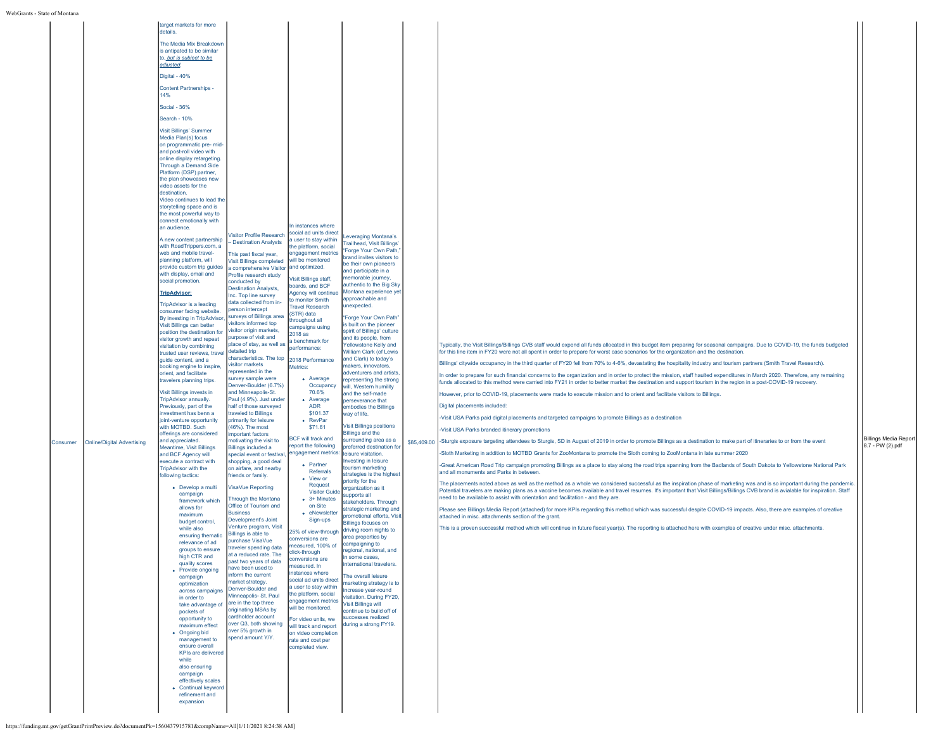| Consumer | <b>Online/Digital Advertising</b> | target markets for more<br>details.<br>The Media Mix Breakdown<br>is antipated to be similar<br>to, but is subject to be<br>adjusted:<br>Digital - 40%<br><b>Content Partnerships -</b><br>14%<br>Social - 36%<br>Search - 10%<br><b>Visit Billings' Summer</b><br>Media Plan(s) focus<br>on programmatic pre- mid-<br>and post-roll video with<br>online display retargeting.<br>Through a Demand Side<br>Platform (DSP) partner,<br>the plan showcases new<br>video assets for the<br>destination.<br>Video continues to lead the<br>storytelling space and is<br>the most powerful way to<br>connect emotionally with<br>an audience.<br>A new content partnership<br>with RoadTrippers.com, a<br>web and mobile travel-<br>planning platform, will<br>provide custom trip guides<br>with display, email and<br>social promotion<br><b>TripAdvisor:</b><br><b>TripAdvisor is a leading</b><br>consumer facing website.<br>By investing in TripAdvisor.<br>Visit Billings can better<br>position the destination for<br>visitor growth and repeat<br>visitation by combining<br>trusted user reviews, travel<br>guide content, and a<br>booking engine to inspire,<br>prient, and facilitate<br>travelers planning trips.<br>Visit Billings invests in<br>TripAdvisor annually.<br>Previously, part of the<br>investment has benn a<br>oint-venture opportunity<br>with MOTBD. Such<br>offerings are considered<br>and appreciated.<br><b>Meantime, Visit Billings</b><br>and BCF Agency will<br>execute a contract with<br><b>TripAdvisor with the</b><br>following tactics:<br>• Develop a multi<br>campaign<br>framework which<br>allows for<br>maximum<br>budget control,<br>while also<br>ensuring thematic<br>relevance of ad<br>groups to ensure<br>high CTR and<br>quality scores<br>• Provide ongoing<br>campaign<br>optimization<br>across campaigns<br>in order to<br>take advantage of<br>pockets of<br>opportunity to<br>maximum effect<br>• Ongoing bid<br>management to<br>ensure overall<br>KPIs are delivered<br>while<br>also ensuring<br>campaign<br>effectively scales<br>• Continual keyword<br>refinement and | Visitor Profile Research<br>- Destination Analysts<br>This past fiscal year,<br>Visit Billings completed<br>a comprehensive Visitor<br>Profile research study<br>conducted by<br><b>Destination Analysts,</b><br>Inc. Top line survey<br>data collected from in-<br>person intercept<br>surveys of Billings area<br>visitors informed top<br>visitor origin markets,<br>purpose of visit and<br>place of stay, as well as<br>detailed trip<br>characteristics. The top<br>visitor markets<br>represented in the<br>survey sample were<br>Denver-Boulder (6.7%)<br>and Minneapolis-St.<br>Paul (4.9%). Just under<br>half of those surveyed<br>traveled to Billings<br>primarily for leisure<br>(46%). The most<br>important factors<br>motivating the visit to<br><b>Billings included a</b><br>special event or festival<br>shopping, a good deal<br>on airfare, and nearby<br>friends or family.<br>VisaVue Reporting<br>Through the Montana<br>Office of Tourism and<br><b>Business</b><br>Development's Joint<br>Venture program, Visit<br>Billings is able to<br>purchase VisaVue<br>traveler spending data<br>at a reduced rate. The<br>past two years of data<br>have been used to<br>inform the current<br>market strategy.<br>Denver-Boulder and<br>Minneapolis- St. Paul<br>are in the top three<br>originating MSAs by<br>cardholder account<br>over Q3, both showing<br>over 5% growth in<br>spend amount Y/Y. | In instances where<br>social ad units direct<br>a user to stay within<br>the platform, social<br>engagement metrics<br>will be monitored<br>and optimized.<br>Visit Billings staff,<br>boards, and BCF<br>Agency will continu<br>to monitor Smith<br><b>Travel Research</b><br>(STR) data<br>throughout all<br>campaigns using<br>2018 as<br>a benchmark for<br>performance:<br>2018 Performance<br>Metrics:<br>• Average<br>Occupancy<br>70.6%<br>• Average<br><b>ADR</b><br>\$101.37<br>• RevPar<br>\$71.61<br><b>BCF</b> will track and<br>report the following<br>engagement metrics:<br>• Partner<br>Referrals<br>• View or<br>Request<br><b>Visitor Guide</b><br>$\bullet$ 3+ Minutes<br>on Site<br>• eNewsletter<br>Sign-ups<br>25% of view-through<br>conversions are<br>measured, 100% of<br>click-through<br>conversions are<br>measured. In<br>instances where<br>social ad units direct<br>a user to stav within<br>the platform, social<br>engagement metrics<br>will be monitored.<br>For video units, we<br>will track and report<br>on video completion<br>rate and cost per<br>completed view. | everaging Montana's<br>railhead, Visit Billings'<br>Forge Your Own Path,<br>brand invites visitors to<br>be their own pioneers<br>and participate in a<br>nemorable journey,<br>authentic to the Big Sky<br>Montana experience yet<br>approachable and<br>unexpected.<br>"Forge Your Own Path"<br>is built on the pioneer<br>spirit of Billings' culture<br>and its people, from<br>Yellowstone Kelly and<br>William Clark (of Lewis<br>and Clark) to today's<br>makers, innovators,<br>adventurers and artists,<br>representing the strong<br>will, Western humility<br>and the self-made<br>perseverance that<br>embodies the Billings<br>way of life.<br><b>Visit Billings positions</b><br><b>Billings and the</b><br>urrounding area as a<br>referred destination for<br>isure visitation.<br>nvesting in leisure<br>purism marketing<br>strategies is the highest<br>priority for the<br>rganization as it<br>upports all<br>stakeholders, Through<br>strategic marketing and<br>promotional efforts, Visit<br><b>Billings focuses on</b><br>driving room nights to<br>area properties by<br>campaigning to<br>egional, national, and<br>some cases<br>iternational travelers.<br>he overall leisure<br>narketing strategy is to<br>ncrease year-round<br>isitation. During FY20,<br>Visit Billings will<br>continue to build off of<br>uccesses realized<br>during a strong FY19. | \$85,409.00 | Typically, the Visit Billings/Billings CVB staff would expend all funds allocated in this budget item preparing for seasonal campaigns. Due to COVID-19, the funds budgeted<br>for this line item in FY20 were not all spent in order to prepare for worst case scenarios for the organization and the destination.<br>Billings' citywide occupancy in the third quarter of FY20 fell from 70% to 4-6%, devastating the hospitality industry and tourism partners (Smith Travel Research).<br>In order to prepare for such financial concerns to the organization and in order to protect the mission, staff haulted expenditures in March 2020. Therefore, any remaining<br>funds allocated to this method were carried into FY21 in order to better market the destination and support tourism in the region in a post-COVID-19 recovery.<br>However, prior to COVID-19, placements were made to execute mission and to orient and facilitate visitors to Billings.<br>Digital placements included:<br>-Visit USA Parks paid digital placements and targeted campaigns to promote Billings as a destination<br>-Visit USA Parks branded itinerary promotions<br>-Sturgis exposure targeting attendees to Sturgis, SD in August of 2019 in order to promote Billings as a destination to make part of itineraries to or from the event<br>-Sloth Marketing in addition to MOTBD Grants for ZooMontana to promote the Sloth coming to ZooMontana in late summer 2020<br>-Great American Road Trip campaign promoting Billings as a place to stay along the road trips spanning from the Badlands of South Dakota to Yellowstone National Park<br>and all monuments and Parks in between.<br>The placements noted above as well as the method as a whole we considered successful as the inspiration phase of marketing was and is so important during the pandemic.<br>Potential travelers are making plans as a vaccine becomes available and travel resumes. It's important that Visit Billings/Billings CVB brand is avialable for inspiration. Staff<br>need to be available to assist with orientation and facilitation - and they are.<br>Please see Billings Media Report (attached) for more KPIs regarding this method which was successful despite COVID-19 impacts. Also, there are examples of creative<br>attached in misc, attachments section of the grant.<br>This is a proven successful method which will continue in future fiscal year(s). The reporting is attached here with examples of creative under misc. attachments. | <b>Billings Media Report</b><br>8.7 - PW (2).pdf |  |
|----------|-----------------------------------|---------------------------------------------------------------------------------------------------------------------------------------------------------------------------------------------------------------------------------------------------------------------------------------------------------------------------------------------------------------------------------------------------------------------------------------------------------------------------------------------------------------------------------------------------------------------------------------------------------------------------------------------------------------------------------------------------------------------------------------------------------------------------------------------------------------------------------------------------------------------------------------------------------------------------------------------------------------------------------------------------------------------------------------------------------------------------------------------------------------------------------------------------------------------------------------------------------------------------------------------------------------------------------------------------------------------------------------------------------------------------------------------------------------------------------------------------------------------------------------------------------------------------------------------------------------------------------------------------------------------------------------------------------------------------------------------------------------------------------------------------------------------------------------------------------------------------------------------------------------------------------------------------------------------------------------------------------------------------------------------------------------------------------------------------------------------------------------------------------------------------------------|----------------------------------------------------------------------------------------------------------------------------------------------------------------------------------------------------------------------------------------------------------------------------------------------------------------------------------------------------------------------------------------------------------------------------------------------------------------------------------------------------------------------------------------------------------------------------------------------------------------------------------------------------------------------------------------------------------------------------------------------------------------------------------------------------------------------------------------------------------------------------------------------------------------------------------------------------------------------------------------------------------------------------------------------------------------------------------------------------------------------------------------------------------------------------------------------------------------------------------------------------------------------------------------------------------------------------------------------------------------------------------------------------------------------------|-----------------------------------------------------------------------------------------------------------------------------------------------------------------------------------------------------------------------------------------------------------------------------------------------------------------------------------------------------------------------------------------------------------------------------------------------------------------------------------------------------------------------------------------------------------------------------------------------------------------------------------------------------------------------------------------------------------------------------------------------------------------------------------------------------------------------------------------------------------------------------------------------------------------------------------------------------------------------------------------------------------------------------------------------------------------------------------------------------------------|------------------------------------------------------------------------------------------------------------------------------------------------------------------------------------------------------------------------------------------------------------------------------------------------------------------------------------------------------------------------------------------------------------------------------------------------------------------------------------------------------------------------------------------------------------------------------------------------------------------------------------------------------------------------------------------------------------------------------------------------------------------------------------------------------------------------------------------------------------------------------------------------------------------------------------------------------------------------------------------------------------------------------------------------------------------------------------------------------------------------------------------------------------------------------------------------------------------------------------------------------------------------------------------------------------------------------------------------------------------------------------------|-------------|--------------------------------------------------------------------------------------------------------------------------------------------------------------------------------------------------------------------------------------------------------------------------------------------------------------------------------------------------------------------------------------------------------------------------------------------------------------------------------------------------------------------------------------------------------------------------------------------------------------------------------------------------------------------------------------------------------------------------------------------------------------------------------------------------------------------------------------------------------------------------------------------------------------------------------------------------------------------------------------------------------------------------------------------------------------------------------------------------------------------------------------------------------------------------------------------------------------------------------------------------------------------------------------------------------------------------------------------------------------------------------------------------------------------------------------------------------------------------------------------------------------------------------------------------------------------------------------------------------------------------------------------------------------------------------------------------------------------------------------------------------------------------------------------------------------------------------------------------------------------------------------------------------------------------------------------------------------------------------------------------------------------------------------------------------------------------------------------------------------------------------------------------------------------------------------------------------------------------------------------------------------------------------------------------------------------------------------------------------------------------------------------------------------------------------------------------------------------------------------------------------------------------------------------------|--------------------------------------------------|--|
|          |                                   | expansion                                                                                                                                                                                                                                                                                                                                                                                                                                                                                                                                                                                                                                                                                                                                                                                                                                                                                                                                                                                                                                                                                                                                                                                                                                                                                                                                                                                                                                                                                                                                                                                                                                                                                                                                                                                                                                                                                                                                                                                                                                                                                                                             |                                                                                                                                                                                                                                                                                                                                                                                                                                                                                                                                                                                                                                                                                                                                                                                                                                                                                                                                                                                                                                                                                                                                                                                                                                                                                                                                                                                                                            |                                                                                                                                                                                                                                                                                                                                                                                                                                                                                                                                                                                                                                                                                                                                                                                                                                                                                                                                                                                                                                                                                                                 |                                                                                                                                                                                                                                                                                                                                                                                                                                                                                                                                                                                                                                                                                                                                                                                                                                                                                                                                                                                                                                                                                                                                                                                                                                                                                                                                                                                          |             |                                                                                                                                                                                                                                                                                                                                                                                                                                                                                                                                                                                                                                                                                                                                                                                                                                                                                                                                                                                                                                                                                                                                                                                                                                                                                                                                                                                                                                                                                                                                                                                                                                                                                                                                                                                                                                                                                                                                                                                                                                                                                                                                                                                                                                                                                                                                                                                                                                                                                                                                                  |                                                  |  |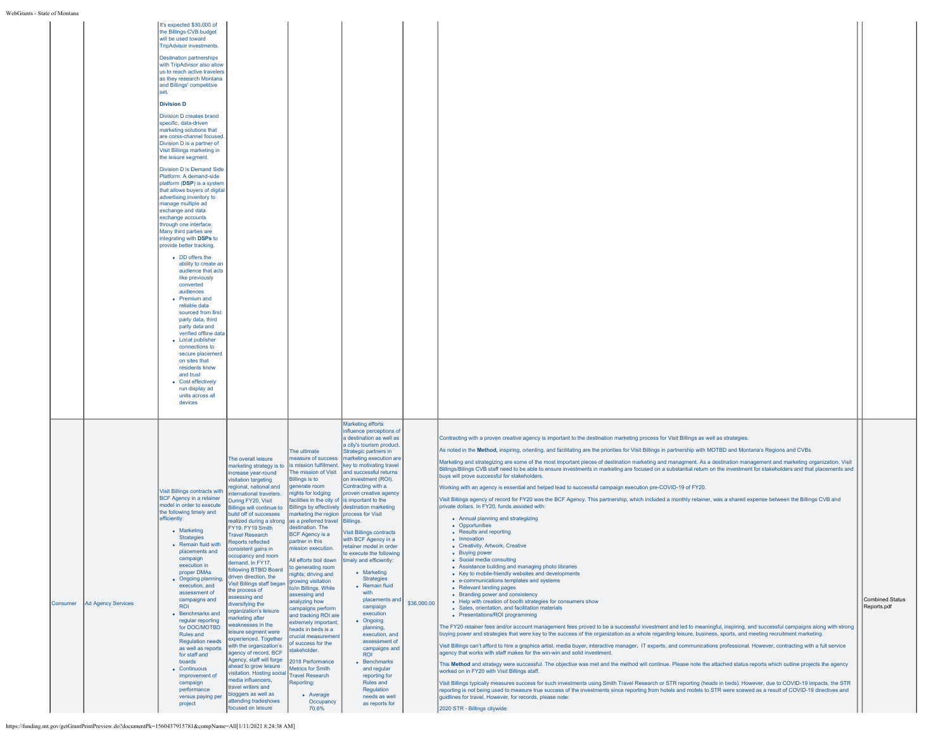|          |                    | <b>Destination partnerships</b><br>with TripAdvisor also allow<br>us to reach active travelers<br>as they research Montana<br>and Billings' competitive<br>set.<br><b>Division D</b><br>Division D creates brand<br>specific, data-driven<br>marketing solutions that<br>are corss-channel focused.<br>Division D is a partner of<br>Visit Billings marketing in<br>the leisure segment.<br><b>Division D is Demand Side</b><br>Platform: A demand-side<br>platform (DSP) is a system<br>that allows buyers of digital<br>advertising inventory to<br>manage multiple ad<br>exchange and data<br>exchange accounts<br>through one interface.<br>Many third parties are<br>integrating with DSPs to<br>provide better tracking.<br>• DD offers the<br>ability to create an<br>audience that acts<br>like previously<br>converted<br>audiences<br>• Premium and<br>reliable data<br>sourced from first<br>party data, third<br>party data and<br>verified offline data<br>• Local publisher<br>connections to<br>secure placement<br>on sites that<br>residents know<br>and trust<br>• Cost effectively<br>run display ad<br>units across all<br>devices |                                                                                                                                                                                                                                                                                                                                                                                                                                                                                                                                                                                                                                                                                                                                                                                                                                                                                                                                                  |                                                                                                                                                                                                                                                                                                                                                                                                                                                                                                                                                                                                                                                                                                                                  |                                                                                                                                                                                                                                                                                                                                                                                                                                                                                                                                                                                                                                                                                                                                                                                                                                                               |             |                                                                                                                                                                                                                                                                                                                                                                                                                                                                                                                                                                                                                                                                                                                                                                                                                                                                                                                                                                                                                                                                                                                                                                                                                                                                                                                                                                                                                                                                                                                                                                                                                                                                                                                                                                                                                                                                                                                                                                                                                                                                                                                                                                                                                                                                                                                                                                                                                                                                                                                                                                                                                                                                                                                                                                                                                                                                                                                       |                                       |
|----------|--------------------|--------------------------------------------------------------------------------------------------------------------------------------------------------------------------------------------------------------------------------------------------------------------------------------------------------------------------------------------------------------------------------------------------------------------------------------------------------------------------------------------------------------------------------------------------------------------------------------------------------------------------------------------------------------------------------------------------------------------------------------------------------------------------------------------------------------------------------------------------------------------------------------------------------------------------------------------------------------------------------------------------------------------------------------------------------------------------------------------------------------------------------------------------------|--------------------------------------------------------------------------------------------------------------------------------------------------------------------------------------------------------------------------------------------------------------------------------------------------------------------------------------------------------------------------------------------------------------------------------------------------------------------------------------------------------------------------------------------------------------------------------------------------------------------------------------------------------------------------------------------------------------------------------------------------------------------------------------------------------------------------------------------------------------------------------------------------------------------------------------------------|----------------------------------------------------------------------------------------------------------------------------------------------------------------------------------------------------------------------------------------------------------------------------------------------------------------------------------------------------------------------------------------------------------------------------------------------------------------------------------------------------------------------------------------------------------------------------------------------------------------------------------------------------------------------------------------------------------------------------------|---------------------------------------------------------------------------------------------------------------------------------------------------------------------------------------------------------------------------------------------------------------------------------------------------------------------------------------------------------------------------------------------------------------------------------------------------------------------------------------------------------------------------------------------------------------------------------------------------------------------------------------------------------------------------------------------------------------------------------------------------------------------------------------------------------------------------------------------------------------|-------------|-----------------------------------------------------------------------------------------------------------------------------------------------------------------------------------------------------------------------------------------------------------------------------------------------------------------------------------------------------------------------------------------------------------------------------------------------------------------------------------------------------------------------------------------------------------------------------------------------------------------------------------------------------------------------------------------------------------------------------------------------------------------------------------------------------------------------------------------------------------------------------------------------------------------------------------------------------------------------------------------------------------------------------------------------------------------------------------------------------------------------------------------------------------------------------------------------------------------------------------------------------------------------------------------------------------------------------------------------------------------------------------------------------------------------------------------------------------------------------------------------------------------------------------------------------------------------------------------------------------------------------------------------------------------------------------------------------------------------------------------------------------------------------------------------------------------------------------------------------------------------------------------------------------------------------------------------------------------------------------------------------------------------------------------------------------------------------------------------------------------------------------------------------------------------------------------------------------------------------------------------------------------------------------------------------------------------------------------------------------------------------------------------------------------------------------------------------------------------------------------------------------------------------------------------------------------------------------------------------------------------------------------------------------------------------------------------------------------------------------------------------------------------------------------------------------------------------------------------------------------------------------------------------------------------|---------------------------------------|
| Consumer | Ad Agency Services | Visit Billings contracts with<br><b>BCF Agency in a retainer</b><br>model in order to execute<br>the following timely and<br>efficiently:<br>• Marketing<br><b>Strategies</b><br>• Remain fluid with<br>placements and<br>campaign<br>execution in<br>proper DMAs<br>• Ongoing planning,<br>execution, and<br>assessment of<br>campaigns and<br><b>ROL</b><br>• Benchmarks and<br>regular reporting<br>for DOC/MOTBD<br>Rules and<br><b>Regulation needs</b><br>as well as reports<br>for staff and<br>boards<br>• Continuous<br>improvement of<br>campaign<br>performance<br>versus paying per<br>project                                                                                                                                                                                                                                                                                                                                                                                                                                                                                                                                             | The overall leisure<br>marketing strategy is to<br>increase year-round<br>visitation targeting<br>egional, national and<br>ternational travelers.<br>During FY20, Visit<br>Billings will continue to<br>build off of successes<br>realized during a strong as a preferred travel Billings.<br>FY19. FY19 Smith<br><b>Travel Research</b><br>Reports reflected<br>consistent gains in<br>occupancy and room<br>demand. In FY17,<br>following BTBID Board<br>driven direction, the<br>Visit Billings staff began<br>the process of<br>assessing and<br>diversifying the<br>organization's leisure<br>marketing after<br>weaknesses in the<br>leisure segment were<br>experienced. Together<br>with the organization's<br>agency of record, BCF<br>Agency, staff will forge<br>ahead to grow leisure<br>visitation. Hosting social<br>media influencers,<br>travel writers and<br>bloggers as well as<br>attending tradeshows<br>focused on leisure | The ultimate<br>The mission of Visit<br><b>Billings is to</b><br>generate room<br>nights for lodging<br>facilities in the city of is important to the<br>marketing the region process for Visit<br>destination. The<br><b>BCF Agency is a</b><br>partner in this<br>mission execution.<br>All efforts boil down<br>to generating room<br>nights; driving and<br>growing visitation<br>to/in Billings. While<br>assessing and<br>analyzing how<br>campaigns perform<br>and tracking ROI are<br>extremely important.<br>heads in beds is a<br>crucial measurement<br>of success for the<br>stakeholder.<br>2018 Performance<br><b>Metrics for Smith</b><br><b>Travel Research</b><br>Reporting:<br>• Average<br>Occupancy<br>70.6% | <b>Marketing efforts</b><br>influence perceptions of<br>a destination as well as<br>a city's tourism product.<br>Strategic partners in<br>neasure of success   marketing execution are<br>is mission fulfillment. key to motivating travel<br>and successful returns<br>on investment (ROI).<br>Contracting with a<br>proven creative agency<br>Billings by effectively destination marketing<br><b>Visit Billings contracts</b><br>with BCF Agency in a<br>retainer model in order<br>to execute the following<br>timely and efficiently:<br>• Marketing<br><b>Strategies</b><br>• Remain fluid<br>with<br>placements and<br>campaign<br>execution<br>• Ongoing<br>planning,<br>execution, and<br>assessment of<br>campaigns and<br><b>ROI</b><br>• Benchmarks<br>and regular<br>reporting for<br>Rules and<br>Regulation<br>needs as well<br>as reports for | \$36,000.00 | Contracting with a proven creative agency is important to the destination marketing process for Visit Billings as well as strategies.<br>As noted in the Method, inspiring, orienting, and facilitating are the priorities for Visit Billings in partnership with MOTBD and Montana's Regions and CVBs.<br>Marketing and strategizing are some of the most important pieces of destination marketing and managment. As a destination management and marketing organization, Visit<br>Billings/Bilings CVB staff need to be able to ensure investments in marketing are focused on a substantial return on the investment for stakeholders and that placements and<br>buys will prove successful for stakeholders.<br>Working with an agency is essential and helped lead to successful campaign execution pre-COVID-19 of FY20.<br>Visit Billings agency of record for FY20 was the BCF Agency. This partnership, which included a monthly retainer, was a shared expense between the Billings CVB and<br>private dollars. In FY20, funds assisted with:<br>• Annual planning and strategizing<br>• Opportunities<br>• Results and reporting<br>• Innovation<br>• Creativity, Artwork, Creative<br>• Buying power<br>• Social media consulting<br>• Assistance building and managing photo libraries<br>• Key to mobile-friendly websites and developments<br>• e-communications templates and systems<br>• Relevant landing pages<br>• Branding power and consistency<br>• Help with creation of booth strategies for consumers show<br>• Sales, orientation, and facilitation materials<br>• Presentations/ROI programming<br>The FY20 retainer fees and/or account management fees proved to be a successful investment and led to meaningful, inspiring, and successful campaigns along with strong<br>buying power and strategies that were key to the success of the organization as a whole regarding leisure, business, sports, and meeting recruitment marketing.<br>Visit Billings can't afford to hire a graphics artist, media buyer, interactive manager, IT experts, and communications professional. However, contracting with a full service<br>agency that works with staff makes for the win-win and solid investment.<br>This Method and strategy were successful. The objective was met and the method will continue. Please note the attached status reports which outline projects the agency<br>worked on in FY20 with Visit Billings staff.<br>Visit Billings typically measures success for such investments using Smith Travel Research or STR reporting (heads in beds). However, due to COVID-19 impacts, the STR<br>reporting is not being used to measure true success of the investments since reporting from hotels and motels to STR were scewed as a result of COVID-19 directives and<br>guidlines for travel. However, for records, please note:<br>2020 STR - Billings citywide: | <b>Combined Status</b><br>Reports.pdf |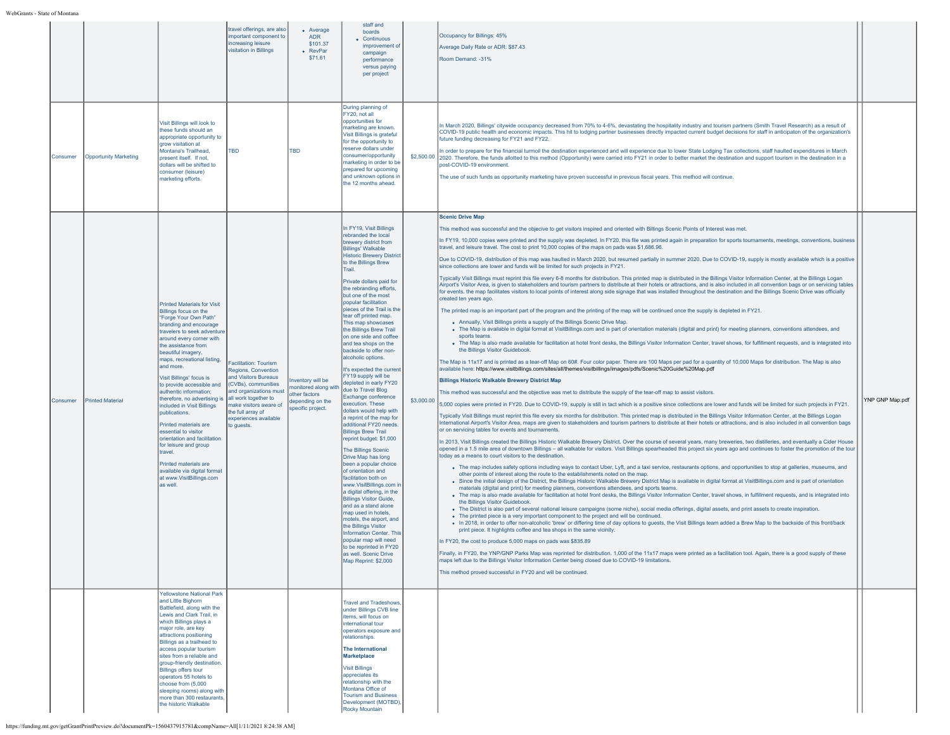|          |                              |                                                                                                                                                                                                                                                                                                                                                                                                                                                                                                                                                                                                                                                            | travel offerings, are also<br>mportant component to<br>increasing leisure<br>visitation in Billings                                                                                                                                 | • Average<br><b>ADR</b><br>\$101.37<br>• RevPar<br>\$71.61                                                            | staff and<br>boards<br>• Continuous<br>improvement of<br>campaign<br>performance<br>versus paying<br>per project                                                                                                                                                                                                                                                                                                                                                                                                                                                                                                                                                                                                                                                                                                                                                                                                                                                                                                                                                                                                                                                                                                                |            | Occupancy for Billings: 45%<br>Average Daily Rate or ADR: \$87.43<br>Room Demand: -31%                                                                                                                                                                                                                                                                                                                                                                                                                                                                                                                                                                                                                                                                                                                                                                                                                                                                                                                                                                                                                                                                                                                                                                                                                                                                                                                                                                                                                                                                                                                                                                                                                                                                                                                                                                                                                                                                                                                                                                                                                                                                                                                                                                                                                                                                                                                                                                                                                                                                                                                                                                                                                                                                                                                                                                                                                                                                                                                                                                                                                                                                                                                                                                                                                                                                                                                                                                                                                                                                                                                                                                                                                                                                                                                                                                                                                                                                                                                                                                                                                                                                                                                                                                                                                                                                                                                                                                                                                                                                                                                                                                                                                                                                                                                                                                                                                                                                                                                                                                                                                                                                                                                                        |                 |
|----------|------------------------------|------------------------------------------------------------------------------------------------------------------------------------------------------------------------------------------------------------------------------------------------------------------------------------------------------------------------------------------------------------------------------------------------------------------------------------------------------------------------------------------------------------------------------------------------------------------------------------------------------------------------------------------------------------|-------------------------------------------------------------------------------------------------------------------------------------------------------------------------------------------------------------------------------------|-----------------------------------------------------------------------------------------------------------------------|---------------------------------------------------------------------------------------------------------------------------------------------------------------------------------------------------------------------------------------------------------------------------------------------------------------------------------------------------------------------------------------------------------------------------------------------------------------------------------------------------------------------------------------------------------------------------------------------------------------------------------------------------------------------------------------------------------------------------------------------------------------------------------------------------------------------------------------------------------------------------------------------------------------------------------------------------------------------------------------------------------------------------------------------------------------------------------------------------------------------------------------------------------------------------------------------------------------------------------|------------|-------------------------------------------------------------------------------------------------------------------------------------------------------------------------------------------------------------------------------------------------------------------------------------------------------------------------------------------------------------------------------------------------------------------------------------------------------------------------------------------------------------------------------------------------------------------------------------------------------------------------------------------------------------------------------------------------------------------------------------------------------------------------------------------------------------------------------------------------------------------------------------------------------------------------------------------------------------------------------------------------------------------------------------------------------------------------------------------------------------------------------------------------------------------------------------------------------------------------------------------------------------------------------------------------------------------------------------------------------------------------------------------------------------------------------------------------------------------------------------------------------------------------------------------------------------------------------------------------------------------------------------------------------------------------------------------------------------------------------------------------------------------------------------------------------------------------------------------------------------------------------------------------------------------------------------------------------------------------------------------------------------------------------------------------------------------------------------------------------------------------------------------------------------------------------------------------------------------------------------------------------------------------------------------------------------------------------------------------------------------------------------------------------------------------------------------------------------------------------------------------------------------------------------------------------------------------------------------------------------------------------------------------------------------------------------------------------------------------------------------------------------------------------------------------------------------------------------------------------------------------------------------------------------------------------------------------------------------------------------------------------------------------------------------------------------------------------------------------------------------------------------------------------------------------------------------------------------------------------------------------------------------------------------------------------------------------------------------------------------------------------------------------------------------------------------------------------------------------------------------------------------------------------------------------------------------------------------------------------------------------------------------------------------------------------------------------------------------------------------------------------------------------------------------------------------------------------------------------------------------------------------------------------------------------------------------------------------------------------------------------------------------------------------------------------------------------------------------------------------------------------------------------------------------------------------------------------------------------------------------------------------------------------------------------------------------------------------------------------------------------------------------------------------------------------------------------------------------------------------------------------------------------------------------------------------------------------------------------------------------------------------------------------------------------------------------------------------------------------------------------------------------------------------------------------------------------------------------------------------------------------------------------------------------------------------------------------------------------------------------------------------------------------------------------------------------------------------------------------------------------------------------------------------------------------------------------------------------------------|-----------------|
| Consumer | <b>Opportunity Marketing</b> | Visit Billings will look to<br>these funds should an<br>appropriate opportunity to<br>grow visitation at<br>Montana's Trailhead,<br>present itself. If not<br>dollars will be shifted to<br>consumer (leisure)<br>marketing efforts.                                                                                                                                                                                                                                                                                                                                                                                                                       | <b>TBD</b>                                                                                                                                                                                                                          | <b>TBD</b>                                                                                                            | During planning of<br>FY20, not all<br>opportunities for<br>marketing are known.<br>Visit Billings is grateful<br>for the opportunity to<br>reserve dollars under<br>consumer/opportunity<br>marketing in order to be<br>prepared for upcoming<br>and unknown options in<br>the 12 months ahead.                                                                                                                                                                                                                                                                                                                                                                                                                                                                                                                                                                                                                                                                                                                                                                                                                                                                                                                                |            | In March 2020, Billings' citywide occupancy decreased from 70% to 4-6%, devastating the hospitality industry and tourism partners (Smith Travel Research) as a result of<br>COVID-19 public health and economic impacts. This hit to lodging partner businesses directly impacted current budget decisions for staff in anticipaton of the organization's<br>future funding decreasing for FY21 and FY22.<br>In order to prepare for the financial turmoil the destination experienced and will experience due to lower State Lodging Tax collections, staff haulted expenditures in March<br>\$2,500.00 2020. Therefore, the funds allotted to this method (Opportunity) were carried into FY21 in order to better market the destination and support tourism in the destination in a<br>post-COVID-19 environment.<br>The use of such funds as opportunity marketing have proven successful in previous fiscal years. This method will continue.                                                                                                                                                                                                                                                                                                                                                                                                                                                                                                                                                                                                                                                                                                                                                                                                                                                                                                                                                                                                                                                                                                                                                                                                                                                                                                                                                                                                                                                                                                                                                                                                                                                                                                                                                                                                                                                                                                                                                                                                                                                                                                                                                                                                                                                                                                                                                                                                                                                                                                                                                                                                                                                                                                                                                                                                                                                                                                                                                                                                                                                                                                                                                                                                                                                                                                                                                                                                                                                                                                                                                                                                                                                                                                                                                                                                                                                                                                                                                                                                                                                                                                                                                                                                                                                                            |                 |
| Consumer | <b>Printed Material</b>      | <b>Printed Materials for Visit</b><br>Billings focus on the<br>"Forge Your Own Path"<br>branding and encourage<br>travelers to seek adventure<br>around every corner with<br>the assistance from<br>beautiful imagery,<br>maps, recreational listing,<br>and more.<br>Visit Billings' focus is<br>to provide accessible and<br>authentic information:<br>therefore, no advertising is<br>included in Visit Billings<br>publications.<br>Printed materials are<br>essential to visitor<br>orientation and facilitation<br>for leisure and group<br>travel.<br>Printed materials are<br>available via digital format<br>at www.VisitBillings.com<br>as well. | Facilitation: Tourism<br>Regions, Convention<br>and Visitors Bureaus<br>(CVBs), communities<br>and organizations must<br>all work together to<br>make visitors aware of<br>the full array of<br>experiences available<br>to quests. | nventory will be<br>monitored along with due to Travel Blog<br>other factors<br>depending on the<br>specific project. | In FY19, Visit Billings<br>rebranded the local<br>brewery district from<br><b>Billings' Walkable</b><br><b>Historic Brewery District</b><br>to the Billings Brew<br>Trail.<br>Private dollars paid for<br>the rebranding efforts,<br>but one of the most<br>popular facilitation<br>pieces of the Trail is the<br>tear off printed map.<br>This map showcases<br>the Billings Brew Trail<br>on one side and coffee<br>and tea shops on the<br>backside to offer non-<br>alcoholic options.<br>It's expected the current<br>FY19 supply will be<br>depleted in early FY20<br>Exchange conference<br>execution. These<br>dollars would help with<br>a reprint of the map for<br>additional FY20 needs.<br><b>Billings Brew Trail</b><br>reprint budget: \$1,000<br><b>The Billings Scenic</b><br>Drive Map has long<br>been a popular choice<br>of orientation and<br>facilitation both on<br>www.VisitBillinas.com in<br>a digital offering, in the<br><b>Billings Visitor Guide,</b><br>and as a stand alone<br>man used in hotels.<br>motels, the airport, and<br>the Billings Visitor<br><b>Information Center, This</b><br>popular map will need<br>to be reprinted in FY20<br>as well. Scenic Drive<br>Map Reprint: \$2,000 | \$3,000.00 | <b>Scenic Drive Map</b><br>This method was successful and the objecive to get visitors inspired and oriented with Billings Scenic Points of Interest was met.<br>In FY19, 10,000 copies were printed and the supply was depleted. In FY20, this file was printed again in preparation for sports tournaments, meetings, conventions, business<br>travel, and leisure travel. The cost to print 10,000 copies of the maps on pads was \$1,686.96.<br>Due to COVID-19, distribution of this map was haulted in March 2020, but resumed partially in summer 2020. Due to COVID-19, supply is mostly available which is a positive<br>since collections are lower and funds will be limited for such projects in FY21.<br>Typically Visit Billings must reprint this file every 6-8 months for distribution. This printed map is distributed in the Billings Visitor Information Center, at the Billings Logan<br>Airport's Visitor Area, is given to stakeholders and tourism partners to distribute at their hotels or attractions, and is also included in all convention bags or on servicing tables<br>for events, the map facilitates visitors to local points of interest along side signage that was installed throughout the destination and the Billings Scenic Drive was officially<br>created ten years ago.<br>The printed map is an important part of the program and the printing of the map will be continued once the supply is depleted in FY21.<br>• Annually, Visit Billings prints a supply of the Billings Scenic Drive Map.<br>. The Map is available in digital format at VisitBillings.com and is part of orientation materials (digital and print) for meeting planners, conventions attendees, and<br>sports teams<br>. The Map is also made available for facilitation at hotel front desks, the Billings Visitor Information Center, travel shows, for fulfillment requests, and is integrated into<br>the Billings Visitor Guidebook.<br>The Map is 11x17 and is printed as a tear-off Map on 60#. Four color paper. There are 100 Maps per pad for a quantity of 10,000 Maps for distribution. The Map is also<br>available here: https://www.visitbillings.com/sites/all/themes/visitbillings/images/pdfs/Scenic%20Guide%20Map.pdf<br><b>Billings Historic Walkable Brewery District Map</b><br>This method was successful and the objective was met to distribute the supply of the tear-off map to assist visitors.<br>5,000 copies were printed in FY20. Due to COVID-19, supply is still in tact which is a positive since collections are lower and funds will be limited for such projects in FY21.<br>Typically Visit Billings must reprint this file every six months for distribution. This printed map is distributed in the Billings Visitor Information Center, at the Billings Logan<br>International Airport's Visitor Area, maps are given to stakeholders and tourism partners to distribute at their hotels or attractions, and is also included in all convention bags<br>or on servicing tables for events and tournaments.<br>In 2013, Visit Billings created the Billings Historic Walkable Brewery District. Over the course of several years, many breweries, two distilleries, and eventually a Cider House<br>opened in a 1.5 mile area of downtown Billings - all walkable for visitors. Visit Billings spearheaded this project six years ago and continues to foster the promotion of the tour<br>today as a means to court visitors to the destination.<br>. The map includes safety options including ways to contact Uber, Lyft, and a taxi service, restaurants options, and opportunities to stop at galleries, museums, and<br>other points of interest along the route to the establishments noted on the map.<br>• Since the initial design of the District, the Billings Historic Walkable Brewery District Map is available in digital format at VisitBillings.com and is part of orientation<br>materials (digital and print) for meeting planners, conventions attendees, and sports teams.<br>. The map is also made available for facilitation at hotel front desks, the Billings Visitor Information Center, travel shows, in fulfillment requests, and is integrated into<br>the Billings Visitor Guidebook.<br>• The District is also part of several national leisure campaigns (some niche), social media offerings, digital assets, and print assets to create inspiration.<br>• The printed piece is a very important component to the project and will be continued.<br>. In 2018, in order to offer non-alcoholic 'brew' or differing time of day options to guests, the Visit Billings team added a Brew Map to the backside of this front/back<br>print piece. It highlights coffee and tea shops in the same vicinity.<br>In FY20, the cost to produce 5,000 maps on pads was \$835.89<br>Finally, in FY20, the YNP/GNP Parks Map was reprinted for distribution. 1,000 of the 11x17 maps were printed as a facilitation tool. Again, there is a good supply of these<br>maps left due to the Billings Visitor Information Center being closed due to COVID-19 limitations.<br>This method proved successful in FY20 and will be continued. | YNP GNP Map.pdf |
|          |                              | <b>Yellowstone National Park</b><br>and Little Bighorn<br>Battlefield, along with the<br>Lewis and Clark Trail, in<br>which Billings plays a<br>major role, are key<br>attractions positioning<br>Billings as a trailhead to<br>access popular tourism<br>sites from a reliable and<br>group-friendly destination.<br><b>Billings offers tour</b><br>operators 55 hotels to<br>choose from (5,000<br>sleeping rooms) along with<br>more than 300 restaurants,<br>the historic Walkable                                                                                                                                                                     |                                                                                                                                                                                                                                     |                                                                                                                       | <b>Travel and Tradeshows,</b><br>under Billings CVB line<br>items, will focus on<br>international tour<br>operators exposure and<br>relationships.<br>The International<br>Marketplace<br><b>Visit Billings</b><br>appreciates its<br>relationship with the<br>Montana Office of<br><b>Tourism and Business</b><br>Development (MOTBD),<br>Rocky Mountain                                                                                                                                                                                                                                                                                                                                                                                                                                                                                                                                                                                                                                                                                                                                                                                                                                                                       |            |                                                                                                                                                                                                                                                                                                                                                                                                                                                                                                                                                                                                                                                                                                                                                                                                                                                                                                                                                                                                                                                                                                                                                                                                                                                                                                                                                                                                                                                                                                                                                                                                                                                                                                                                                                                                                                                                                                                                                                                                                                                                                                                                                                                                                                                                                                                                                                                                                                                                                                                                                                                                                                                                                                                                                                                                                                                                                                                                                                                                                                                                                                                                                                                                                                                                                                                                                                                                                                                                                                                                                                                                                                                                                                                                                                                                                                                                                                                                                                                                                                                                                                                                                                                                                                                                                                                                                                                                                                                                                                                                                                                                                                                                                                                                                                                                                                                                                                                                                                                                                                                                                                                                                                                                                               |                 |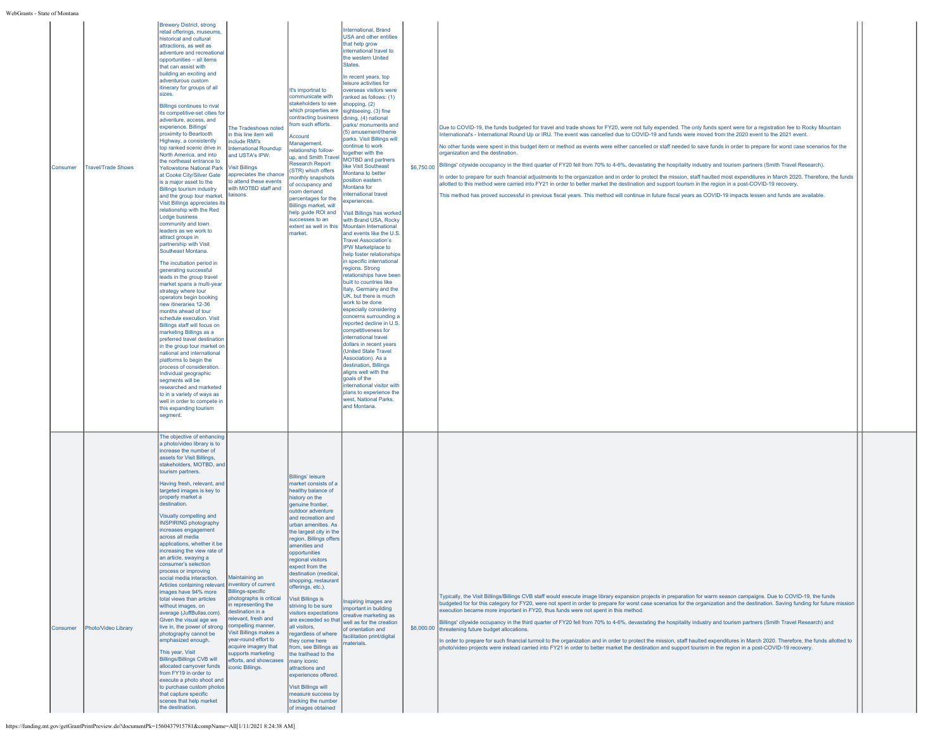| Consumer | Travel/Trade Shows  | <b>Brewery District, strong</b><br>retail offerings, museums,<br>historical and cultural<br>attractions, as well as<br>adventure and recreational<br>opportunities - all items<br>that can assist with<br>building an exciting and<br>adventurous custom<br>itinerary for groups of all<br>sizes.<br>Billings continues to rival<br>its competitive-set cities for<br>adventure, access, and<br>experience. Billings'<br>proximity to Beartooth<br>Highway, a consistently<br>top ranked scenic drive in<br>North America, and into<br>the northeast entrance to<br><b>Yellowstone National Park</b><br>at Cooke City/Silver Gate<br>is a major asset to the<br><b>Billings tourism industry</b><br>and the group tour market.<br>Visit Billings appreciates its<br>relationship with the Red<br>Lodge business<br>community and town<br>leaders as we work to<br>attract groups in<br>partnership with Visit<br>Southeast Montana.<br>The incubation period in<br>generating successful<br>leads in the group travel<br>market spans a multi-year<br>strategy where tour<br>operators begin booking<br>new itineraries 12-36<br>months ahead of tour<br>schedule execution. Visit<br>Billings staff will focus on<br>marketing Billings as a<br>preferred travel destination<br>in the group tour market on<br>national and international<br>platforms to begin the<br>process of consideration.<br>Individual geographic<br>segments will be<br>researched and marketed<br>to in a variety of ways as<br>well in order to compete in<br>this expanding tourism<br>segment. | The Tradeshows noted<br>in this line item will<br>include RMI's<br>International Roundup<br>and USTA's IPW.<br><b>Visit Billings</b><br>appreciates the chance<br>to attend these events<br>with MOTBD staff and<br>liaisons.                                                                                                      | It's importnat to<br>communicate with<br>stakeholders to see<br>which properties are sightseeing, (3) fine<br>contracting business dining, (4) national<br>rom such efforts.<br>Account<br>Management,<br>relationship follow-<br>up, and Smith Travel<br><b>Research Report</b><br>(STR) which offers<br>nonthly snapshots<br>of occupancy and<br>room demand<br>percentages for the<br>Billings market, will<br>help guide ROI and<br>successes to an<br>market.                                                                                                                                                                                                                                                                                     | International, Brand<br>USA and other entities<br>that help grow<br>international travel to<br>the western United<br>States.<br>In recent years, top<br>leisure activities for<br>overseas visitors were<br>anked as follows: (1)<br>shopping, (2)<br>parks/ monuments and<br>(5) amusement/theme<br>parks. Visit Billings will<br>continue to work<br>together with the<br><b>MOTBD</b> and partners<br>like Visit Southeast<br>Montana to better<br>position eastern<br>Montana for<br>nternational travel<br>experiences.<br>Visit Billings has worked<br>with Brand USA, Rocky<br>extent as well in this   Mountain International<br>and events like the U.S.<br><b>Travel Association's</b><br>IPW Marketplace to<br>help foster relationships<br>in specific international<br>regions. Strong<br>relationships have been<br>built to countries like<br>Italy, Germany and the<br>UK, but there is much<br>work to be done<br>especially considering<br>concerns surrounding a<br>reported decline in U.S<br>competitiveness for<br>international travel<br>dollars in recent years<br>(United State Travel<br>Association). As a<br>destination, Billings<br>aligns well with the<br>goals of the<br>international visitor with<br>plans to experience the<br>west, National Parks,<br>and Montana. | Due to COVID-19, the funds budgeted for travel and trade shows for FY20, were not fully expended. The only funds spent were for a registration fee to Rocky Mountain<br>International's - International Round Up or IRU. The event was cancelled due to COVID-19 and funds were moved from the 2020 event to the 2021 event.<br>No other funds were spent in this budget item or method as events were either cancelled or staff needed to save funds in order to prepare for worst case scenarios for the<br>organization and the destination.<br>\$6,750.00 Billings' citywide occupancy in the third quarter of FY20 fell from 70% to 4-6%, devastating the hospitality industry and tourism partners (Smith Travel Research).<br>In order to prepare for such financial adjustments to the organization and in order to protect the mission, staff haulted most expenditures in March 2020. Therefore, the funds<br>allotted to this method were carried into FY21 in order to better market the destination and support tourism in the region in a post-COVID-19 recovery.<br>This method has proved successful in previous fiscal years. This method will continue in future fiscal years as COVID-19 impacts lessen and funds are available. |  |
|----------|---------------------|------------------------------------------------------------------------------------------------------------------------------------------------------------------------------------------------------------------------------------------------------------------------------------------------------------------------------------------------------------------------------------------------------------------------------------------------------------------------------------------------------------------------------------------------------------------------------------------------------------------------------------------------------------------------------------------------------------------------------------------------------------------------------------------------------------------------------------------------------------------------------------------------------------------------------------------------------------------------------------------------------------------------------------------------------------------------------------------------------------------------------------------------------------------------------------------------------------------------------------------------------------------------------------------------------------------------------------------------------------------------------------------------------------------------------------------------------------------------------------------------------------------------------------------------------------------------------|------------------------------------------------------------------------------------------------------------------------------------------------------------------------------------------------------------------------------------------------------------------------------------------------------------------------------------|--------------------------------------------------------------------------------------------------------------------------------------------------------------------------------------------------------------------------------------------------------------------------------------------------------------------------------------------------------------------------------------------------------------------------------------------------------------------------------------------------------------------------------------------------------------------------------------------------------------------------------------------------------------------------------------------------------------------------------------------------------|-----------------------------------------------------------------------------------------------------------------------------------------------------------------------------------------------------------------------------------------------------------------------------------------------------------------------------------------------------------------------------------------------------------------------------------------------------------------------------------------------------------------------------------------------------------------------------------------------------------------------------------------------------------------------------------------------------------------------------------------------------------------------------------------------------------------------------------------------------------------------------------------------------------------------------------------------------------------------------------------------------------------------------------------------------------------------------------------------------------------------------------------------------------------------------------------------------------------------------------------------------------------------------------------------------------|-----------------------------------------------------------------------------------------------------------------------------------------------------------------------------------------------------------------------------------------------------------------------------------------------------------------------------------------------------------------------------------------------------------------------------------------------------------------------------------------------------------------------------------------------------------------------------------------------------------------------------------------------------------------------------------------------------------------------------------------------------------------------------------------------------------------------------------------------------------------------------------------------------------------------------------------------------------------------------------------------------------------------------------------------------------------------------------------------------------------------------------------------------------------------------------------------------------------------------------------------------|--|
| Consumer | Photo/Video Library | The objective of enhancing<br>a photo/video library is to<br>increase the number of<br>assets for Visit Billings,<br>stakeholders, MOTBD, and<br>tourism partners.<br>Having fresh, relevant, and<br>targeted images is key to<br>properly market a<br>destination.<br>Visually compelling and<br>INSPIRING photography<br>increases engagement<br>across all media<br>applications, whether it be<br>increasing the view rate of<br>an article, swaying a<br>consumer's selection<br>process or improving<br>social media interaction.<br>Articles containing relevant<br>images have 94% more<br>total views than articles<br>without images, on<br>average (JuffBullas.com).<br>Given the visual age we<br>live in, the power of strong<br>photography cannot be<br>emphasized enough.<br>This year, Visit<br><b>Billings/Billings CVB will</b><br>allocated carryover funds<br>from FY19 in order to<br>execute a photo shoot and<br>to purchase custom photos<br>that capture specific<br>scenes that help market<br>the destination.                                                                                                                                                                                                                                                                                                                                                                                                                                                                                                                                   | Maintaining an<br>inventory of current<br><b>Billings-specific</b><br>photographs is critical<br>n representing the<br>destination in a<br>relevant, fresh and<br>compelling manner.<br>Visit Billings makes a<br>year-round effort to<br>acquire imagery that<br>supports marketing<br>efforts, and showcases<br>iconic Billings. | <b>Billings' leisure</b><br>market consists of a<br>healthy balance of<br>history on the<br>genuine frontier,<br>outdoor adventure<br>and recreation and<br>urban amenities. As<br>the largest city in the<br>region, Billings offers<br>amenities and<br>opportunities<br>egional visitors<br>expect from the<br>destination (medical<br>shopping, restaurant<br>offerings, etc.).<br><b>Visit Billings is</b><br>striving to be sure<br>visitors expectations<br>are exceeded so that<br>all visitors.<br>regardless of where<br>they come here<br>from, see Billings as<br>the trailhead to the<br>many iconic<br>attractions and<br>experiences offered.<br>Visit Billings will<br>measure success by<br>tracking the number<br>of images obtained | Inspiring images are<br>mportant in building<br>creative marketing as<br>well as for the creation<br>of orientation and<br>facilitation print/digital<br>naterials.                                                                                                                                                                                                                                                                                                                                                                                                                                                                                                                                                                                                                                                                                                                                                                                                                                                                                                                                                                                                                                                                                                                                       | Typically, the Visit Billings/Billings CVB staff would execute image library expansion projects in preparation for warm season campaigns. Due to COVID-19, the funds<br>budgeted for for this category for FY20, were not spent in order to prepare for worst case scenarios for the organization and the destination. Saving funding for future mission<br>execution became more important in FY20, thus funds were not spent in this method.<br>Billings' citywide occupancy in the third quarter of FY20 fell from 70% to 4-6%, devastating the hospitality industry and tourism partners (Smith Travel Research) and<br>\$6,000.00 threatening future budget allocations.<br>In order to prepare for such financial turmoil to the organization and in order to protect the mission, staff haulted expenditures in March 2020. Therefore, the funds allotted to<br>photo/video projects were instead carried into FY21 in order to better market the destination and support tourism in the region in a post-COVID-19 recovery.                                                                                                                                                                                                                 |  |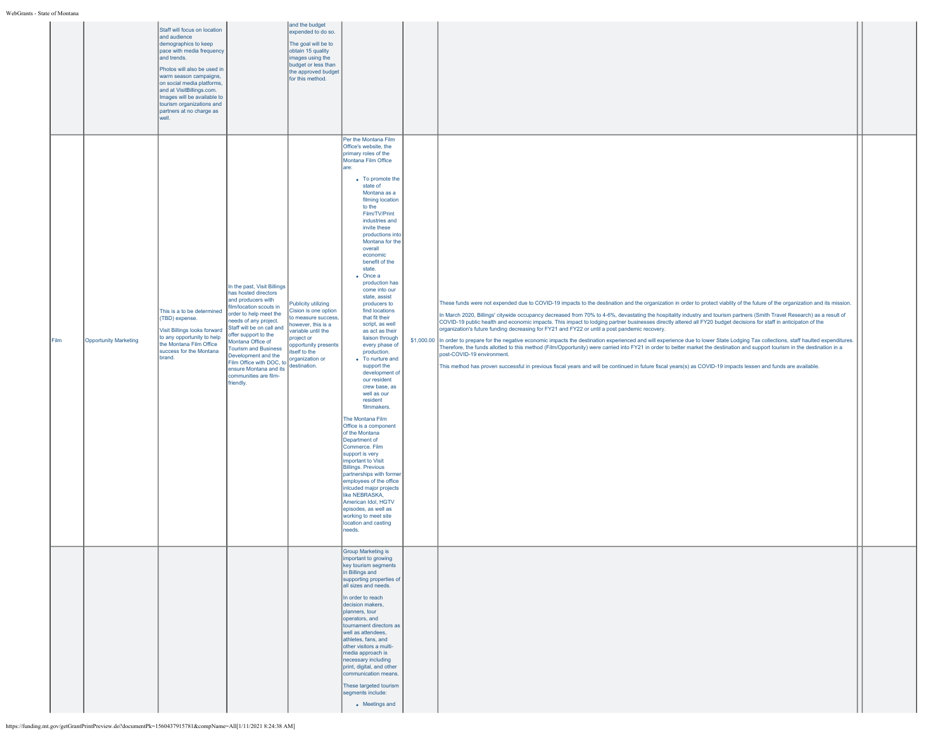|      |                              | Staff will focus on location<br>and audience<br>demographics to keep<br>pace with media frequency<br>and trends.<br>Photos will also be used in<br>warm season campaigns,<br>on social media platforms.<br>and at VisitBillings.com.<br>Images will be available to<br>tourism organizations and<br>partners at no charge as<br>well. |                                                                                                                                                                                                                                                                                                                                                                                     | and the budget<br>expended to do so.<br>The goal will be to<br>obtain 15 quality<br>images using the<br>budget or less than<br>the approved budget<br>for this method.                                         |                                                                                                                                                                                                                                                                                                                                                                                                                                                                                                                                                                                                                                                                                                                                                                                                                                                                                                                                                                                                                                                                             |                                                                                                                                                                                                                                                                                                                                                                                                                                                                                                                                                                                                                                                                                                                                                                                                                                                                                                                                                                                                                                                                                                                                                                                                             |  |
|------|------------------------------|---------------------------------------------------------------------------------------------------------------------------------------------------------------------------------------------------------------------------------------------------------------------------------------------------------------------------------------|-------------------------------------------------------------------------------------------------------------------------------------------------------------------------------------------------------------------------------------------------------------------------------------------------------------------------------------------------------------------------------------|----------------------------------------------------------------------------------------------------------------------------------------------------------------------------------------------------------------|-----------------------------------------------------------------------------------------------------------------------------------------------------------------------------------------------------------------------------------------------------------------------------------------------------------------------------------------------------------------------------------------------------------------------------------------------------------------------------------------------------------------------------------------------------------------------------------------------------------------------------------------------------------------------------------------------------------------------------------------------------------------------------------------------------------------------------------------------------------------------------------------------------------------------------------------------------------------------------------------------------------------------------------------------------------------------------|-------------------------------------------------------------------------------------------------------------------------------------------------------------------------------------------------------------------------------------------------------------------------------------------------------------------------------------------------------------------------------------------------------------------------------------------------------------------------------------------------------------------------------------------------------------------------------------------------------------------------------------------------------------------------------------------------------------------------------------------------------------------------------------------------------------------------------------------------------------------------------------------------------------------------------------------------------------------------------------------------------------------------------------------------------------------------------------------------------------------------------------------------------------------------------------------------------------|--|
| Film | <b>Opportunity Marketing</b> | This is a to be determined<br>(TBD) expense.<br>Visit Billings looks forward<br>to any opportunity to help<br>the Montana Film Office<br>success for the Montana<br>brand.                                                                                                                                                            | In the past, Visit Billings<br>has hosted directors<br>and producers with<br>film/location scouts in<br>order to help meet the<br>needs of any project.<br>Staff will be on call and<br>offer support to the<br>Montana Office of<br><b>Tourism and Business</b><br>Development and the<br>Film Office with DOC, to<br>ensure Montana and its<br>communities are film-<br>friendly. | <b>Publicity utilizing</b><br>Cision is one option<br>to measure success.<br>however, this is a<br>variable until the<br>project or<br>opportunity presents<br>tself to the<br>organization or<br>destination. | Per the Montana Film<br>Office's website, the<br>primary roles of the<br>Montana Film Office<br>lare:<br>• To promote the<br>state of<br>Montana as a<br>filming location<br>to the<br>Film/TV/Print<br>industries and<br>invite these<br>productions into<br>Montana for the<br>overall<br>economic<br>benefit of the<br>state.<br>$\bullet$ Once a<br>production has<br>come into our<br>state, assist<br>producers to<br>find locations<br>that fit their<br>script, as well<br>as act as their<br>liaison through<br>every phase of<br>production.<br>• To nurture and<br>support the<br>development of<br>our resident<br>crew base, as<br>well as our<br>resident<br>filmmakers.<br>The Montana Film<br>Office is a component<br>of the Montana<br>Department of<br>Commerce. Film<br>support is very<br>important to Visit<br><b>Billings. Previous</b><br>partnerships with former<br>employees of the office<br>inlcuded major projects<br>like NEBRASKA,<br>American Idol, HGTV<br>episodes, as well as<br>working to meet site<br>location and casting<br>needs. | These funds were not expended due to COVID-19 impacts to the destination and the organization in order to protect viablity of the future of the organization and its mission.<br>In March 2020, Billings' citywide occupancy decreased from 70% to 4-6%, devastating the hospitality industry and tourism partners (Smith Travel Research) as a result of<br>COVID-19 public health and economic impacts. This impact to lodging partner businesses directly altered all FY20 budget decisions for staff in anticipaton of the<br>organization's future funding decreasing for FY21 and FY22 or until a post pandemic recovery.<br>\$1,000.00 In order to prepare for the negative economic impacts the destination experienced and will experience due to lower State Lodging Tax collections, staff haulted expenditures.<br>Therefore, the funds allotted to this method (Film/Opportunity) were carried into FY21 in order to better market the destination and support tourism in the destination in a<br>post-COVID-19 environment.<br>This method has proven successful in previous fiscal years and will be continued in future fiscal years(s) as COVID-19 impacts lessen and funds are available. |  |
|      |                              |                                                                                                                                                                                                                                                                                                                                       |                                                                                                                                                                                                                                                                                                                                                                                     |                                                                                                                                                                                                                | <b>Group Marketing is</b><br>ηportant to growing<br>key tourism segments<br>in Billings and<br>supporting properties of<br>all sizes and needs.<br>In order to reach<br>decision makers,<br>planners, tour<br>operators, and<br>tournament directors as<br>well as attendees.<br>athletes, fans, and<br>other visitors a multi-<br>media approach is<br>necessary including<br>print, digital, and other<br>communication means.<br>These targeted tourism<br>segments include:<br>• Meetings and                                                                                                                                                                                                                                                                                                                                                                                                                                                                                                                                                                           |                                                                                                                                                                                                                                                                                                                                                                                                                                                                                                                                                                                                                                                                                                                                                                                                                                                                                                                                                                                                                                                                                                                                                                                                             |  |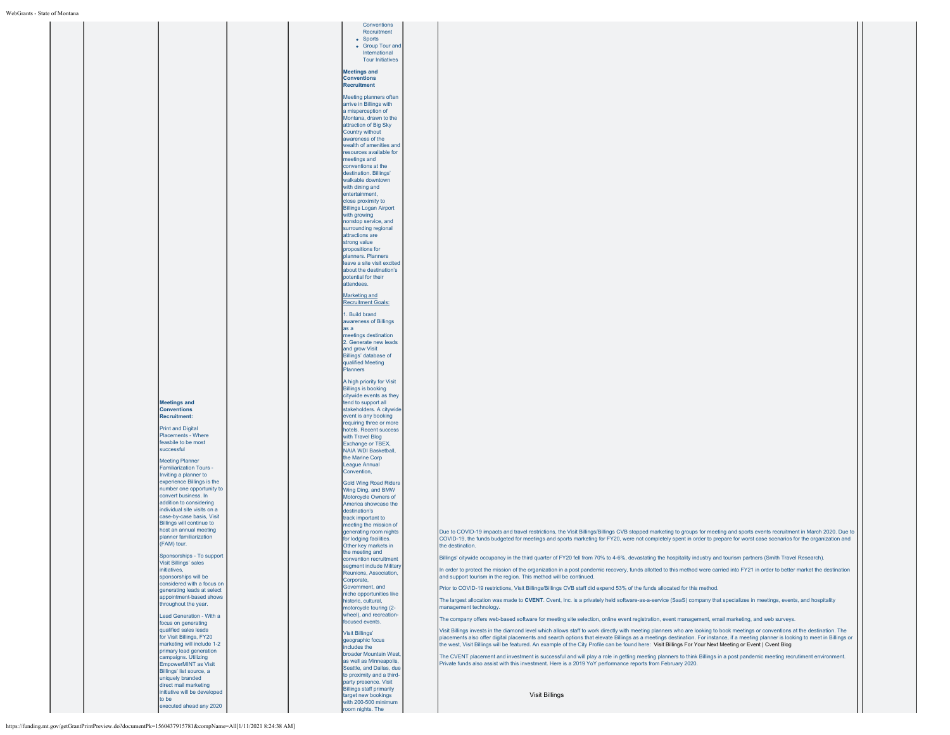|                                                         | Conventions                                              |                                                                                                                                                                                                                                                                                                                                              |  |
|---------------------------------------------------------|----------------------------------------------------------|----------------------------------------------------------------------------------------------------------------------------------------------------------------------------------------------------------------------------------------------------------------------------------------------------------------------------------------------|--|
|                                                         | Recruitment<br>• Sports                                  |                                                                                                                                                                                                                                                                                                                                              |  |
|                                                         | • Group Tour and<br>International                        |                                                                                                                                                                                                                                                                                                                                              |  |
|                                                         | <b>Tour Initiatives</b>                                  |                                                                                                                                                                                                                                                                                                                                              |  |
|                                                         | <b>Meetings and</b>                                      |                                                                                                                                                                                                                                                                                                                                              |  |
|                                                         | <b>Conventions</b><br><b>Recruitment</b>                 |                                                                                                                                                                                                                                                                                                                                              |  |
|                                                         | Meeting planners often                                   |                                                                                                                                                                                                                                                                                                                                              |  |
|                                                         | arrive in Billings with                                  |                                                                                                                                                                                                                                                                                                                                              |  |
|                                                         | a misperception of<br>Montana, drawn to the              |                                                                                                                                                                                                                                                                                                                                              |  |
|                                                         | attraction of Big Sky<br>Country without                 |                                                                                                                                                                                                                                                                                                                                              |  |
|                                                         | awareness of the                                         |                                                                                                                                                                                                                                                                                                                                              |  |
|                                                         | wealth of amenities and<br>resources available for       |                                                                                                                                                                                                                                                                                                                                              |  |
|                                                         | meetings and<br>conventions at the                       |                                                                                                                                                                                                                                                                                                                                              |  |
|                                                         | destination. Billings'<br>walkable downtown              |                                                                                                                                                                                                                                                                                                                                              |  |
|                                                         | with dining and                                          |                                                                                                                                                                                                                                                                                                                                              |  |
|                                                         | entertainment,<br>close proximity to                     |                                                                                                                                                                                                                                                                                                                                              |  |
|                                                         | <b>Billings Logan Airport</b><br>with growing            |                                                                                                                                                                                                                                                                                                                                              |  |
|                                                         | nonstop service, and                                     |                                                                                                                                                                                                                                                                                                                                              |  |
|                                                         | surrounding regional<br>attractions are                  |                                                                                                                                                                                                                                                                                                                                              |  |
|                                                         | strong value<br>propositions for                         |                                                                                                                                                                                                                                                                                                                                              |  |
|                                                         | planners. Planners<br>leave a site visit excited         |                                                                                                                                                                                                                                                                                                                                              |  |
|                                                         | about the destination's                                  |                                                                                                                                                                                                                                                                                                                                              |  |
|                                                         | potential for their<br>attendees.                        |                                                                                                                                                                                                                                                                                                                                              |  |
|                                                         | Marketing and                                            |                                                                                                                                                                                                                                                                                                                                              |  |
|                                                         | <b>Recruitment Goals:</b>                                |                                                                                                                                                                                                                                                                                                                                              |  |
|                                                         | 1. Build brand<br>awareness of Billings                  |                                                                                                                                                                                                                                                                                                                                              |  |
|                                                         | as a                                                     |                                                                                                                                                                                                                                                                                                                                              |  |
|                                                         | meetings destination<br>2. Generate new leads            |                                                                                                                                                                                                                                                                                                                                              |  |
|                                                         | and grow Visit<br>Billings' database of                  |                                                                                                                                                                                                                                                                                                                                              |  |
|                                                         | qualified Meeting<br>Planners                            |                                                                                                                                                                                                                                                                                                                                              |  |
|                                                         | A high priority for Visit                                |                                                                                                                                                                                                                                                                                                                                              |  |
|                                                         | <b>Billings is booking</b><br>citywide events as they    |                                                                                                                                                                                                                                                                                                                                              |  |
| <b>Meetings and</b>                                     | tend to support all                                      |                                                                                                                                                                                                                                                                                                                                              |  |
| <b>Conventions</b><br><b>Recruitment:</b>               | stakeholders. A citywide<br>event is any booking         |                                                                                                                                                                                                                                                                                                                                              |  |
| <b>Print and Digital</b>                                | requiring three or more<br>hotels. Recent success        |                                                                                                                                                                                                                                                                                                                                              |  |
| Placements - Where<br>feasbile to be most               | with Travel Blog                                         |                                                                                                                                                                                                                                                                                                                                              |  |
| successful                                              | Exchange or TBEX,<br><b>NAIA WDI Basketball,</b>         |                                                                                                                                                                                                                                                                                                                                              |  |
| <b>Meeting Planner</b>                                  | the Marine Corp<br><b>League Annual</b>                  |                                                                                                                                                                                                                                                                                                                                              |  |
| <b>Familiarization Tours -</b><br>Inviting a planner to | Convention,                                              |                                                                                                                                                                                                                                                                                                                                              |  |
| experience Billings is the<br>number one opportunity to | <b>Gold Wing Road Riders</b><br>Wing Ding, and BMW       |                                                                                                                                                                                                                                                                                                                                              |  |
| convert business. In                                    | Motorcycle Owners of                                     |                                                                                                                                                                                                                                                                                                                                              |  |
| addition to considering<br>individual site visits on a  | America showcase the<br>destination's                    |                                                                                                                                                                                                                                                                                                                                              |  |
| case-by-case basis, Visit<br>Billings will continue to  | track important to<br>meeting the mission of             |                                                                                                                                                                                                                                                                                                                                              |  |
| host an annual meeting<br>planner familiarization       | generating room nights                                   | Due to COVID-19 impacts and travel restrictions, the Visit Billings/Billings CVB stopped marketing to groups for meeting and sports events recruitment in March 2020. Due to                                                                                                                                                                 |  |
| (FAM) tour.                                             | for lodging facilities.<br>Other key markets in          | COVID-19, the funds budgeted for meetings and sports marketing for FY20, were not completely spent in order to prepare for worst case scenarios for the organization and<br>the destination.                                                                                                                                                 |  |
| Sponsorships - To support                               | the meeting and<br>convention recruitment                | Billings' citywide occupancy in the third quarter of FY20 fell from 70% to 4-6%, devastating the hospitality industry and tourism partners (Smith Travel Research).                                                                                                                                                                          |  |
| <b>Visit Billings' sales</b><br>initiatives,            | segment include Military<br>Reunions, Association,       | In order to protect the mission of the organization in a post pandemic recovery, funds allotted to this method were carried into FY21 in order to better market the destination                                                                                                                                                              |  |
| sponsorships will be<br>considered with a focus on      | Corporate,                                               | and support tourism in the region. This method will be continued.                                                                                                                                                                                                                                                                            |  |
| generating leads at select                              | Government, and<br>niche opportunities like              | Prior to COVID-19 restrictions, Visit Billings/Billings CVB staff did expend 53% of the funds allocated for this method.                                                                                                                                                                                                                     |  |
| appointment-based shows<br>throughout the year.         | historic, cultural,<br>motorcycle touring (2-            | The largest allocation was made to CVENT. Cvent, Inc. is a privately held software-as-a-service (SaaS) company that specializes in meetings, events, and hospitality<br>management technology.                                                                                                                                               |  |
| Lead Generation - With a                                | wheel), and recreation<br>focused events.                | The company offers web-based software for meeting site selection, online event registration, event management, email marketing, and web surveys.                                                                                                                                                                                             |  |
| focus on generating<br>qualified sales leads            | <b>Visit Billings'</b>                                   | Visit Billings invests in the diamond level which allows staff to work directly with meeting planners who are looking to book meetings or conventions at the destination. The                                                                                                                                                                |  |
| for Visit Billings, FY20<br>marketing will include 1-2  | geographic focus                                         | placements also offer digital placements and search options that elevate Billings as a meetings destination. For instance, if a meeting planner is looking to meet in Billings or<br>the west, Visit Billings will be featured. An example of the City Profile can be found here: Visit Billings For Your Next Meeting or Event   Cvent Blog |  |
| primary lead generation<br>campaigns, Utilizing         | includes the<br>broader Mountain West.                   | The CVENT placement and investment is successful and will play a role in getting meeting planners to think Billings in a post pandemic meeting recrutiment environment.                                                                                                                                                                      |  |
| EmpowerMINT as Visit                                    | as well as Minneapolis,<br>Seattle, and Dallas, due      | Private funds also assist with this investment. Here is a 2019 YoY performance reports from February 2020.                                                                                                                                                                                                                                   |  |
| Billings' list source, a<br>uniquely branded            | to proximity and a third-                                |                                                                                                                                                                                                                                                                                                                                              |  |
| direct mail marketing<br>initiative will be developed   | party presence. Visit<br><b>Billings staff primarily</b> |                                                                                                                                                                                                                                                                                                                                              |  |
| to be                                                   | target new bookings<br>with 200-500 minimum              | <b>Visit Billings</b>                                                                                                                                                                                                                                                                                                                        |  |
| executed ahead any 2020                                 | room nights. The                                         |                                                                                                                                                                                                                                                                                                                                              |  |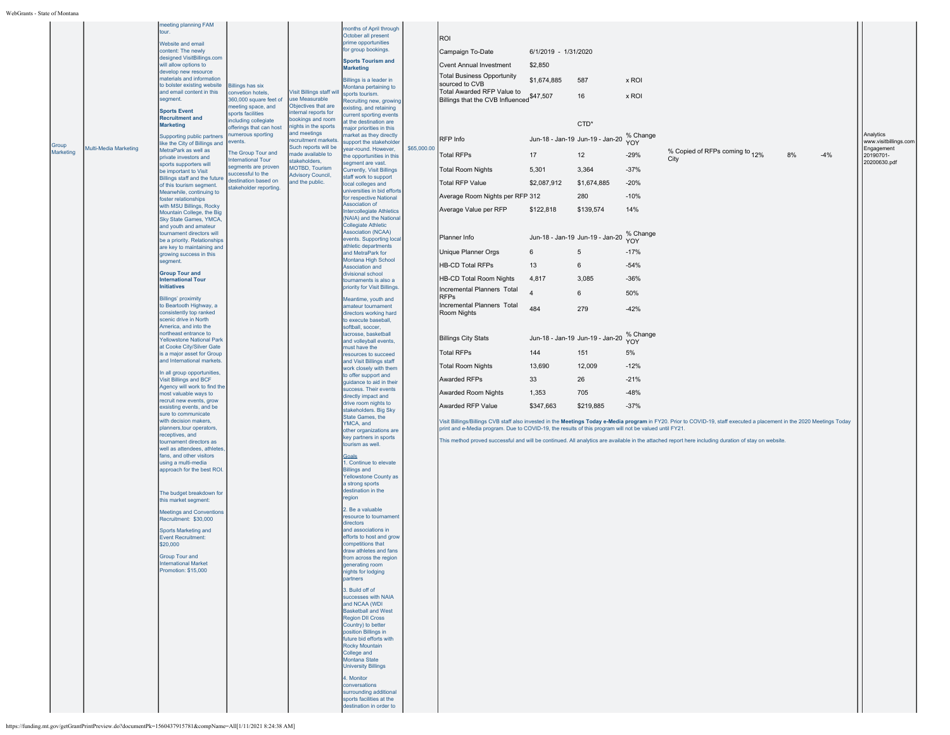| Group<br>Marketing | Multi-Media Marketing | meeting planning FAM<br>tour.<br>Website and email<br>content: The newly<br>designed VisitBillings.com<br>will allow options to<br>develop new resource<br>materials and information<br>to bolster existing website<br>and email content in this<br>segment.<br><b>Sports Event</b><br><b>Recruitment and</b><br><b>Marketing</b><br>Supporting public partners<br>like the City of Billings and<br>MetraPark as well as<br>private investors and<br>sports supporters will<br>be important to Visit<br>Billings staff and the future<br>of this tourism segment.<br>Meanwhile, continuing to<br>foster relationships<br>with MSU Billings, Rocky<br>Mountain College, the Big<br>Sky State Games, YMCA,<br>and youth and amateur<br>tournament directors will<br>be a priority. Relationships<br>are key to maintaining and<br>growing success in this<br>segment.<br><b>Group Tour and</b><br><b>International Tour</b><br><b>Initiatives</b><br><b>Billings' proximity</b><br>to Beartooth Highway, a<br>consistently top ranked<br>scenic drive in North<br>America, and into the<br>northeast entrance to<br><b>Yellowstone National Park</b><br>at Cooke City/Silver Gate<br>is a major asset for Group<br>and International markets<br>In all group opportunities,<br>Visit Billings and BCF<br>Agency will work to find the<br>most valuable ways to<br>recruit new events, grow<br>exsisting events, and be<br>sure to communicate<br>with decision makers,<br>planners, tour operators,<br>receptives, and<br>tournament directors as<br>well as attendees, athletes<br>fans, and other visitors<br>using a multi-media<br>approach for the best ROI.<br>The budget breakdown for<br>this market segment:<br><b>Meetings and Conventions</b><br>Recruitment: \$30,000 | <b>Billings has six</b><br>convetion hotels,<br>360,000 square feet of<br>neeting space, and<br>sports facilities<br>ncluding collegiate<br>offerings that can host<br>umerous sporting<br>events.<br>The Group Tour and<br>nternational Tour<br>egments are proven<br>uccessful to the<br>destination based on<br>stakeholder reporting. | /isit Billings staff will<br>use Measurable<br>Objectives that are<br>ternal reports for<br>bookings and room<br>nights in the sports<br>and meetings<br>recruitment markets.<br>Such reports will be<br>made available to<br>stakeholders,<br><b>MOTBD, Tourism</b><br><b>Advisory Council,</b><br>and the public. | months of April through<br>October all present<br>prime opportunities<br>for group bookings.<br><b>Sports Tourism and</b><br><b>Marketing</b><br>Billings is a leader in<br>Montana pertaining to<br>sports tourism.<br>Recruiting new, growing<br>xisting, and retaining<br>urrent sporting events<br>t the destination are<br>najor priorities in this<br>narket as they directly<br>upport the stakeholder<br>ear-round. However,<br>he opportunities in this<br>segment are vast.<br>Currently, Visit Billings<br>staff work to support<br>local colleges and<br>universities in bid efforts<br>for respective National<br>Association of<br><b>Intercollegiate Athletics</b><br>(NAIA) and the Nationa<br><b>Collegiate Athletic</b><br><b>Association (NCAA)</b><br>events. Supporting loca<br>athletic departments<br>and MetraPark for<br>Montana High School<br>Association and<br>divisional school<br>tournaments is also a<br>priority for Visit Billings.<br>Meantime, youth and<br>amateur tournament<br>directors working hard<br>to execute baseball.<br>softball, soccer,<br>lacrosse, basketball<br>and volleyball events,<br>must have the<br>resources to succeed<br>and Visit Billings staff<br>work closely with them<br>to offer support and<br>quidance to aid in their<br>success. Their events<br>directly impact and<br>drive room nights to<br>stakeholders. Big Sky<br>State Games, the<br>YMCA, and<br>other organizations are<br>key partners in sports<br>tourism as well.<br>Goals<br>1. Continue to elevate<br><b>Billings and</b><br>Yellowstone County as<br>a strong sports<br>destination in the<br>region<br>2. Be a valuable<br>resource to tournament<br>directors | \$65,000.00 | ROI<br>Campaign To-Date<br>Cvent Annual Investment<br><b>Total Business Opportunity</b><br>sourced to CVB<br>Total Awarded RFP Value to<br>Billings that the CVB Influenced \$47,507<br>RFP Info<br><b>Total RFPs</b><br><b>Total Room Nights</b><br><b>Total RFP Value</b><br>Average Room Nights per RFP 312<br>Average Value per RFP<br>Planner Info<br>Unique Planner Orgs<br><b>HB-CD Total RFPs</b><br>HB-CD Total Room Nights<br>Incremental Planners Total<br><b>RFPs</b><br>Incremental Planners Total<br>Room Nights<br><b>Billings City Stats</b><br><b>Total RFPs</b><br><b>Total Room Nights</b><br>Awarded RFPs<br>Awarded Room Nights<br>Awarded RFP Value<br>print and e-Media program. Due to COVID-19, the results of this program will not be valued until FY21. | 6/1/2019 - 1/31/2020<br>\$2,850<br>\$1,674,885<br>17<br>5,301<br>\$2,087,912<br>\$122,818<br>6<br>13<br>4,817<br>$\overline{4}$<br>484<br>144<br>13,690<br>33<br>1,353<br>\$347,663 | 587<br>16<br>CTD*<br>Jun-18 - Jan-19 Jun-19 - Jan-20<br>12<br>3,364<br>\$1,674,885<br>280<br>\$139,574<br>Jun-18 - Jan-19 Jun-19 - Jan-20<br>5<br>6<br>3,085<br>6<br>279<br>Jun-18 - Jan-19 Jun-19 - Jan-20<br>151<br>12,009<br>26<br>705<br>\$219,885 | x ROI<br>x ROI<br>% Change<br>YOY<br>$-29%$<br>$-37%$<br>$-20%$<br>$-10%$<br>14%<br>% Change<br>YOY<br>$-17%$<br>$-54%$<br>$-36%$<br>50%<br>$-42%$<br>% Change<br>YOY<br>5%<br>$-12%$<br>$-21%$<br>$-48%$<br>$-37%$ | % Copied of RFPs coming to 12%<br>City<br>Visit Billings/Billings CVB staff also invested in the Meetings Today e-Media program in FY20. Prior to COVID-19, staff executed a placement in the 2020 Meetings Today<br>This method proved successful and will be continued. All analytics are available in the attached report here including duration of stay on website. | 8% | $-4%$ | Analytics<br>www.visitbillings.com<br>Engagement<br>20190701-<br>20200630.pdf |
|--------------------|-----------------------|---------------------------------------------------------------------------------------------------------------------------------------------------------------------------------------------------------------------------------------------------------------------------------------------------------------------------------------------------------------------------------------------------------------------------------------------------------------------------------------------------------------------------------------------------------------------------------------------------------------------------------------------------------------------------------------------------------------------------------------------------------------------------------------------------------------------------------------------------------------------------------------------------------------------------------------------------------------------------------------------------------------------------------------------------------------------------------------------------------------------------------------------------------------------------------------------------------------------------------------------------------------------------------------------------------------------------------------------------------------------------------------------------------------------------------------------------------------------------------------------------------------------------------------------------------------------------------------------------------------------------------------------------------------------------------------------------------------------------------------------------------------------------------|-------------------------------------------------------------------------------------------------------------------------------------------------------------------------------------------------------------------------------------------------------------------------------------------------------------------------------------------|---------------------------------------------------------------------------------------------------------------------------------------------------------------------------------------------------------------------------------------------------------------------------------------------------------------------|-------------------------------------------------------------------------------------------------------------------------------------------------------------------------------------------------------------------------------------------------------------------------------------------------------------------------------------------------------------------------------------------------------------------------------------------------------------------------------------------------------------------------------------------------------------------------------------------------------------------------------------------------------------------------------------------------------------------------------------------------------------------------------------------------------------------------------------------------------------------------------------------------------------------------------------------------------------------------------------------------------------------------------------------------------------------------------------------------------------------------------------------------------------------------------------------------------------------------------------------------------------------------------------------------------------------------------------------------------------------------------------------------------------------------------------------------------------------------------------------------------------------------------------------------------------------------------------------------------------------------------------------------------------------------------------------------------------|-------------|-------------------------------------------------------------------------------------------------------------------------------------------------------------------------------------------------------------------------------------------------------------------------------------------------------------------------------------------------------------------------------------------------------------------------------------------------------------------------------------------------------------------------------------------------------------------------------------------------------------------------------------------------------------------------------------------------------------------------------------------------------------------------------------|-------------------------------------------------------------------------------------------------------------------------------------------------------------------------------------|--------------------------------------------------------------------------------------------------------------------------------------------------------------------------------------------------------------------------------------------------------|---------------------------------------------------------------------------------------------------------------------------------------------------------------------------------------------------------------------|--------------------------------------------------------------------------------------------------------------------------------------------------------------------------------------------------------------------------------------------------------------------------------------------------------------------------------------------------------------------------|----|-------|-------------------------------------------------------------------------------|
|                    |                       | Sports Marketing and<br><b>Event Recruitment:</b><br>\$20,000<br><b>Group Tour and</b><br><b>International Market</b><br>Promotion: \$15,000                                                                                                                                                                                                                                                                                                                                                                                                                                                                                                                                                                                                                                                                                                                                                                                                                                                                                                                                                                                                                                                                                                                                                                                                                                                                                                                                                                                                                                                                                                                                                                                                                                    |                                                                                                                                                                                                                                                                                                                                           |                                                                                                                                                                                                                                                                                                                     | and associations in<br>efforts to host and grow<br>competitions that<br>draw athletes and fans<br>from across the region<br>generating room<br>nights for lodging<br>partners<br>3. Build off of<br>successes with NAIA<br>and NCAA (WDI<br><b>Basketball and West</b><br><b>Region DII Cross</b><br>Country) to better<br>position Billings in<br>future bid efforts with<br>Rocky Mountain<br>College and<br>Montana State<br><b>University Billings</b><br>4. Monitor<br>conversations<br>surrounding additional<br>sports facilities at the<br>destination in order to                                                                                                                                                                                                                                                                                                                                                                                                                                                                                                                                                                                                                                                                                                                                                                                                                                                                                                                                                                                                                                                                                                                                  |             |                                                                                                                                                                                                                                                                                                                                                                                                                                                                                                                                                                                                                                                                                                                                                                                     |                                                                                                                                                                                     |                                                                                                                                                                                                                                                        |                                                                                                                                                                                                                     |                                                                                                                                                                                                                                                                                                                                                                          |    |       |                                                                               |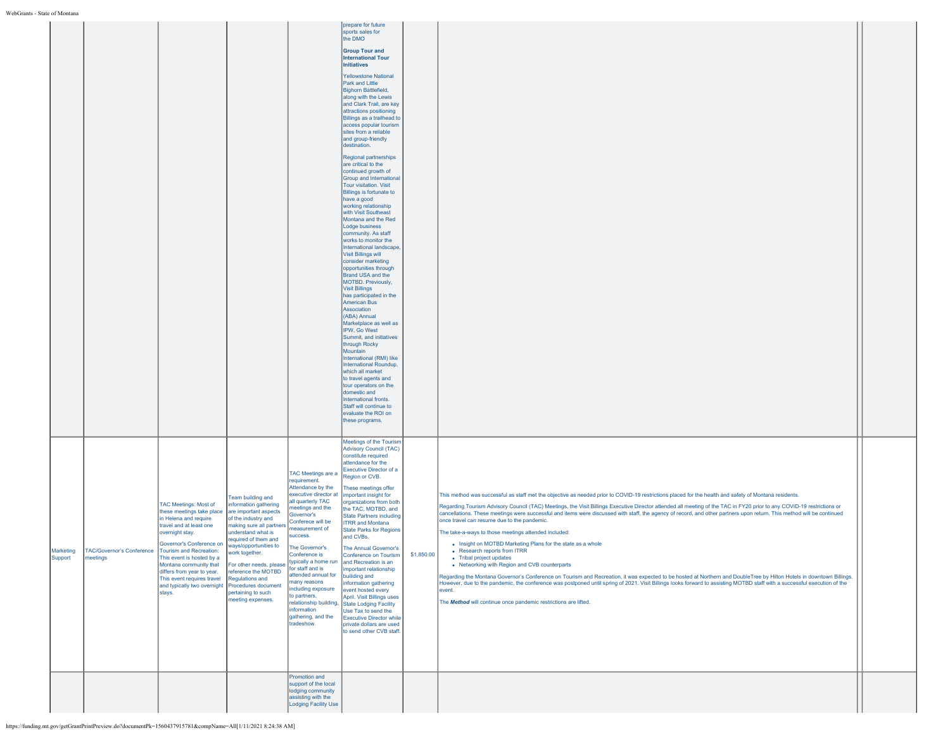|         |                                                                             |                                                                                                                                                                                                                                                                                                                                                             |                                                                                                                                                                                                                                                                                                               |                                                                                                                                                                                                                                                                                                                                                                                                                         | prepare for future<br>sports sales for<br>the DMO<br><b>Group Tour and</b><br><b>International Tour</b><br><b>Initiatives</b><br><b>Yellowstone National</b><br>Park and Little<br>Bighorn Battlefield,<br>along with the Lewis<br>and Clark Trail, are key<br>attractions positioning<br>Billings as a trailhead to<br>access popular tourism<br>sites from a reliable<br>and group-friendly<br>destination.<br>Regional partnerships<br>are critical to the<br>continued growth of<br>Group and International<br>Tour visitation. Visit<br>Billings is fortunate to<br>have a good<br>working relationship<br>with Visit Southeast<br>Montana and the Red<br>Lodge business<br>community. As staff<br>works to monitor the<br>International landscape,<br><b>Visit Billings will</b><br>consider marketing<br>opportunities through<br>Brand USA and the<br>MOTBD, Previously.<br><b>Visit Billings</b><br>has participated in the<br><b>American Bus</b><br>Association<br>(ABA) Annual<br>Marketplace as well as<br>IPW, Go West<br>Summit, and initiatives<br>through Rocky<br>Mountain<br>International (RMI) like<br>International Roundup,<br>which all market<br>to travel agents and<br>tour operators on the<br>domestic and<br>International fronts.<br>Staff will continue to<br>evaluate the ROI on<br>these programs. |            |                                                                                                                                                                                                                                                                                                                                                                                                                                                                                                                                                                                                                                                                                                                                                                                                                                                                                                                                                                                                                                                                                                                                                                                                                                 |  |
|---------|-----------------------------------------------------------------------------|-------------------------------------------------------------------------------------------------------------------------------------------------------------------------------------------------------------------------------------------------------------------------------------------------------------------------------------------------------------|---------------------------------------------------------------------------------------------------------------------------------------------------------------------------------------------------------------------------------------------------------------------------------------------------------------|-------------------------------------------------------------------------------------------------------------------------------------------------------------------------------------------------------------------------------------------------------------------------------------------------------------------------------------------------------------------------------------------------------------------------|--------------------------------------------------------------------------------------------------------------------------------------------------------------------------------------------------------------------------------------------------------------------------------------------------------------------------------------------------------------------------------------------------------------------------------------------------------------------------------------------------------------------------------------------------------------------------------------------------------------------------------------------------------------------------------------------------------------------------------------------------------------------------------------------------------------------------------------------------------------------------------------------------------------------------------------------------------------------------------------------------------------------------------------------------------------------------------------------------------------------------------------------------------------------------------------------------------------------------------------------------------------------------------------------------------------------------------------|------------|---------------------------------------------------------------------------------------------------------------------------------------------------------------------------------------------------------------------------------------------------------------------------------------------------------------------------------------------------------------------------------------------------------------------------------------------------------------------------------------------------------------------------------------------------------------------------------------------------------------------------------------------------------------------------------------------------------------------------------------------------------------------------------------------------------------------------------------------------------------------------------------------------------------------------------------------------------------------------------------------------------------------------------------------------------------------------------------------------------------------------------------------------------------------------------------------------------------------------------|--|
| Support | Marketing   TAC/Governor's Conference   Tourism and Recreation:<br>meetings | TAC Meetings: Most of<br>these meetings take place<br>in Helena and require<br>travel and at least one<br>overnight stay.<br>Governor's Conference on ways/opportunities to<br>This event is hosted by a<br>Montana community that<br>differs from year to year.<br>This event requires travel<br>and typically two overnight Procedures document<br>stays. | Team building and<br>information gathering<br>are important aspects<br>of the industry and<br>making sure all partners<br>understand what is<br>required of them and<br>work together.<br>For other needs, please<br>reference the MOTBD<br><b>Regulations and</b><br>pertaining to such<br>meeting expenses. | TAC Meetings are a<br>requirement.<br>Attendance by the<br>executive director at  important insight for<br>all quarterly TAC<br>neetings and the<br>Governor's<br>Conferece will be<br>measurement of<br>success.<br>The Governor's<br>conference is:<br>for staff and is<br>attended annual for builiding and<br>many reasons<br>including exposure<br>to partners,<br>information<br>gathering, and the<br>tradeshow. | Meetings of the Tourism<br><b>Advisory Council (TAC)</b><br>constitute required<br>attendance for the<br>Executive Director of a<br>Region or CVB.<br>These meetings offer<br>organizations from both<br>the TAC, MOTBD, and<br>State Partners including<br><b>ITRR</b> and Montana<br><b>State Parks for Regions</b><br>and CVBs.<br>The Annual Governor's<br>onference on Tourisr.<br>typically a home run and Recreation is an<br>important relationship<br>information gathering<br>event hosted every<br>April. Visit Billings uses<br>relationship building, State Lodging Facility<br>Use Tax to send the<br><b>Executive Director while</b><br>private dollars are used<br>to send other CVB staff.                                                                                                                                                                                                                                                                                                                                                                                                                                                                                                                                                                                                                          | \$1,850.00 | This method was successful as staff met the objective as needed prior to COVID-19 restrictions placed for the health and safety of Montana residents.<br>Regarding Tourism Advisory Council (TAC) Meetings, the Visit Billings Executive Director attended all meeting of the TAC in FY20 prior to any COVID-19 restrictions or<br>cancellations. These meetings were successful and items were discussed with staff, the agency of record, and other partners upon return. This method will be continued<br>once travel can resume due to the pandemic.<br>The take-a-ways to those meetings attended included:<br>. Insight on MOTBD Marketing Plans for the state as a whole<br>• Research reports from ITRR<br>• Tribal project updates<br>• Networking with Region and CVB counterparts<br>Regarding the Montana Governor's Conference on Tourism and Recreation, it was expected to be hosted at Northern and DoubleTree by Hilton Hotels in downtown Billings.<br>However, due to the pandemic, the conference was postponed until spring of 2021. Visit Billings looks forward to assisting MOTBD staff with a successful execution of the<br>event.<br>The Method will continue once pandemic restrictions are lifted. |  |
|         |                                                                             |                                                                                                                                                                                                                                                                                                                                                             |                                                                                                                                                                                                                                                                                                               | Promotion and<br>support of the local<br>lodging community<br>assisting with the<br>Lodging Facility Use                                                                                                                                                                                                                                                                                                                |                                                                                                                                                                                                                                                                                                                                                                                                                                                                                                                                                                                                                                                                                                                                                                                                                                                                                                                                                                                                                                                                                                                                                                                                                                                                                                                                      |            |                                                                                                                                                                                                                                                                                                                                                                                                                                                                                                                                                                                                                                                                                                                                                                                                                                                                                                                                                                                                                                                                                                                                                                                                                                 |  |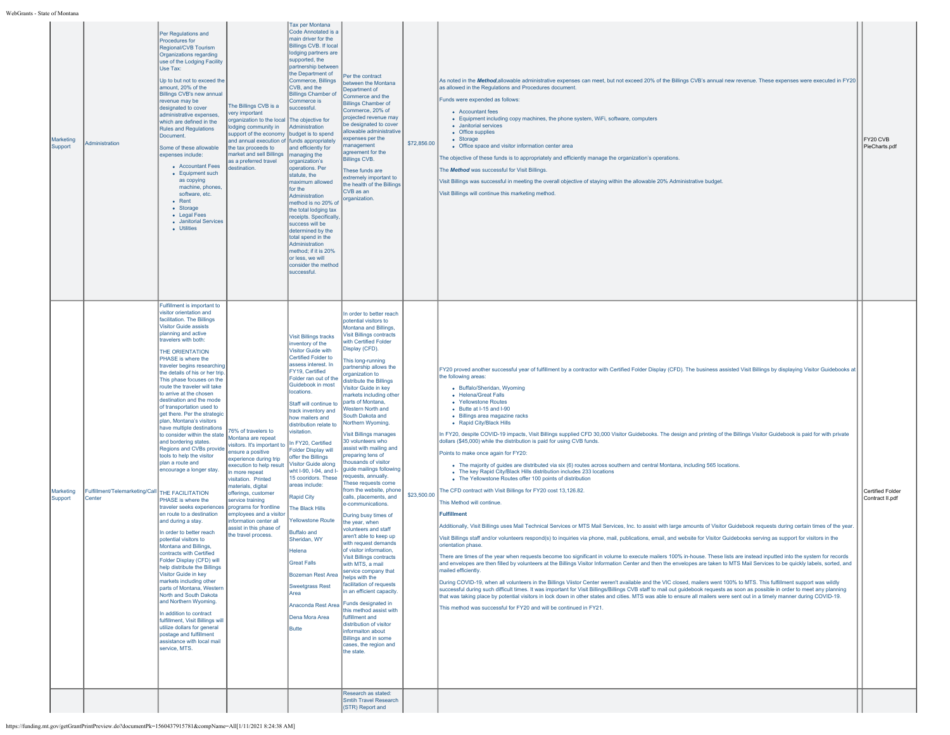| Marketing<br>Support | Administration                                            | Per Regulations and<br>Procedures for<br>Regional/CVB Tourism<br>Organizations regarding<br>use of the Lodging Facility<br>Use Tax:<br>Up to but not to exceed the<br>amount, 20% of the<br><b>Billings CVB's new annual</b><br>revenue may be<br>designated to cover<br>administrative expenses.<br>which are defined in the<br><b>Rules and Regulations</b><br>Document.<br>Some of these allowable<br>expenses include:<br>• Accountant Fees<br>• Equipment such<br>as copying<br>machine, phones.<br>software, etc.<br>• Rent<br>• Storage<br>• Legal Fees<br>• Janitorial Services<br>• Utilities                                                                                                                                                                                                                                                                                                                                                                                                                                                                                                                                                                                                                                                                                                       | The Billings CVB is a<br>very important<br>organization to the local<br>odging community in<br>support of the economy<br>and annual execution of funds appropriately<br>the tax proceeds to<br>market and sell Billings<br>as a preferred travel<br>destination.                                                                                                  | Tax per Montana<br>Code Annotated is a<br>main driver for the<br><b>Billings CVB. If local</b><br>lodging partners are<br>supported, the<br>partnership between<br>the Department of<br>Commerce, Billings<br>CVB, and the<br><b>Billings Chamber of</b><br>Commerce is<br>uccessful.<br>The objective for<br>Administration<br>budget is to spend<br>and efficiently for<br>managing the<br>organization's<br>operations. Per<br>statute, the<br>maximum allowed<br>for the<br>Administration<br>method is no 20% of<br>the total lodging tax<br>receipts. Specifically<br>success will be<br>determined by the<br>total spend in the<br>Administration<br>method; if it is 20%<br>or less, we will<br>consider the method<br>successful                  | Per the contract<br>between the Montana<br>Department of<br>Commerce and the<br><b>Billings Chamber of</b><br>Commerce, 20% of<br>projected revenue may<br>be designated to cover<br>allowable administrative<br>expenses per the<br>management<br>agreement for the<br><b>Billings CVB.</b><br>These funds are<br>extremely important to<br>the health of the Billings<br>CVB as an<br>organization.                                                                                                                                                                                                                                                                                                                                                                                                                                                                                                                                                                                                                                                                                                                                                                                            | \$72,856.00 | As noted in the Method, allowable administrative expenses can meet, but not exceed 20% of the Billings CVB's annual new revenue. These expenses were executed in FY20<br>as allowed in the Regulations and Procedures document.<br>Funds were expended as follows:<br>• Accountant fees<br>• Equipment including copy machines, the phone system, WiFi, software, computers<br>· Janitorial services<br>• Office supplies<br>• Storage<br>• Office space and visitor information center area<br>The objective of these funds is to appropriately and efficiently manage the organization's operations.<br>The Method was successful for Visit Billings.<br>Visit Billings was successful in meeting the overall objective of staying within the allowable 20% Administrative budget<br>Visit Billings will continue this marketing method.                                                                                                                                                                                                                                                                                                                                                                                                                                                                                                                                                                                                                                                                                                                                                                                                                                                                                                                                                                                                                                                                                                                                                                                                                                                                                                                                                                                                                                                                                                                                                                                                                                    | FY20 CVB<br>PieCharts.pdf           |
|----------------------|-----------------------------------------------------------|--------------------------------------------------------------------------------------------------------------------------------------------------------------------------------------------------------------------------------------------------------------------------------------------------------------------------------------------------------------------------------------------------------------------------------------------------------------------------------------------------------------------------------------------------------------------------------------------------------------------------------------------------------------------------------------------------------------------------------------------------------------------------------------------------------------------------------------------------------------------------------------------------------------------------------------------------------------------------------------------------------------------------------------------------------------------------------------------------------------------------------------------------------------------------------------------------------------------------------------------------------------------------------------------------------------|-------------------------------------------------------------------------------------------------------------------------------------------------------------------------------------------------------------------------------------------------------------------------------------------------------------------------------------------------------------------|------------------------------------------------------------------------------------------------------------------------------------------------------------------------------------------------------------------------------------------------------------------------------------------------------------------------------------------------------------------------------------------------------------------------------------------------------------------------------------------------------------------------------------------------------------------------------------------------------------------------------------------------------------------------------------------------------------------------------------------------------------|--------------------------------------------------------------------------------------------------------------------------------------------------------------------------------------------------------------------------------------------------------------------------------------------------------------------------------------------------------------------------------------------------------------------------------------------------------------------------------------------------------------------------------------------------------------------------------------------------------------------------------------------------------------------------------------------------------------------------------------------------------------------------------------------------------------------------------------------------------------------------------------------------------------------------------------------------------------------------------------------------------------------------------------------------------------------------------------------------------------------------------------------------------------------------------------------------|-------------|-------------------------------------------------------------------------------------------------------------------------------------------------------------------------------------------------------------------------------------------------------------------------------------------------------------------------------------------------------------------------------------------------------------------------------------------------------------------------------------------------------------------------------------------------------------------------------------------------------------------------------------------------------------------------------------------------------------------------------------------------------------------------------------------------------------------------------------------------------------------------------------------------------------------------------------------------------------------------------------------------------------------------------------------------------------------------------------------------------------------------------------------------------------------------------------------------------------------------------------------------------------------------------------------------------------------------------------------------------------------------------------------------------------------------------------------------------------------------------------------------------------------------------------------------------------------------------------------------------------------------------------------------------------------------------------------------------------------------------------------------------------------------------------------------------------------------------------------------------------------------------------------------------------------------------------------------------------------------------------------------------------------------------------------------------------------------------------------------------------------------------------------------------------------------------------------------------------------------------------------------------------------------------------------------------------------------------------------------------------------------------------------------------------------------------------------------------------------------------|-------------------------------------|
| Marketing<br>Support | Fulfillment/Telemarketing/Call THE FACILITATION<br>Center | Fulfillment is important to<br>visitor orientation and<br>facilitation. The Billings<br><b>Visitor Guide assists</b><br>planning and active<br>travelers with both:<br>THE ORIENTATION<br>PHASE is where the<br>traveler begins researching<br>the details of his or her trip.<br>This phase focuses on the<br>route the traveler will take<br>to arrive at the chosen<br>destination and the mode<br>of transportation used to<br>get there. Per the strategic<br>plan. Montana's visitors<br>have multiple destinations<br>to consider within the state<br>and bordering states.<br>Regions and CVBs provide<br>tools to help the visitor<br>plan a route and<br>encourage a longer stay.<br>PHASE is where the<br>traveler seeks experiences orrograms for frontline<br>en route to a destination<br>and during a stay.<br>In order to better reach<br>notential visitors to<br>Montana and Billings,<br>contracts with Certified<br>Folder Display (CFD) will<br>help distribute the Billings<br>Visitor Guide in key<br>markets including other<br>parts of Montana, Western<br>North and South Dakota<br>and Northern Wyoming.<br>In addition to contract<br>fulfillment, Visit Billings will<br>utilize dollars for general<br>postage and fulfillment<br>assistance with local mail<br>service, MTS. | 76% of travelers to<br>Montana are repeat<br>visitors. It's important to<br>ensure a positive<br>experience during trip<br>execution to help result<br>more repeat<br>visitation. Printed<br>materials, digital<br>offerings, customer<br>service training<br>employees and a visitor<br>information center all<br>assist in this phase of<br>the travel process. | <b>Visit Billings tracks</b><br>inventory of the<br>Visitor Guide with<br>Certified Folder to<br>assess interest. In<br>FY19, Certified<br>Folder ran out of the<br>Guidebook in most<br>locations.<br>Staff will continue to<br>track inventory and<br>how mailers and<br>distribution relate to<br>visitation.<br>In FY20, Certified<br>Folder Display will<br>offer the Billings<br><b>Visitor Guide along</b><br>wht I-90, I-94, and I-<br>15 cooridors. These<br>areas include:<br><b>Rapid City</b><br><b>he Black Hills</b><br><b>Yellowstone Route</b><br><b>Buffalo and</b><br>Sheridan, WY<br>Helena<br><b>Great Falls</b><br><b>Bozeman Rest Area</b><br><b>Sweetgrass Rest</b><br>Area<br>Anaconda Rest Area<br>Dena Mora Area<br><b>Butte</b> | In order to better reach<br>potential visitors to<br>Montana and Billings,<br><b>Visit Billings contracts</b><br>with Certified Folder<br>Display (CFD).<br>This long-running<br>partnership allows the<br>organization to<br>distribute the Billings<br>Visitor Guide in key<br>markets including other<br>parts of Montana,<br>Western North and<br>South Dakota and<br>Northern Wyoming.<br><b>Visit Billings manages</b><br>30 volunteers who<br>assist with mailing and<br>preparing tens of<br>thousands of visitor<br>guide mailings following<br>requests, annually.<br>These requests come<br>from the website, phone<br>calls, placements, and<br>e-communications<br>During busy times of<br>the year, when<br>volunteers and staff<br>aren't able to keep up<br>with request demands<br>of visitor information,<br><b>Visit Billings contracts</b><br>with MTS, a mail<br>service company that<br>helps with the<br>facilitation of requests<br>in an efficient capacity.<br>Funds designated in<br>this method assist with<br>fulfillment and<br>distribution of visitor<br>informaiton about<br>Billings and in some<br>cases, the region and<br>the state.<br>Research as stated: | \$23,500.00 | FY20 proved another successful year of fulfillment by a contractor with Certified Folder Display (CFD). The business assisted Visit Billings by displaying Visitor Guidebooks at<br>the following areas:<br>• Buffalo/Sheridan, Wyoming<br>• Helena/Great Falls<br>• Yellowstone Routes<br>• Butte at I-15 and I-90<br>• Billings area magazine racks<br>• Rapid City/Black Hills<br>In FY20, despite COVID-19 impacts, Visit Billings supplied CFD 30,000 Visitor Guidebooks. The design and printing of the Billings Visitor Guidebook is paid for with private<br>dollars (\$45,000) while the distribution is paid for using CVB funds.<br>Points to make once again for FY20:<br>. The majority of guides are distributed via six (6) routes across southern and central Montana, including 565 locations.<br>• The key Rapid City/Black Hills distribution includes 233 locations<br>• The Yellowstone Routes offer 100 points of distribution<br>The CFD contract with Visit Billings for FY20 cost 13,126.82.<br>This Method will continue.<br><b>Fulfillment</b><br>Additionally, Visit Billings uses Mail Technical Services or MTS Mail Services, Inc. to assist with large amounts of Visitor Guidebook requests during certain times of the year.<br>Visit Billings staff and/or volunteers respond(s) to inquiries via phone, mail, publications, email, and website for Visitor Guidebooks serving as support for visitors in the<br>orientation phase.<br>There are times of the year when requests become too significant in volume to execute mailers 100% in-house. These lists are instead inputted into the system for records<br>and envelopes are then filled by volunteers at the Billings Visitor Information Center and then the envelopes are taken to MTS Mail Services to be quickly labels, sorted, and<br>mailed efficiently.<br>During COVID-19, when all volunteers in the Billings Viistor Center weren't available and the VIC closed, mailers went 100% to MTS. This fulfillment support was wildly<br>successful during such difficult times. It was important for Visit Billings/Billings CVB staff to mail out guidebook requests as soon as possible in order to meet any planning<br>that was taking place by potential visitors in lock down in other states and cities. MTS was able to ensure all mailers were sent out in a timely manner during COVID-19.<br>This method was successful for FY20 and will be continued in FY21. | Certified Folder<br>Contract II.pdf |
|                      |                                                           |                                                                                                                                                                                                                                                                                                                                                                                                                                                                                                                                                                                                                                                                                                                                                                                                                                                                                                                                                                                                                                                                                                                                                                                                                                                                                                              |                                                                                                                                                                                                                                                                                                                                                                   |                                                                                                                                                                                                                                                                                                                                                                                                                                                                                                                                                                                                                                                                                                                                                            | Smtih Travel Research<br>(STR) Report and                                                                                                                                                                                                                                                                                                                                                                                                                                                                                                                                                                                                                                                                                                                                                                                                                                                                                                                                                                                                                                                                                                                                                        |             |                                                                                                                                                                                                                                                                                                                                                                                                                                                                                                                                                                                                                                                                                                                                                                                                                                                                                                                                                                                                                                                                                                                                                                                                                                                                                                                                                                                                                                                                                                                                                                                                                                                                                                                                                                                                                                                                                                                                                                                                                                                                                                                                                                                                                                                                                                                                                                                                                                                                               |                                     |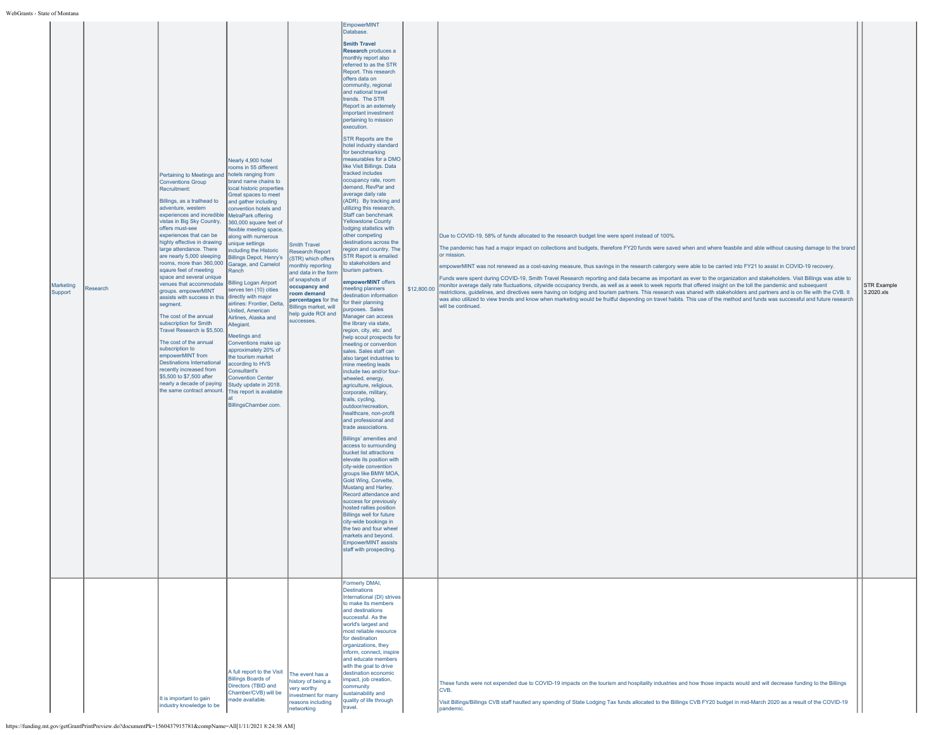| Marketing<br>Support | Research | Pertaining to Meetings and hotels ranging from<br>Conventions Group<br>Recruitment:<br>Billings, as a trailhead to<br>adventure, western<br>experiences and incredible<br>vistas in Big Sky Country,<br>offers must-see<br>experiences that can be<br>highly effective in drawing<br>large attendance. There<br>are nearly 5,000 sleeping<br>rooms, more than 360,000<br>sqaure feet of meeting<br>space and several unique<br>venues that accommodate<br>groups. empowerMINT<br>assists with success in this directly with major<br>segment.<br>The cost of the annual<br>subscription for Smith<br>Travel Research is \$5,500.<br>The cost of the annual<br>subscription to<br>empowerMINT from<br><b>Destinations International</b><br>recently increased from<br>\$5,500 to \$7,500 after<br>nearly a decade of paying<br>the same contract amount. | Nearly 4,900 hotel<br>rooms in 55 different<br>brand name chains to<br>local historic properties<br>Great spaces to meet<br>and gather including<br>convention hotels and<br>MetraPark offering<br>360,000 square feet of<br>flexible meeting space,<br>along with numerous<br>unique settings<br>including the Historic<br><b>Billings Depot, Henry's</b><br>Garage, and Camelot<br>Ranch<br><b>Billing Logan Airport</b><br>serves ten (10) cities<br>airlines: Frontier, Delta,<br>United, American<br>Airlines, Alaska and<br>Allegiant.<br>Meetings and<br>Conventions make up<br>approximately 20% of<br>the tourism market<br>according to HVS<br>Consultant's<br><b>Convention Center</b><br>Study update in 2018.<br>This report is available<br>BillingsChamber.com. | <b>Smith Travel</b><br><b>Research Report</b><br>(STR) which offers<br>nonthly reporting<br>and data in the form<br>of snapshots of<br>occupancy and<br>oom demand<br>percentages for the<br>Billings market, will<br>help guide ROI and<br>successes. | <b>EmpowerMINT</b><br>Database.<br><b>Smith Travel</b><br>Research produces a<br>monthly report also<br>referred to as the STR<br>Report. This research<br>offers data on<br>community, regional<br>and national travel<br>trends. The STR<br>Report is an extemely<br>important investment<br>pertaining to mission<br>execution.<br>STR Reports are the<br>hotel industry standard<br>for benchmarking<br>measurables for a DMO<br>like Visit Billings. Data<br>tracked includes<br>occupancy rate, room<br>demand, RevPar and<br>average daily rate<br>(ADR). By tracking and<br>utilizing this research,<br>Staff can benchmark<br><b>Yellowstone County</b><br>lodging statistics with<br>other competing<br>destinations across the<br>region and country. The<br><b>STR Report is emailed</b><br>to stakeholders and<br>tourism partners.<br>empowerMINT offers<br>neeting planners<br>lestination information<br>for their planning<br>purposes. Sales<br>Manager can access<br>the library via state,<br>region, city, etc. and<br>help scout prospects for<br>meeting or convention<br>sales. Sales staff can<br>also target industries to<br>mine meeting leads<br>include two and/or four-<br>wheeled, energy,<br>agriculture, religious,<br>corporate, military,<br>trails, cycling,<br>outdoor/recreation,<br>healthcare, non-profit<br>and professional and<br>trade associations.<br>Billings' amenities and<br>access to surrounding<br>bucket list attractions<br>elevate its position with<br>city-wide convention<br>groups like BMW MOA,<br>Gold Wing, Corvette,<br>Mustang and Harley.<br>Record attendance and<br>success for previously<br>hosted rallies position<br><b>Billings well for future</b><br>city-wide bookings in<br>the two and four wheel<br>markets and beyond.<br>EmpowerMINT assists<br>staff with prospecting.<br>Formerly DMAI, | Due to COVID-19, 58% of funds allocated to the research budget line were spent instead of 100%.<br>The pandemic has had a major impact on collections and budgets, therefore FY20 funds were saved when and where feasbile and able without causing damage to the brand<br>for mission.<br>empowerMINT was not renewed as a cost-saving measure, thus savings in the research catergory were able to be carried into FY21 to assist in COVID-19 recovery.<br>Funds were spent during COVID-19, Smith Travel Research reporting and data became as important as ever to the organization and stakeholders. Visit Billings was able to<br>\$12,800.00 monitor average daily rate fluctuations, citywide occupancy trends, as well as a week to week reports that offered insight on the toll the pandemic and subsequent<br>restrictions, guidelines, and directives were having on lodging and tourism partners. This research was shared with stakeholders and partners and is on file with the CVB. It<br>was also utilized to view trends and know when marketing would be fruitful depending on travel habits. This use of the method and funds was successful and future research<br>will be continued. | STR Example<br>3.2020.xls |
|----------------------|----------|---------------------------------------------------------------------------------------------------------------------------------------------------------------------------------------------------------------------------------------------------------------------------------------------------------------------------------------------------------------------------------------------------------------------------------------------------------------------------------------------------------------------------------------------------------------------------------------------------------------------------------------------------------------------------------------------------------------------------------------------------------------------------------------------------------------------------------------------------------|--------------------------------------------------------------------------------------------------------------------------------------------------------------------------------------------------------------------------------------------------------------------------------------------------------------------------------------------------------------------------------------------------------------------------------------------------------------------------------------------------------------------------------------------------------------------------------------------------------------------------------------------------------------------------------------------------------------------------------------------------------------------------------|--------------------------------------------------------------------------------------------------------------------------------------------------------------------------------------------------------------------------------------------------------|-----------------------------------------------------------------------------------------------------------------------------------------------------------------------------------------------------------------------------------------------------------------------------------------------------------------------------------------------------------------------------------------------------------------------------------------------------------------------------------------------------------------------------------------------------------------------------------------------------------------------------------------------------------------------------------------------------------------------------------------------------------------------------------------------------------------------------------------------------------------------------------------------------------------------------------------------------------------------------------------------------------------------------------------------------------------------------------------------------------------------------------------------------------------------------------------------------------------------------------------------------------------------------------------------------------------------------------------------------------------------------------------------------------------------------------------------------------------------------------------------------------------------------------------------------------------------------------------------------------------------------------------------------------------------------------------------------------------------------------------------------------------------------------------------------------------------------------------------------------------------------|-------------------------------------------------------------------------------------------------------------------------------------------------------------------------------------------------------------------------------------------------------------------------------------------------------------------------------------------------------------------------------------------------------------------------------------------------------------------------------------------------------------------------------------------------------------------------------------------------------------------------------------------------------------------------------------------------------------------------------------------------------------------------------------------------------------------------------------------------------------------------------------------------------------------------------------------------------------------------------------------------------------------------------------------------------------------------------------------------------------------------------------------------------------------------------------------------------------|---------------------------|
|                      |          | It is important to gain<br>industry knowledge to be                                                                                                                                                                                                                                                                                                                                                                                                                                                                                                                                                                                                                                                                                                                                                                                                     | A full report to the Visit<br><b>Billings Boards of</b><br>Directors (TBID and<br>Chamber/CVB) will be<br>made available.                                                                                                                                                                                                                                                                                                                                                                                                                                                                                                                                                                                                                                                      | The event has a<br>history of being a<br>ery worthy<br>investment for many<br>easons including<br>etworking                                                                                                                                            | Destinations<br>International (DI) strives<br>to make its members<br>and destinations<br>successful. As the<br>world's largest and<br>most reliable resource<br>for destination<br>organizations, they<br>inform, connect, inspire<br>and educate members<br>with the goal to drive<br>destination economic<br>mpact, job creation,<br>community<br>sustainability and<br>quality of life through<br>travel.                                                                                                                                                                                                                                                                                                                                                                                                                                                                                                                                                                                                                                                                                                                                                                                                                                                                                                                                                                                                                                                                                                                                                                                                                                                                                                                                                                                                                                                                | These funds were not expended due to COVID-19 impacts on the tourism and hospitality industries and how those impacts would and will decrease funding to the Billings<br>CVB.<br>Visit Billings/Billings CVB staff haulted any spending of State Lodging Tax funds allocated to the Billings CVB FY20 budget in mid-March 2020 as a result of the COVID-19<br>pandemic.                                                                                                                                                                                                                                                                                                                                                                                                                                                                                                                                                                                                                                                                                                                                                                                                                                     |                           |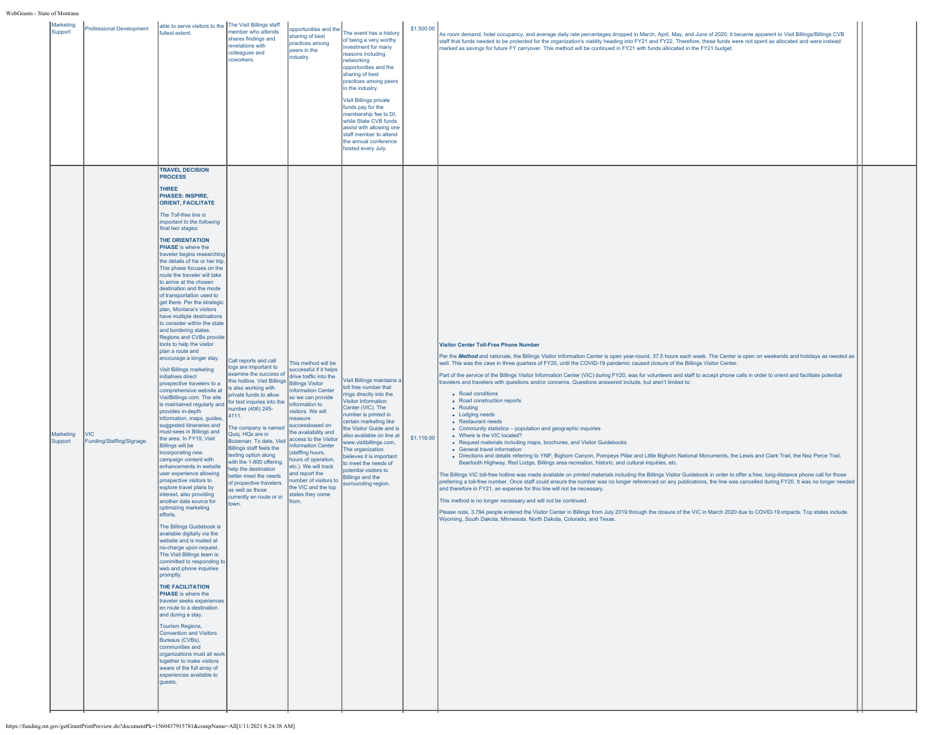| Marketing<br>Support | Professional Development               | able to serve visitors to the The Visit Billings staff<br>fullest extent.                                                                                                                                                                                                                                                                                                                                                                                                                                                                                                                                                                                                                                                                                                                                                                                                                                                                                                                                                                                                                                                                                                                                                                                                                                                                                                                                                                                                                                                                                                                                                                                                                                                                                                                                                                                                                                                                         | member who attends<br>shares findings and<br>revelations with<br>colleagues and<br>coworkers.                                                                                                                                                                                                                                                                                                                                                                                                                      | opportunities and the<br>sharing of best<br>practices among<br>peers in the<br>industry.                                                                                                                                                                                                                                                                                                                                                                        | The event has a history<br>of being a very worthy<br>investment for many<br>reasons including<br>networking<br>opportunities and the<br>sharing of best<br>practices among peers<br>in the industry.<br><b>Visit Billings private</b><br>funds pay for the<br>membership fee to DI,<br>while State CVB funds<br>assist with allowing one<br>staff member to attend<br>the annual conference<br>hosted every July.      | \$1,500.00 | As room demand, hotel occupancy, and average daily rate percentages dropped in March, April, May, and June of 2020, it became apparent to Visit Billings/Billings CVB<br>staff that funds needed to be protected for the organization's viablity heading into FY21 and FY22. Therefore, these funds were not spent as allocated and were instead<br>marked as savings for future FY carryover. This method will be continued in FY21 with funds allocated in the FY21 budget.                                                                                                                                                                                                                                                                                                                                                                                                                                                                                                                                                                                                                                                                                                                                                                                                                                                                                                                                                                                                                                                                                                                                                                                                                                                                                                                                                                                                                                                                                                                                         |  |
|----------------------|----------------------------------------|---------------------------------------------------------------------------------------------------------------------------------------------------------------------------------------------------------------------------------------------------------------------------------------------------------------------------------------------------------------------------------------------------------------------------------------------------------------------------------------------------------------------------------------------------------------------------------------------------------------------------------------------------------------------------------------------------------------------------------------------------------------------------------------------------------------------------------------------------------------------------------------------------------------------------------------------------------------------------------------------------------------------------------------------------------------------------------------------------------------------------------------------------------------------------------------------------------------------------------------------------------------------------------------------------------------------------------------------------------------------------------------------------------------------------------------------------------------------------------------------------------------------------------------------------------------------------------------------------------------------------------------------------------------------------------------------------------------------------------------------------------------------------------------------------------------------------------------------------------------------------------------------------------------------------------------------------|--------------------------------------------------------------------------------------------------------------------------------------------------------------------------------------------------------------------------------------------------------------------------------------------------------------------------------------------------------------------------------------------------------------------------------------------------------------------------------------------------------------------|-----------------------------------------------------------------------------------------------------------------------------------------------------------------------------------------------------------------------------------------------------------------------------------------------------------------------------------------------------------------------------------------------------------------------------------------------------------------|------------------------------------------------------------------------------------------------------------------------------------------------------------------------------------------------------------------------------------------------------------------------------------------------------------------------------------------------------------------------------------------------------------------------|------------|-----------------------------------------------------------------------------------------------------------------------------------------------------------------------------------------------------------------------------------------------------------------------------------------------------------------------------------------------------------------------------------------------------------------------------------------------------------------------------------------------------------------------------------------------------------------------------------------------------------------------------------------------------------------------------------------------------------------------------------------------------------------------------------------------------------------------------------------------------------------------------------------------------------------------------------------------------------------------------------------------------------------------------------------------------------------------------------------------------------------------------------------------------------------------------------------------------------------------------------------------------------------------------------------------------------------------------------------------------------------------------------------------------------------------------------------------------------------------------------------------------------------------------------------------------------------------------------------------------------------------------------------------------------------------------------------------------------------------------------------------------------------------------------------------------------------------------------------------------------------------------------------------------------------------------------------------------------------------------------------------------------------------|--|
| Marketing<br>Support | <b>VIC</b><br>Funding/Staffing/Signage | <b>TRAVEL DECISION</b><br><b>PROCESS</b><br><b>THREE</b><br><b>PHASES: INSPIRE.</b><br><b>ORIENT, FACILITATE</b><br>The Toll-free line is<br>important to the following<br>final two stages:<br><b>THE ORIENTATION</b><br><b>PHASE</b> is where the<br>traveler begins researching<br>the details of his or her trip.<br>This phase focuses on the<br>route the traveler will take<br>to arrive at the chosen<br>destination and the mode<br>of transportation used to<br>get there. Per the strategic<br>plan. Montana's visitors<br>have multiple destinations<br>to consider within the state<br>and bordering states.<br>Regions and CVBs provide<br>tools to help the visitor<br>plan a route and<br>encourage a longer stay.<br><b>Visit Billings marketing</b><br>initiatives direct<br>prospective travelers to a<br>comprehensive website at<br>VisitBillings.com. The site<br>is maintained regularly and<br>provides in-depth<br>information, maps, guides,<br>suggested itineraries and<br>must-sees in Billings and<br>the area. In FY19, Visit<br><b>Billings will be</b><br>incorporating new<br>campaign content with<br>enhancements in website<br>user experience allowing<br>prospective visitors to<br>explore travel plans by<br>nterest, also providing<br>another data source for<br>optimizing marketing<br>efforts.<br>The Billings Guidebook is<br>available digitally via the<br>website and is mailed at<br>no-charge upon request.<br>The Visit Billings team is<br>committed to responding to<br>web and phone inquiries<br>promptly.<br><b>THE FACILITATION</b><br><b>PHASE</b> is where the<br>traveler seeks experiences<br>en route to a destination<br>and during a stay.<br><b>Tourism Regions,</b><br><b>Convention and Visitors</b><br>Bureaus (CVBs),<br>communities and<br>organizations must all work<br>together to make visitors<br>aware of the full array of<br>experiences available to<br>lauests. | Call reports and call<br>logs are important to<br>examine the success of<br>this hotline. Visit Billings<br>is also working with<br>private funds to allow<br>for text inquries into the<br>number (406) 245-<br>4111.<br>The company is named<br>Quiq. HQs are in<br>Bozeman. To date, Visit<br>Billings staff feels the<br>texting option along<br>with the 1-800 offering,<br>help the destination<br>better meet the needs<br>of propective travelers<br>as well as those<br>currently en route or in<br>town. | This method will be<br>successful if it helps<br>drive traffic into the<br><b>Billings Visitor</b><br>nformation Center<br>so we can provide<br>information to<br>visitors. We will<br>measure<br>successbased on<br>the availability and<br>access to the Visitor<br><b>Information Center</b><br>(staffing hours,<br>hours of operation,<br>etc.). We will track<br>and report the<br>number of visitors to<br>the VIC and the top<br>states they come<br>om. | <b>/isit Billings maintains a</b><br>toll free number that<br>rings directly into the<br><b>Visitor Information</b><br>Center (VIC). The<br>number is printed in<br>certain marketing like<br>he Visitor Guide and is<br>lso available on line at<br>ww.visitbillings.com.<br>The organization<br>believes it is important<br>to meet the needs of<br>potential visitors to<br>Billings and the<br>surrounding region. | \$1,116.00 | <b>Visitor Center Toll-Free Phone Number</b><br>Per the Method and rationale, the Billings Visitor Information Center is open year-round, 37.5 hours each week. The Center is open on weekends and holidays as needed as<br>well. This was the case in three quarters of FY20, until the COVID-19 pandemic caused closure of the Billings Visitor Center.<br>Part of the service of the Billings Visitor Information Center (VIC) during FY20, was for volunteers and staff to accept phone calls in order to orient and facilitate potential<br>travelers and travelers with questions and/or concerns. Questions answered include, but aren't limited to:<br>• Road conditions<br>• Road construction reports<br>• Routing<br>• Lodging needs<br>• Restaurant needs<br>• Community statistics - population and geographic inquiries<br>• Where is the VIC located?<br>• Request materials including maps, brochures, and Visitor Guidebooks<br>• General travel information<br>• Directions and details referring to YNP, Bighorn Canyon, Pompeys Pillar and Little Bighorn National Monuments, the Lewis and Clark Trail, the Nez Perce Trail,<br>Beartooth Highway, Red Lodge, Billings area recreation, historic, and cultural inquiries, etc.<br>The Billings VIC toll-free hotline was made available on printed materials including the Billings Visitor Guidebook in order to offer a free, long-distance phone call for those<br>preferring a toll-free number. Once staff could ensure the number was no longer referenced on any publications, the line was cancelled during FY20. It was no longer needed<br>and therefore in FY21, an expense for this line will not be necessary.<br>This method is no longer necessary and will not be continued.<br>Please note, 3,794 people entered the Visitor Center in Billings from July 2019 through the closure of the VIC in March 2020 due to COVID-19 impacts. Top states include<br>Wyoming, South Dakota, Minnesota, North Dakota, Colorado, and Texas. |  |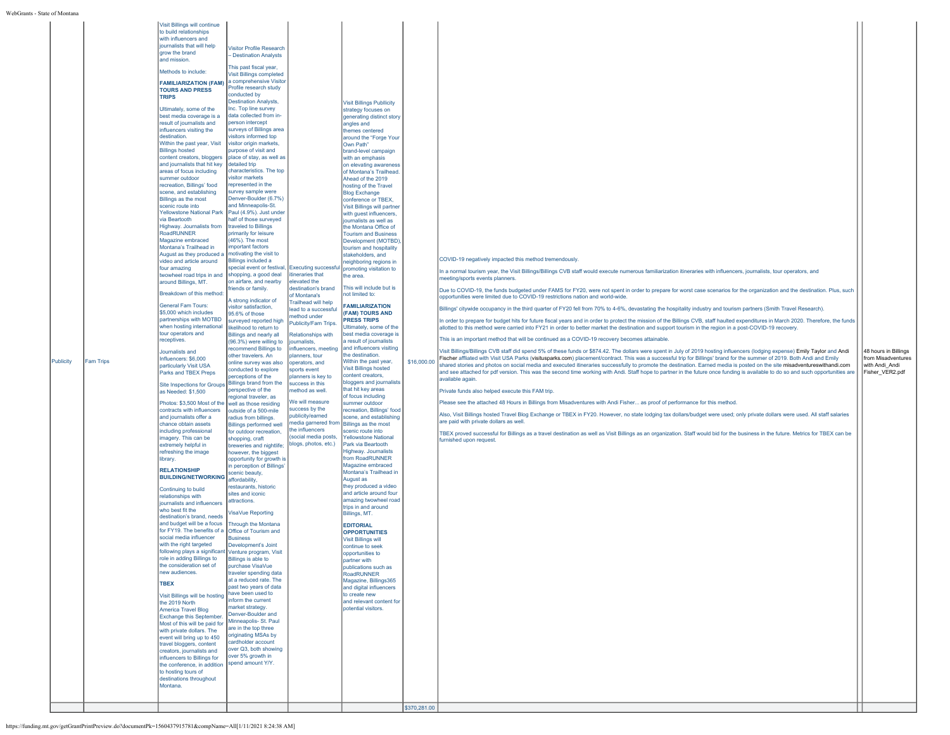| Publicity | <b>Fam Trips</b> | to build relationships<br>with influencers and<br>journalists that will help<br>grow the brand<br>land mission.<br>Methods to include:<br><b>FAMILIARIZATION (FAM)</b><br><b>TOURS AND PRESS</b><br><b>TRIPS</b><br>Ultimately, some of the<br>best media coverage is a<br>result of journalists and<br>influencers visiting the<br>destination.<br>Within the past year, Visit<br><b>Billings hosted</b><br>content creators, bloggers<br>and journalists that hit kev<br>areas of focus including<br>summer outdoor<br>recreation, Billings' food<br>scene, and establishing<br>Billings as the most<br>scenic route into<br><b>Yellowstone National Park</b><br>via Beartooth<br>Highway. Journalists from<br>RoadRUNNER<br>Magazine embraced<br>Montana's Trailhead in<br>August as they produced a<br>video and article around<br>four amazing<br>twowheel road trips in and<br>around Billings, MT.<br>Breakdown of this method:<br><b>General Fam Tours:</b><br>\$5,000 which includes<br>partnerships with MOTBD<br>when hosting international<br>tour operators and<br>receptives.<br>Journalists and<br>Influencers: \$6,000<br>particularly Visit USA<br>Parks and TBEX Preps<br>Site Inspections for Groups Billings brand from the<br>as Needed: \$1,500<br>Photos: \$3,500 Most of the<br>contracts with influencers<br>and journalists offer a<br>chance obtain assets<br>including professional<br>imagery. This can be<br>extremely helpful in<br>refreshing the image<br>library.<br><b>RELATIONSHIP</b><br><b>BUILDING/NETWORKING</b><br>Continuing to build<br>relationships with<br>journalists and influencers<br>who hest fit the<br>destination's brand, needs<br>and budget will be a focus<br>for FY19. The benefits of a Office of Tourism and<br>social media influencer<br>with the right targeted<br>following plays a significant Venture program, Visit<br>ole in adding Billings to<br>the consideration set of<br>new audiences.<br><b>TBEX</b><br>Visit Billings will be hosting<br>the 2019 North<br>America Travel Blog<br>Exchange this September.<br>Most of this will be paid for<br>with private dollars. The<br>event will bring up to 450<br>travel bloggers, content<br>creators, journalists and<br>influencers to Billings for<br>the conference, in addition<br>to hosting tours of<br>destinations throughout<br>Montana. | <b>Visitor Profile Research</b><br><b>Destination Analysts</b><br>This past fiscal year,<br><b>Visit Billings completed</b><br>a comprehensive Visitor<br>Profile research study<br>conducted by<br><b>Destination Analysts.</b><br>Inc. Top line survey<br>data collected from in-<br>person intercept<br>surveys of Billings area<br>visitors informed top<br>visitor origin markets,<br>purpose of visit and<br>place of stay, as well as<br>detailed trip<br>characteristics. The top<br>visitor markets<br>represented in the<br>survey sample were<br>Denver-Boulder (6.7%)<br>and Minneapolis-St.<br>Paul (4.9%). Just under<br>half of those surveyed<br>traveled to Billings<br>primarily for leisure<br>(46%). The most<br>mportant factors<br>motivating the visit to<br><b>Billings included a</b><br>special event or festival, Executing successful promoting visitation to<br>shopping, a good deal<br>on airfare, and nearby<br>riends or family.<br>A strong indicator of<br>visitor satisfaction,<br>95.6% of those<br>surveyed reported high<br>likelihood to return to<br>Billings and nearly all<br>(96.3%) were willing to<br>recommend Billings to<br>other travelers, An<br>online survey was also<br>conducted to explore<br>perceptions of the<br>perspective of the<br>regional traveler, as<br>well as those residing<br>outside of a 500-mile<br>radius from billings.<br><b>Billings performed well</b><br>for outdoor recreation,<br>shopping, craft<br>breweries and nightlife;<br>however, the biggest<br>opportunity for growth is<br>in perception of Billings'<br>scenic beauty,<br>affordability,<br>restaurants, historic<br>sites and iconic<br>attractions.<br><b>VisaVue Reporting</b><br><b>Through the Montana</b><br><b>Business</b><br>Development's Joint<br>Billings is able to<br>purchase VisaVue<br>traveler spending data<br>at a reduced rate. The<br>past two years of data<br>have been used to<br>nform the current<br>market strategy.<br>Denver-Boulder and<br>Minneapolis- St. Paul<br>are in the top three<br>originating MSAs by<br>cardholder account<br>over Q3, both showing<br>over 5% growth in<br>spend amount Y/Y. | tineraries that<br>elevated the<br>destination's brand<br>of Montana's<br><b>Trailhead will help</b><br>ead to a successful<br>nethod under<br>Publicity/Fam Trips.<br><b>Relationshins with</b><br>ournalists,<br>nfluencers, meeting<br><b>Janners</b> , tour<br>operators, and<br>sports event<br>planners is key to<br>success in this<br>nethod as well.<br><b>Ne will measure</b><br>success by the<br>publicity/earned<br>he influencers<br>(social media posts,<br>blogs, photos, etc.) | <b>Visit Billings Publlicity</b><br>strategy focuses on<br>generating distinct story<br>angles and<br>themes centered<br>around the "Forge Your<br>Own Path"<br>brand-level campaign<br>with an emphasis<br>on elevating awareness<br>of Montana's Trailhead.<br>Ahead of the 2019<br>hosting of the Travel<br><b>Blog Exchange</b><br>conference or TBEX,<br>Visit Billings will partner<br>with guest influencers,<br>journalists as well as<br>the Montana Office of<br><b>Tourism and Business</b><br>Development (MOTBD)<br>tourism and hospitality<br>stakeholders, and<br>neighboring regions in<br>the area.<br>This will include but is<br>not limited to:<br><b>FAMILIARIZATION</b><br>(FAM) TOURS AND<br><b>PRESS TRIPS</b><br>JItimately, some of the<br>best media coverage is<br>a result of journalists<br>and influencers visiting<br>the destination.<br>Within the past year.<br><b>Visit Billings hosted</b><br>content creators,<br>bloggers and journalists<br>that hit key areas<br>of focus including<br>summer outdoor<br>recreation, Billings' food<br>scene, and establishing<br>media garnered from Billings as the most<br>scenic route into<br><b>Yellowstone National</b><br>Park via Beartooth<br>Highway. Journalists<br>from RoadRUNNER<br>Magazine embraced<br>Montana's Trailhead in<br>August as<br>they produced a video<br>and article around four<br>amazing twowheel road<br>trips in and around<br>Billings, MT.<br><b>EDITORIAL</b><br><b>OPPORTUNITIES</b><br><b>Visit Billings will</b><br>continue to seek<br>opportunities to<br>partner with<br>publications such as<br>RoadRUNNER<br>Magazine, Billings365<br>and digital influencers<br>to create new<br>and relevant content for<br>potential visitors. | \$16,000.00<br>\$370,281.00 | COVID-19 negatively impacted this method tremendously.<br>In a normal tourism year, the Visit Billings/Billings CVB staff would execute numerous familiarization itineraries with influencers, journalists, tour operators, and<br>meeting/sports events planners.<br>Due to COVID-19, the funds budgeted under FAMS for FY20, were not spent in order to prepare for worst case scenarios for the organization and the destination. Plus, such<br>opportunities were limited due to COVID-19 restrictions nation and world-wide.<br>Billings' citywide occupancy in the third quarter of FY20 fell from 70% to 4-6%, devastating the hospitality industry and tourism partners (Smith Travel Research).<br>In order to prepare for budget hits for future fiscal years and in order to protect the mission of the Billings CVB, staff haulted expenditures in March 2020. Therefore, the funds<br>allotted to this method were carried into FY21 in order to better market the destination and support tourism in the region in a post-COVID-19 recovery.<br>This is an important method that will be continued as a COVID-19 recovery becomes attainable.<br>Visit Billings/Billings CVB staff did spend 5% of these funds or \$874.42. The dollars were spent in July of 2019 hosting influencers (lodging expense) Emily Taylor and Andi<br>Fischer affliated with Visit USA Parks (visitusparks.com) placement/contract. This was a successful trip for Billings' brand for the summer of 2019. Both Andi and Emily<br>shared stories and photos on social media and executed itineraries successfully to promote the destination. Earned media is posted on the site misadventureswithandi.com<br>and see attached for pdf version. This was the second time working with Andi. Staff hope to partner in the future once funding is available to do so and such opportunities are<br>available again.<br>Private funds also helped execute this FAM trip.<br>Please see the attached 48 Hours in Billings from Misadventures with Andi Fisher as proof of performance for this method.<br>Also, Visit Billings hosted Travel Blog Exchange or TBEX in FY20. However, no state lodging tax dollars/budget were used; only private dollars were used. All staff salaries<br>are paid with private dollars as well.<br>TBEX proved successful for Billings as a travel destination as well as Visit Billings as an organization. Staff would bid for the business in the future. Metrics for TBEX can be<br>furnished upon request | 48 hours in Billings<br>from Misadventures<br>with Andi Andi<br>Fisher_VER2.pdf |
|-----------|------------------|---------------------------------------------------------------------------------------------------------------------------------------------------------------------------------------------------------------------------------------------------------------------------------------------------------------------------------------------------------------------------------------------------------------------------------------------------------------------------------------------------------------------------------------------------------------------------------------------------------------------------------------------------------------------------------------------------------------------------------------------------------------------------------------------------------------------------------------------------------------------------------------------------------------------------------------------------------------------------------------------------------------------------------------------------------------------------------------------------------------------------------------------------------------------------------------------------------------------------------------------------------------------------------------------------------------------------------------------------------------------------------------------------------------------------------------------------------------------------------------------------------------------------------------------------------------------------------------------------------------------------------------------------------------------------------------------------------------------------------------------------------------------------------------------------------------------------------------------------------------------------------------------------------------------------------------------------------------------------------------------------------------------------------------------------------------------------------------------------------------------------------------------------------------------------------------------------------------------------------------------------------------------------------------------------------------------------------------------------------------------------|---------------------------------------------------------------------------------------------------------------------------------------------------------------------------------------------------------------------------------------------------------------------------------------------------------------------------------------------------------------------------------------------------------------------------------------------------------------------------------------------------------------------------------------------------------------------------------------------------------------------------------------------------------------------------------------------------------------------------------------------------------------------------------------------------------------------------------------------------------------------------------------------------------------------------------------------------------------------------------------------------------------------------------------------------------------------------------------------------------------------------------------------------------------------------------------------------------------------------------------------------------------------------------------------------------------------------------------------------------------------------------------------------------------------------------------------------------------------------------------------------------------------------------------------------------------------------------------------------------------------------------------------------------------------------------------------------------------------------------------------------------------------------------------------------------------------------------------------------------------------------------------------------------------------------------------------------------------------------------------------------------------------------------------------------------------------------------------------------------------------------------------------------------------------------------------|-------------------------------------------------------------------------------------------------------------------------------------------------------------------------------------------------------------------------------------------------------------------------------------------------------------------------------------------------------------------------------------------------------------------------------------------------------------------------------------------------|-----------------------------------------------------------------------------------------------------------------------------------------------------------------------------------------------------------------------------------------------------------------------------------------------------------------------------------------------------------------------------------------------------------------------------------------------------------------------------------------------------------------------------------------------------------------------------------------------------------------------------------------------------------------------------------------------------------------------------------------------------------------------------------------------------------------------------------------------------------------------------------------------------------------------------------------------------------------------------------------------------------------------------------------------------------------------------------------------------------------------------------------------------------------------------------------------------------------------------------------------------------------------------------------------------------------------------------------------------------------------------------------------------------------------------------------------------------------------------------------------------------------------------------------------------------------------------------------------------------------------------------------------------------------------------------------------------------------------------------------------------------|-----------------------------|---------------------------------------------------------------------------------------------------------------------------------------------------------------------------------------------------------------------------------------------------------------------------------------------------------------------------------------------------------------------------------------------------------------------------------------------------------------------------------------------------------------------------------------------------------------------------------------------------------------------------------------------------------------------------------------------------------------------------------------------------------------------------------------------------------------------------------------------------------------------------------------------------------------------------------------------------------------------------------------------------------------------------------------------------------------------------------------------------------------------------------------------------------------------------------------------------------------------------------------------------------------------------------------------------------------------------------------------------------------------------------------------------------------------------------------------------------------------------------------------------------------------------------------------------------------------------------------------------------------------------------------------------------------------------------------------------------------------------------------------------------------------------------------------------------------------------------------------------------------------------------------------------------------------------------------------------------------------------------------------------------------------------------------------------------------------------------------------------------------------------------------------------------------------------------------------------------------------------------------------------------------------------------------------------------------------------------------------------------------------------------------------------------------------------------------------------------------------------------------------------------------------------------------|---------------------------------------------------------------------------------|
|-----------|------------------|---------------------------------------------------------------------------------------------------------------------------------------------------------------------------------------------------------------------------------------------------------------------------------------------------------------------------------------------------------------------------------------------------------------------------------------------------------------------------------------------------------------------------------------------------------------------------------------------------------------------------------------------------------------------------------------------------------------------------------------------------------------------------------------------------------------------------------------------------------------------------------------------------------------------------------------------------------------------------------------------------------------------------------------------------------------------------------------------------------------------------------------------------------------------------------------------------------------------------------------------------------------------------------------------------------------------------------------------------------------------------------------------------------------------------------------------------------------------------------------------------------------------------------------------------------------------------------------------------------------------------------------------------------------------------------------------------------------------------------------------------------------------------------------------------------------------------------------------------------------------------------------------------------------------------------------------------------------------------------------------------------------------------------------------------------------------------------------------------------------------------------------------------------------------------------------------------------------------------------------------------------------------------------------------------------------------------------------------------------------------------|---------------------------------------------------------------------------------------------------------------------------------------------------------------------------------------------------------------------------------------------------------------------------------------------------------------------------------------------------------------------------------------------------------------------------------------------------------------------------------------------------------------------------------------------------------------------------------------------------------------------------------------------------------------------------------------------------------------------------------------------------------------------------------------------------------------------------------------------------------------------------------------------------------------------------------------------------------------------------------------------------------------------------------------------------------------------------------------------------------------------------------------------------------------------------------------------------------------------------------------------------------------------------------------------------------------------------------------------------------------------------------------------------------------------------------------------------------------------------------------------------------------------------------------------------------------------------------------------------------------------------------------------------------------------------------------------------------------------------------------------------------------------------------------------------------------------------------------------------------------------------------------------------------------------------------------------------------------------------------------------------------------------------------------------------------------------------------------------------------------------------------------------------------------------------------------|-------------------------------------------------------------------------------------------------------------------------------------------------------------------------------------------------------------------------------------------------------------------------------------------------------------------------------------------------------------------------------------------------------------------------------------------------------------------------------------------------|-----------------------------------------------------------------------------------------------------------------------------------------------------------------------------------------------------------------------------------------------------------------------------------------------------------------------------------------------------------------------------------------------------------------------------------------------------------------------------------------------------------------------------------------------------------------------------------------------------------------------------------------------------------------------------------------------------------------------------------------------------------------------------------------------------------------------------------------------------------------------------------------------------------------------------------------------------------------------------------------------------------------------------------------------------------------------------------------------------------------------------------------------------------------------------------------------------------------------------------------------------------------------------------------------------------------------------------------------------------------------------------------------------------------------------------------------------------------------------------------------------------------------------------------------------------------------------------------------------------------------------------------------------------------------------------------------------------------------------------------------------------|-----------------------------|---------------------------------------------------------------------------------------------------------------------------------------------------------------------------------------------------------------------------------------------------------------------------------------------------------------------------------------------------------------------------------------------------------------------------------------------------------------------------------------------------------------------------------------------------------------------------------------------------------------------------------------------------------------------------------------------------------------------------------------------------------------------------------------------------------------------------------------------------------------------------------------------------------------------------------------------------------------------------------------------------------------------------------------------------------------------------------------------------------------------------------------------------------------------------------------------------------------------------------------------------------------------------------------------------------------------------------------------------------------------------------------------------------------------------------------------------------------------------------------------------------------------------------------------------------------------------------------------------------------------------------------------------------------------------------------------------------------------------------------------------------------------------------------------------------------------------------------------------------------------------------------------------------------------------------------------------------------------------------------------------------------------------------------------------------------------------------------------------------------------------------------------------------------------------------------------------------------------------------------------------------------------------------------------------------------------------------------------------------------------------------------------------------------------------------------------------------------------------------------------------------------------------------------|---------------------------------------------------------------------------------|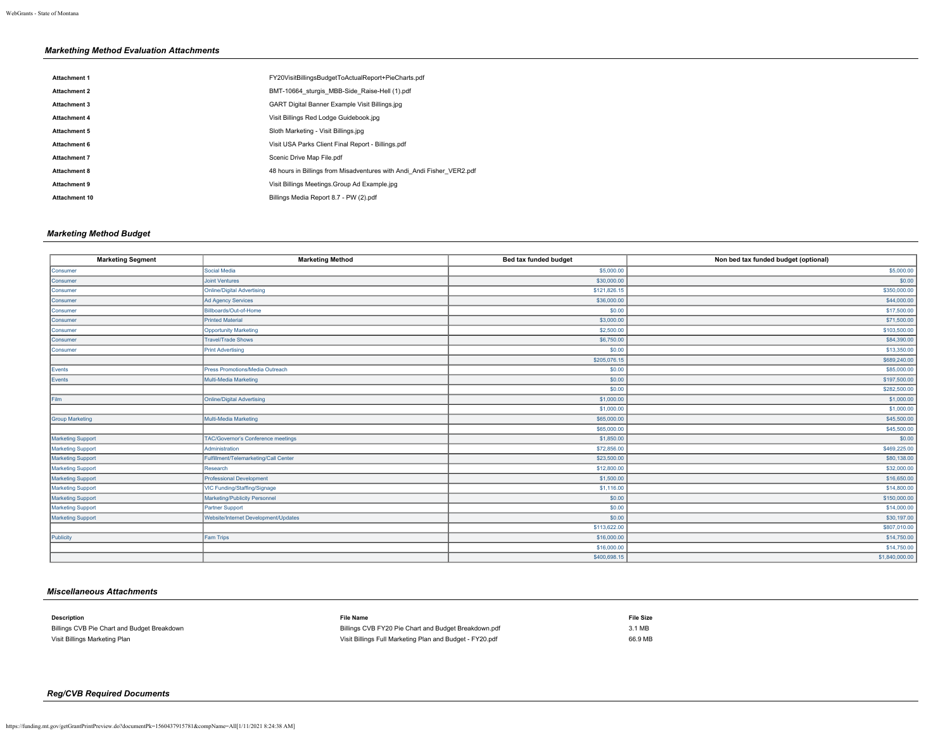# *Markething Method Evaluation Attachments*

| <b>Attachment 1</b>  | FY20VisitBillingsBudgetToActualReport+PieCharts.pdf                    |
|----------------------|------------------------------------------------------------------------|
| <b>Attachment 2</b>  | BMT-10664 sturgis MBB-Side Raise-Hell (1).pdf                          |
| Attachment 3         | <b>GART Digital Banner Example Visit Billings.ipg</b>                  |
| <b>Attachment 4</b>  | Visit Billings Red Lodge Guidebook.jpg                                 |
| Attachment 5         | Sloth Marketing - Visit Billings.ipg                                   |
| <b>Attachment 6</b>  | Visit USA Parks Client Final Report - Billings.pdf                     |
| <b>Attachment 7</b>  | Scenic Drive Map File.pdf                                              |
| Attachment 8         | 48 hours in Billings from Misadventures with Andi Andi Fisher VER2.pdf |
| Attachment 9         | Visit Billings Meetings. Group Ad Example.ipg                          |
| <b>Attachment 10</b> | Billings Media Report 8.7 - PW (2).pdf                                 |

# *Marketing Method Budget*

| <b>Marketing Segment</b> | <b>Marketing Method</b>               | Bed tax funded budget | Non bed tax funded budget (optional) |
|--------------------------|---------------------------------------|-----------------------|--------------------------------------|
| Consumer                 | Social Media                          | \$5,000.00            | \$5,000.00                           |
| Consumer                 | <b>Joint Ventures</b>                 | \$30,000.00           | \$0.00                               |
| Consumer                 | <b>Online/Digital Advertising</b>     | \$121,826.15          | \$350,000.00                         |
| Consumer                 | <b>Ad Agency Services</b>             | \$36,000.00           | \$44,000.00                          |
| Consumer                 | Billboards/Out-of-Home                | \$0.00                | \$17,500.00                          |
| Consumer                 | <b>Printed Material</b>               | \$3,000.00            | \$71,500.00                          |
| Consumer                 | <b>Opportunity Marketing</b>          | \$2,500.00            | \$103,500.00                         |
| Consumer                 | <b>Travel/Trade Shows</b>             | \$6,750.00            | \$84,390.00                          |
| Consumer                 | <b>Print Advertising</b>              | \$0.00                | \$13,350.00                          |
|                          |                                       | \$205,076.15          | \$689,240.00                         |
| Events                   | Press Promotions/Media Outreach       | \$0.00                | \$85,000.00                          |
| Events                   | Multi-Media Marketing                 | \$0.00                | \$197,500.00                         |
|                          |                                       | \$0.00                | \$282,500.00                         |
| Film                     | <b>Online/Digital Advertising</b>     | \$1,000.00            | \$1,000.00                           |
|                          |                                       | \$1,000.00            | \$1,000.00                           |
| <b>Group Marketing</b>   | Multi-Media Marketing                 | \$65,000.00           | \$45,500.00                          |
|                          |                                       | \$65,000.00           | \$45,500.00                          |
| <b>Marketing Support</b> | TAC/Governor's Conference meetings    | \$1,850.00            | \$0.00                               |
| <b>Marketing Support</b> | Administration                        | \$72,856.00           | \$469,225.00                         |
| <b>Marketing Support</b> | Fulfillment/Telemarketing/Call Center | \$23,500.00           | \$80,138.00                          |
| <b>Marketing Support</b> | Research                              | \$12,800.00           | \$32,000.00                          |
| Marketing Support        | <b>Professional Development</b>       | \$1,500.00            | \$16,650.00                          |
| <b>Marketing Support</b> | VIC Funding/Staffing/Signage          | \$1,116.00            | \$14,800.00                          |
| Marketing Support        | Marketing/Publicity Personnel         | \$0.00                | \$150,000.00                         |
| <b>Marketing Support</b> | Partner Support                       | \$0.00                | \$14,000.00                          |
| Marketing Support        | Website/Internet Development/Updates  | \$0.00                | \$30,197.00                          |
|                          |                                       | \$113,622.00          | \$807,010.00                         |
| Publicity                | <b>Fam Trips</b>                      | \$16,000.00           | \$14,750.00                          |
|                          |                                       | \$16,000.00           | \$14,750.00                          |
|                          |                                       | \$400,698.15          | \$1,840,000.00                       |

# *Miscellaneous Attachments*

| <b>Description</b>                          | <b>File Name</b>                                         | <b>File Size</b> |
|---------------------------------------------|----------------------------------------------------------|------------------|
| Billings CVB Pie Chart and Budget Breakdown | Billings CVB FY20 Pie Chart and Budget Breakdown.pdf     | 3.1 MB           |
| Visit Billings Marketing Plan               | Visit Billings Full Marketing Plan and Budget - FY20.pdf | 66.9 MB          |

# *Reg/CVB Required Documents*